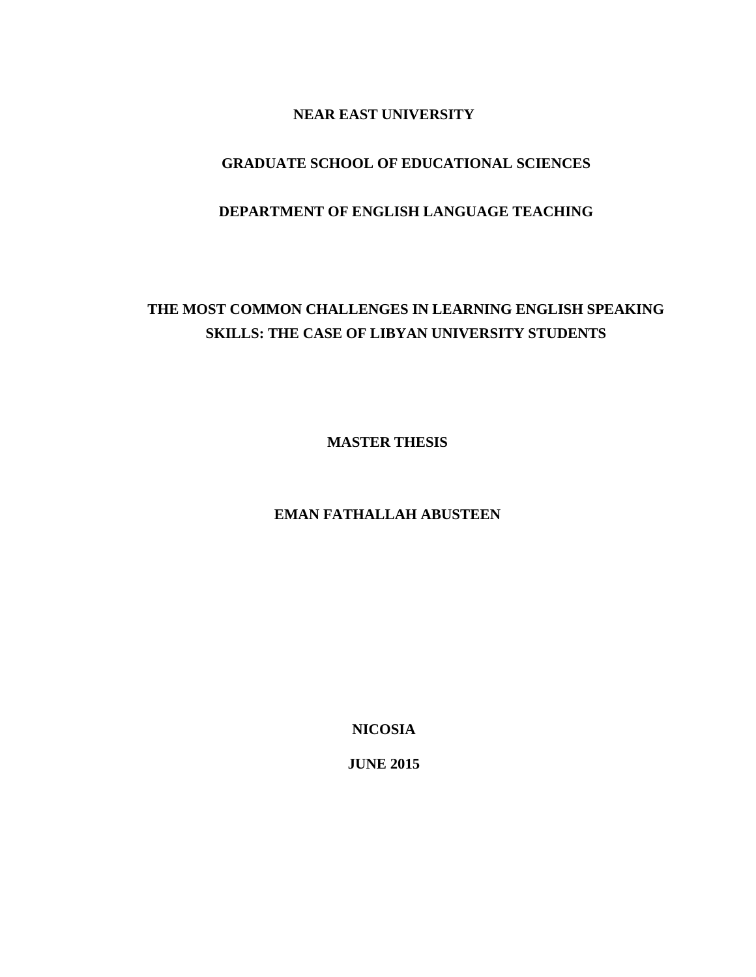### **NEAR EAST UNIVERSITY**

### **GRADUATE SCHOOL OF EDUCATIONAL SCIENCES**

### **DEPARTMENT OF ENGLISH LANGUAGE TEACHING**

## **THE MOST COMMON CHALLENGES IN LEARNING ENGLISH SPEAKING SKILLS: THE CASE OF LIBYAN UNIVERSITY STUDENTS**

**MASTER THESIS**

### **EMAN FATHALLAH ABUSTEEN**

**NICOSIA**

**JUNE 2015**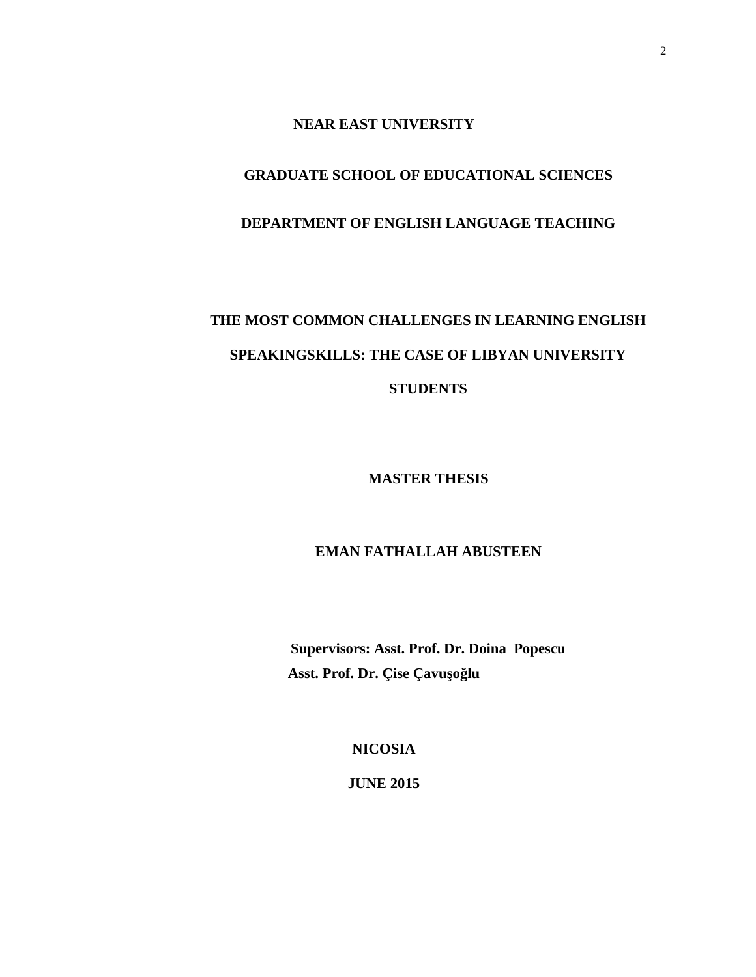### **NEAR EAST UNIVERSITY**

### **GRADUATE SCHOOL OF EDUCATIONAL SCIENCES**

### **DEPARTMENT OF ENGLISH LANGUAGE TEACHING**

# **THE MOST COMMON CHALLENGES IN LEARNING ENGLISH SPEAKINGSKILLS: THE CASE OF LIBYAN UNIVERSITY STUDENTS**

**MASTER THESIS**

### **EMAN FATHALLAH ABUSTEEN**

**Supervisors: Asst. Prof. Dr. Doina Popescu** Asst. Prof. Dr. Çise Çavu o lu

**NICOSIA**

**JUNE 2015**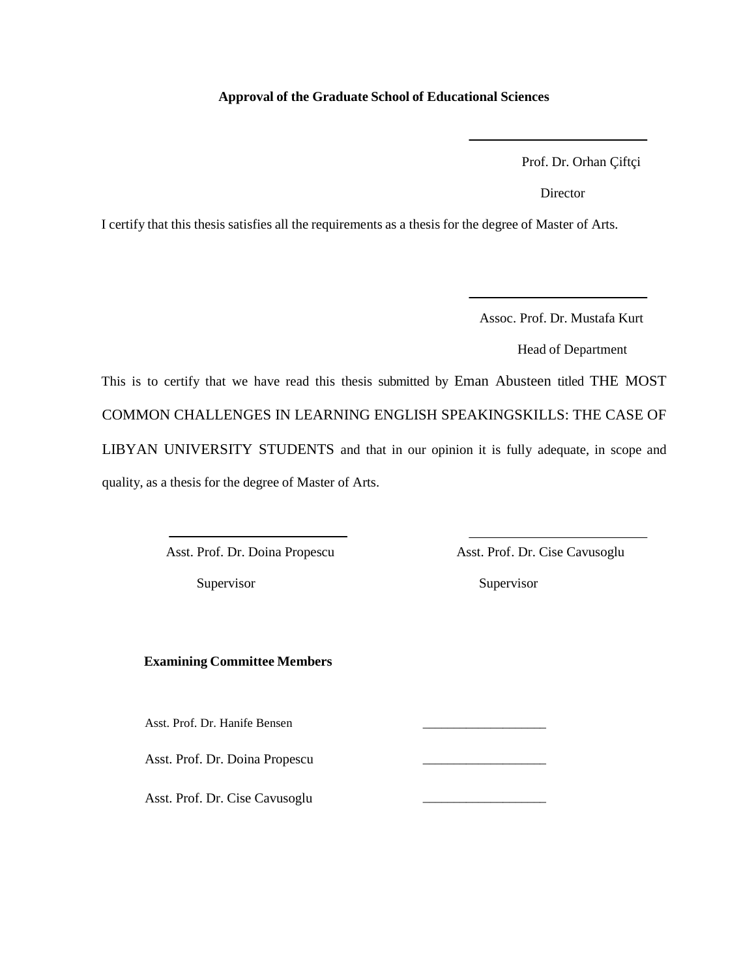### **Approval of the Graduate School of Educational Sciences**

Prof. Dr. Orhan Çiftçi

Director

I certify that this thesis satisfies all the requirements as a thesis for the degree of Master of Arts.

Assoc. Prof. Dr. Mustafa Kurt

Head of Department

This is to certify that we have read this thesis submitted by Eman Abusteen titled THE MOST COMMON CHALLENGES IN LEARNING ENGLISH SPEAKINGSKILLS: THE CASE OF LIBYAN UNIVERSITY STUDENTS and that in our opinion it is fully adequate, in scope and quality, as a thesis for the degree of Master of Arts.

**Examining Committee Members**

Asst. Prof. Dr. Hanife Bensen \_\_\_\_\_\_\_\_\_\_\_\_\_\_\_\_\_\_\_\_

Asst. Prof. Dr. Doina Propescu \_\_\_\_\_\_\_\_\_\_\_\_\_\_\_\_\_\_\_\_

Asst. Prof. Dr. Cise Cavusoglu \_\_\_\_\_\_\_\_\_\_\_\_\_\_\_\_\_\_\_\_

Asst. Prof. Dr. Doina Propescu Asst. Prof. Dr. Cise Cavusoglu

Supervisor Supervisor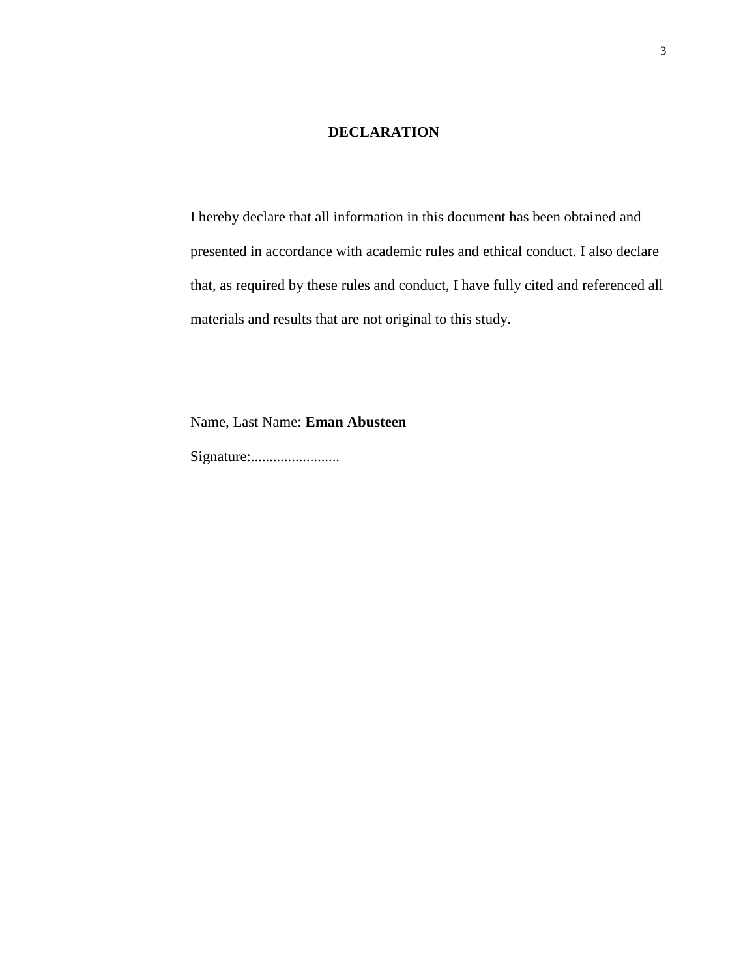### **DECLARATION**

I hereby declare that all information in this document has been obtained and presented in accordance with academic rules and ethical conduct. I also declare that, as required by these rules and conduct, I have fully cited and referenced all materials and results that are not original to this study.

Name, Last Name: **Eman Abusteen**

Signature:........................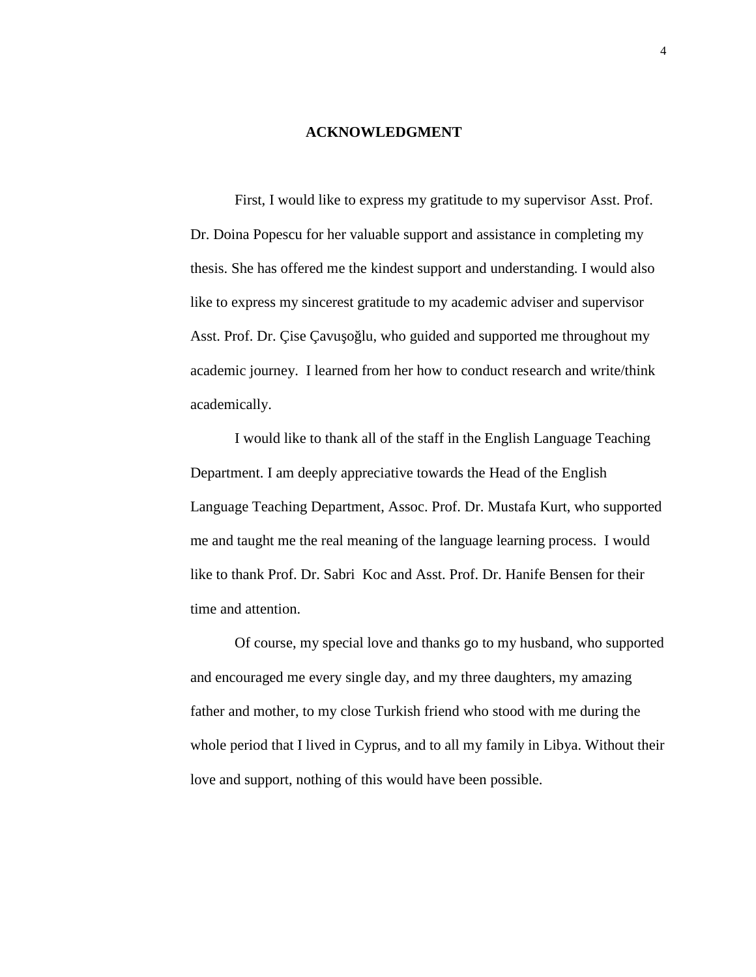### **ACKNOWLEDGMENT**

First, I would like to express my gratitude to my supervisor Asst. Prof. Dr. Doina Popescu for her valuable support and assistance in completing my thesis. She has offered me the kindest support and understanding. I would also like to express my sincerest gratitude to my academic adviser and supervisor Asst. Prof. Dr. Çise Çavu o lu, who guided and supported me throughout my academic journey. I learned from her how to conduct research and write/think academically.

I would like to thank all of the staff in the English Language Teaching Department. I am deeply appreciative towards the Head of the English Language Teaching Department, Assoc. Prof. Dr. Mustafa Kurt, who supported me and taught me the real meaning of the language learning process. I would like to thank Prof. Dr. Sabri Koc and Asst. Prof. Dr. Hanife Bensen for their time and attention.

Of course, my special love and thanks go to my husband, who supported and encouraged me every single day, and my three daughters, my amazing father and mother, to my close Turkish friend who stood with me during the whole period that I lived in Cyprus, and to all my family in Libya. Without their love and support, nothing of this would have been possible.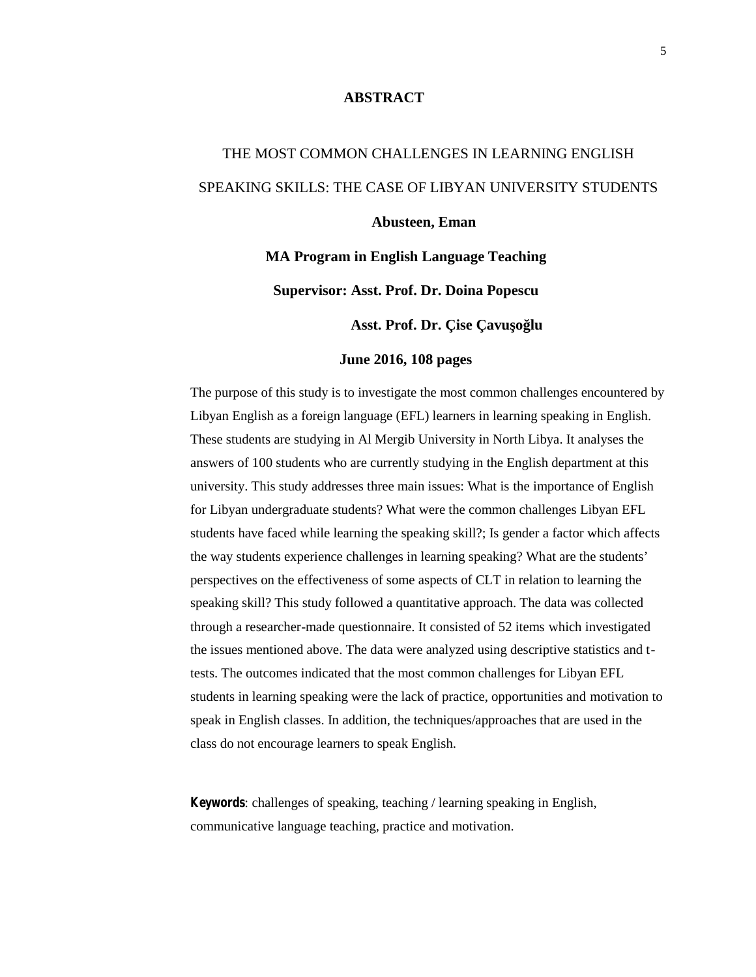### **ABSTRACT**

# THE MOST COMMON CHALLENGES IN LEARNING ENGLISH SPEAKING SKILLS: THE CASE OF LIBYAN UNIVERSITY STUDENTS **Abusteen, Eman**

**MA Program in English Language Teaching**

**Supervisor: Asst. Prof. Dr. Doina Popescu**

Asst. Prof. Dr. Çise Çavu o lu

#### **June 2016, 108 pages**

The purpose of this study is to investigate the most common challenges encountered by Libyan English as a foreign language (EFL) learners in learning speaking in English. These students are studying in Al Mergib University in North Libya. It analyses the answers of 100 students who are currently studying in the English department at this university. This study addresses three main issues: What is the importance of English for Libyan undergraduate students? What were the common challenges Libyan EFL students have faced while learning the speaking skill?; Is gender a factor which affects the way students experience challenges in learning speaking? What are the students' perspectives on the effectiveness of some aspects of CLT in relation to learning the speaking skill? This study followed a quantitative approach. The data was collected through a researcher-made questionnaire. It consisted of 52 items which investigated the issues mentioned above. The data were analyzed using descriptive statistics and ttests. The outcomes indicated that the most common challenges for Libyan EFL students in learning speaking were the lack of practice, opportunities and motivation to speak in English classes. In addition, the techniques/approaches that are used in the class do not encourage learners to speak English.

*Keywords*: challenges of speaking, teaching / learning speaking in English, communicative language teaching, practice and motivation.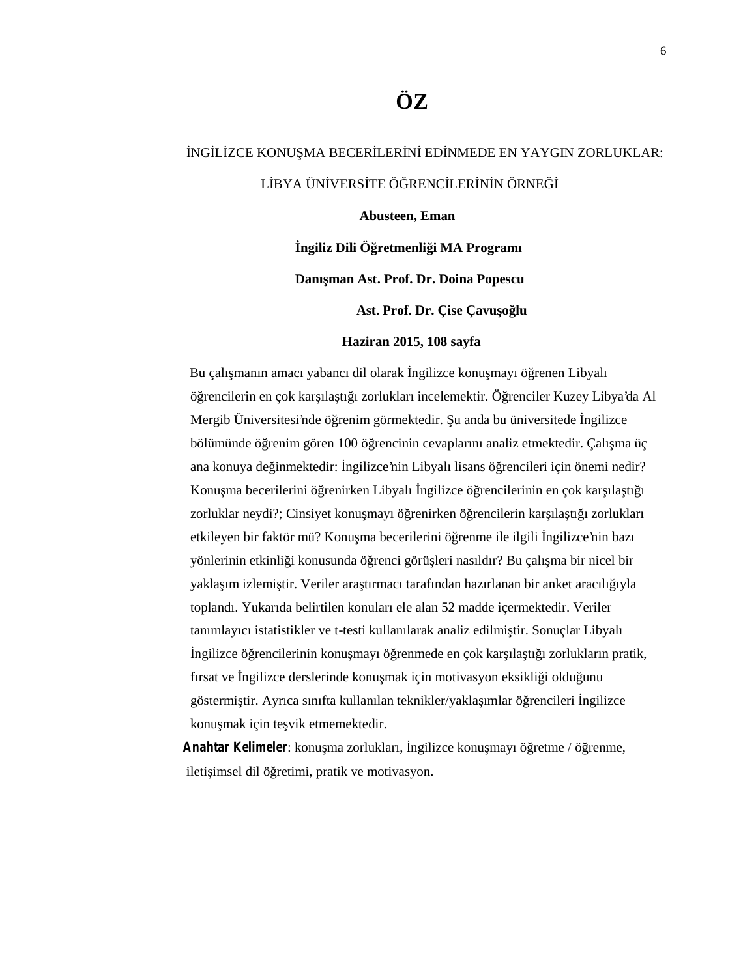# **ÖZ**

## NG L ZCE KONU MA BECER LER N ED NMEDE EN YAYGIN ZORLUKLAR: L BYA ÜN VERS TE Ö RENCLER N NÖRNE

#### **Abusteen, Eman**

**İngiliz Dili Öğretmenliği MA Programı**

**Danışman Ast. Prof. Dr. Doina Popescu**

Ast. Prof. Dr. Çise Çavu olu

#### **Haziran 2015, 108 sayfa**

Bu çalı manın amacı yabancı dil olarak ngilizce konu mayı ö renen Libyalı öğrencilerin en çok karşılaştığı zorlukları incelemektir. Öğrenciler Kuzey Libya'da Al Mergib Üniversitesi'nde ö renim görmektedir. u anda bu üniversitede ngilizce bölümünde ö renim gören 100 ö rencinin cevaplarını analiz etmektedir. Çalı ma üç ana konuya de inmektedir: ngilizce'nin Libyalı lisans ö rencileri için önemi nedir? Konu ma becerilerini örrenirken Libyalı ngilizce örrencilerinin en çok karşıla tı 1 zorluklar neydi?; Cinsiyet konu mayı ö renirken ö rencilerin kar ıla tı ı zorlukları etkileyen bir faktör mü? Konu ma becerilerini ö renme ile ilgili ngilizce'nin bazı yönlerinin etkinli i konusunda ö renci görü leri nasıldır? Bu çalı ma bir nicel bir yakla ım izlemi tir. Veriler ara tırmacı tarafından hazırlanan bir anket aracılı 1yla toplandı. Yukarıda belirtilen konuları ele alan 52 madde içermektedir. Veriler tanımlayıcı istatistikler ve t-testi kullanılarak analiz edilmi tir. Sonuçlar Libyalı ngilizce ö rencilerinin konu mayı ö renmede en çok kar ıla tı 1 zorlukların pratik, fırsat ve ngilizce derslerinde konu mak için motivasyon eksikli i oldu unu göstermi tir. Ayrıca sınıfta kullanılan teknikler/yakla ımlar ö rencileri ngilizce konu mak için te vik etmemektedir.

Anahtar Kelimeler: konu ma zorlukları, ngilizce konu mayı ö retme / ö renme, ileti imsel dil ö retimi, pratik ve motivasyon.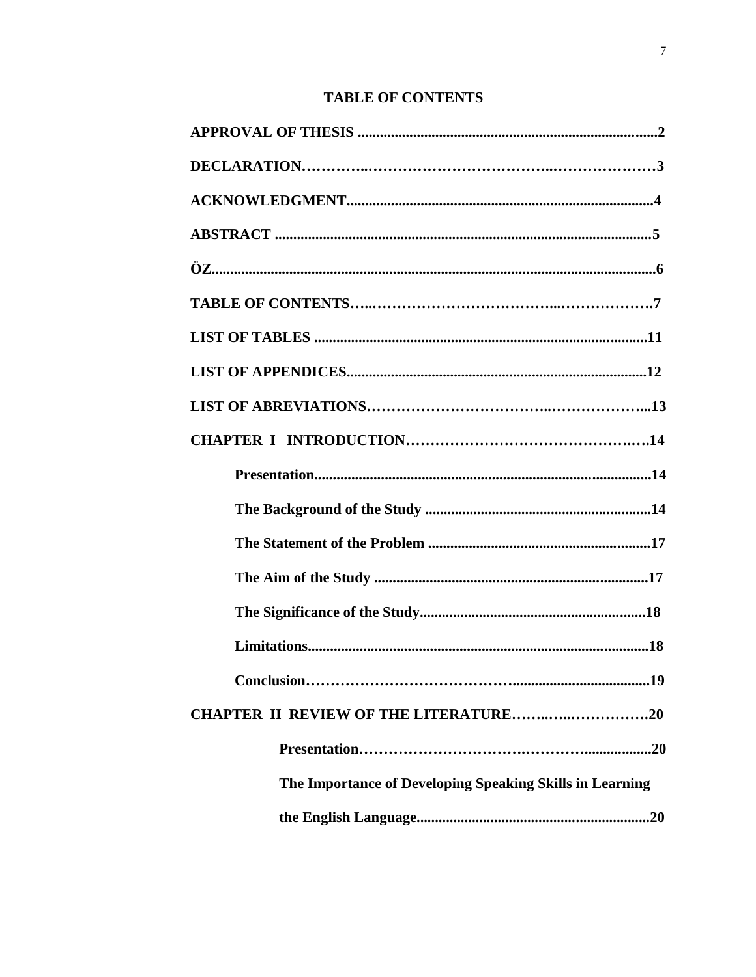### **TABLE OF CONTENTS**

| <b>CHAPTER II REVIEW OF THE LITERATURE20</b>             |
|----------------------------------------------------------|
|                                                          |
| The Importance of Developing Speaking Skills in Learning |
|                                                          |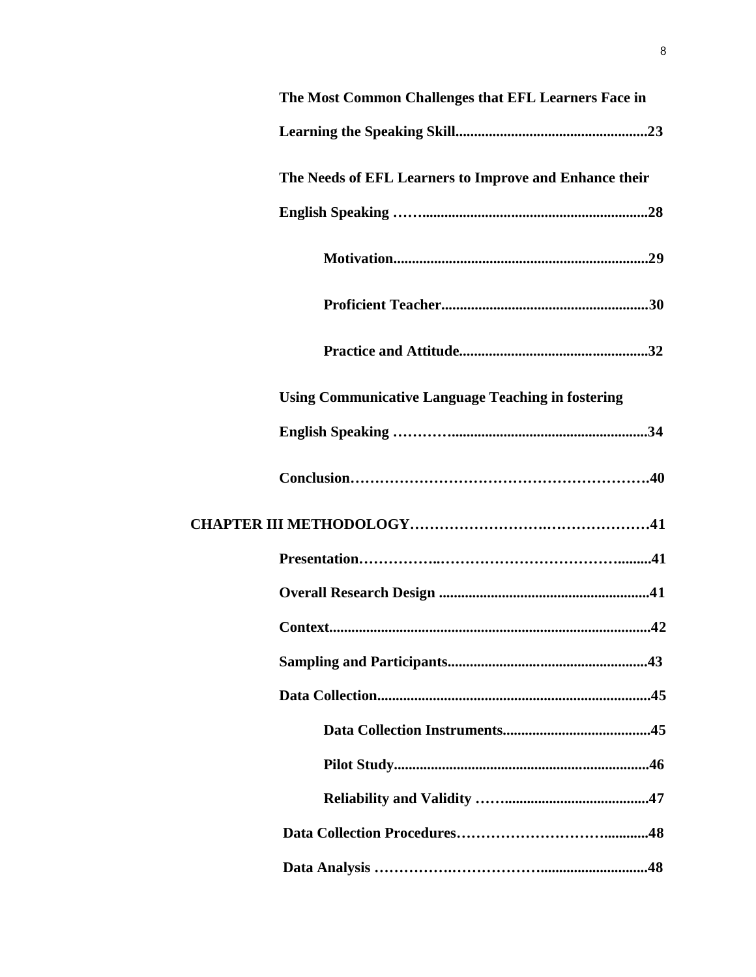| The Most Common Challenges that EFL Learners Face in      |  |
|-----------------------------------------------------------|--|
|                                                           |  |
| The Needs of EFL Learners to Improve and Enhance their    |  |
|                                                           |  |
|                                                           |  |
|                                                           |  |
|                                                           |  |
| <b>Using Communicative Language Teaching in fostering</b> |  |
|                                                           |  |
|                                                           |  |
|                                                           |  |
|                                                           |  |
|                                                           |  |
|                                                           |  |
|                                                           |  |
|                                                           |  |
|                                                           |  |
|                                                           |  |
|                                                           |  |
|                                                           |  |
|                                                           |  |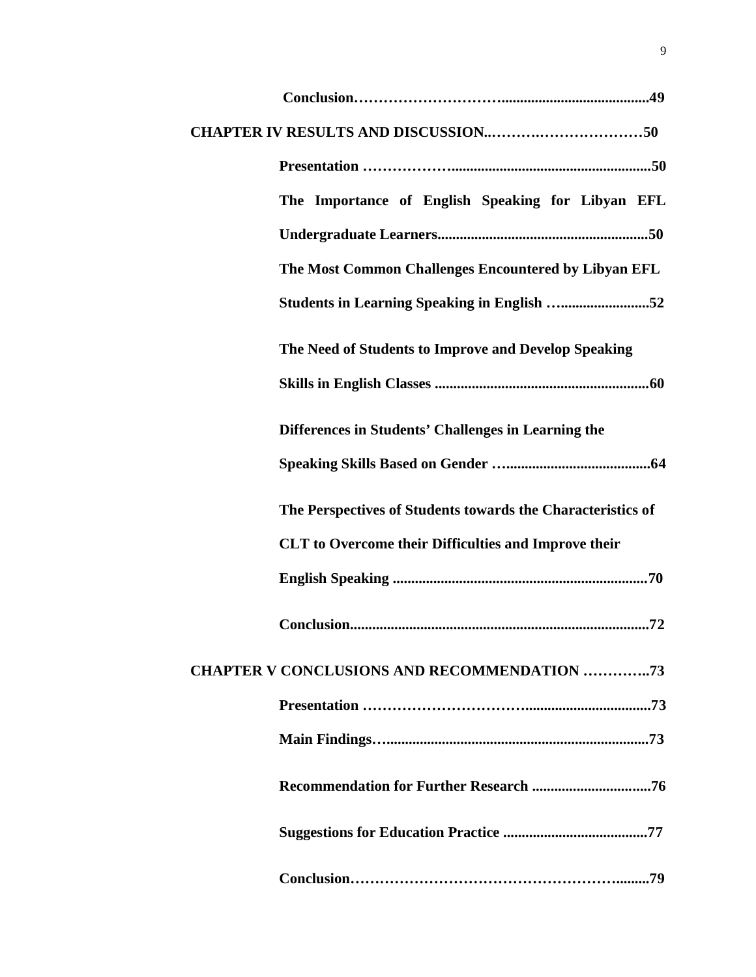| The Importance of English Speaking for Libyan EFL           |  |
|-------------------------------------------------------------|--|
|                                                             |  |
| The Most Common Challenges Encountered by Libyan EFL        |  |
| <b>Students in Learning Speaking in English 52</b>          |  |
| The Need of Students to Improve and Develop Speaking        |  |
|                                                             |  |
| Differences in Students' Challenges in Learning the         |  |
|                                                             |  |
| The Perspectives of Students towards the Characteristics of |  |
| <b>CLT</b> to Overcome their Difficulties and Improve their |  |
|                                                             |  |
|                                                             |  |
| <b>CHAPTER V CONCLUSIONS AND RECOMMENDATION 73</b>          |  |
|                                                             |  |
|                                                             |  |
|                                                             |  |
|                                                             |  |
|                                                             |  |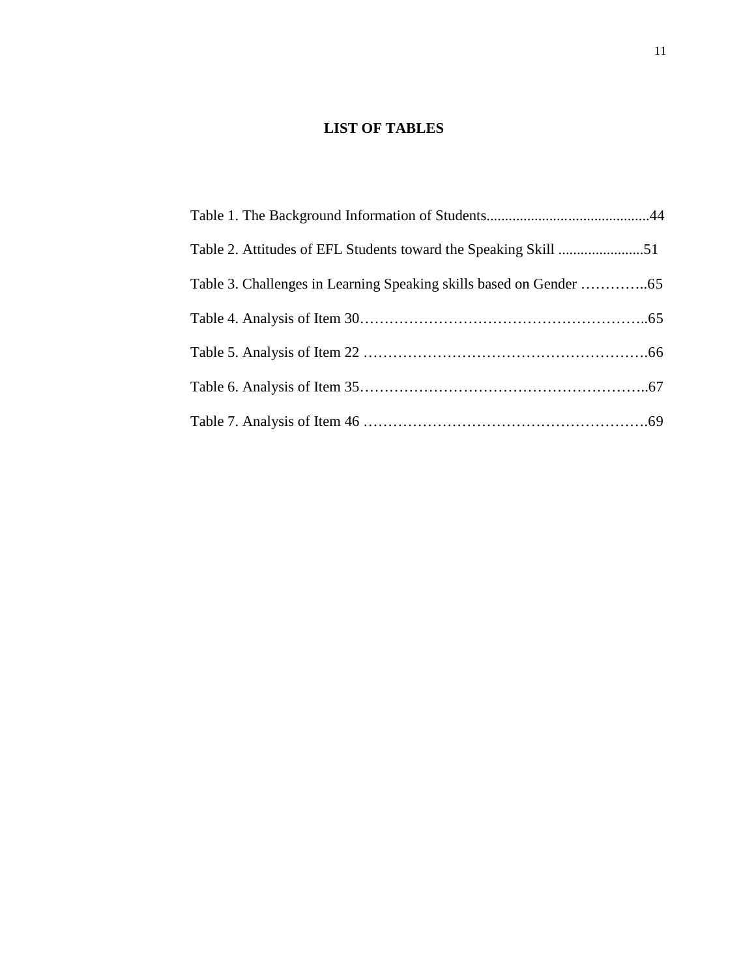### **LIST OF TABLES**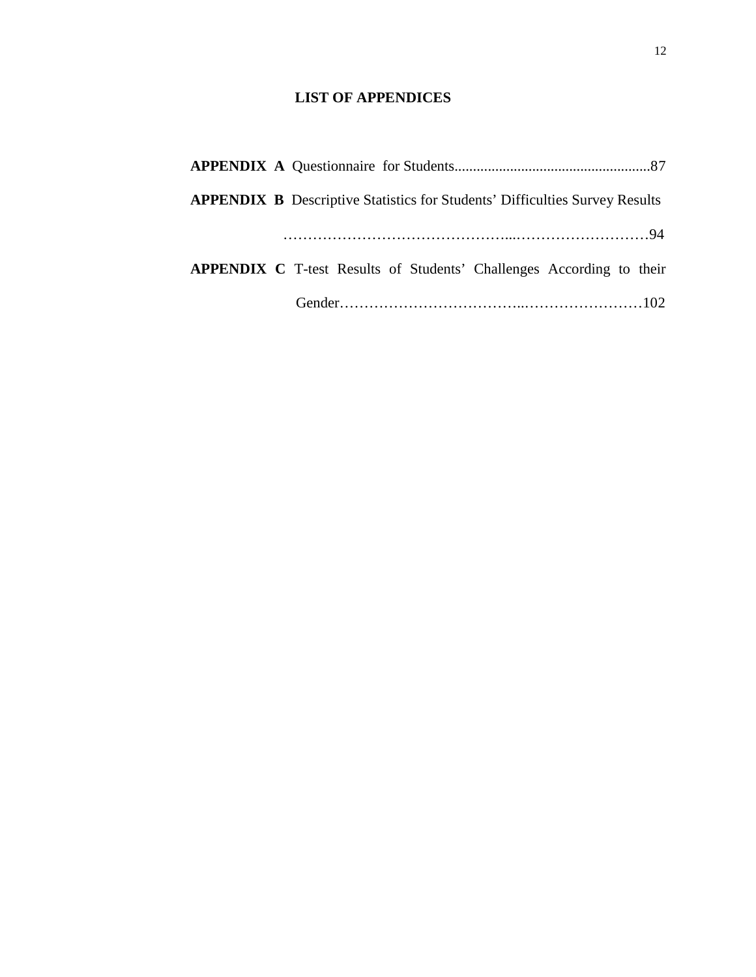### **LIST OF APPENDICES**

| <b>APPENDIX B</b> Descriptive Statistics for Students' Difficulties Survey Results |
|------------------------------------------------------------------------------------|
|                                                                                    |
| <b>APPENDIX C</b> T-test Results of Students' Challenges According to their        |
|                                                                                    |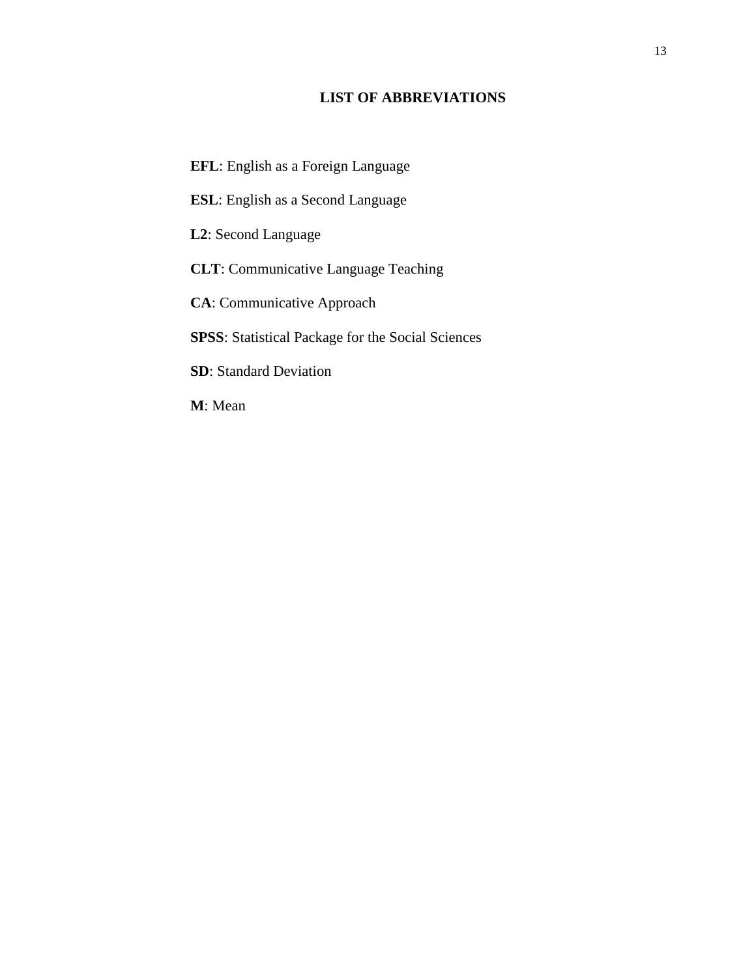### **LIST OF ABBREVIATIONS**

- **EFL**: English as a Foreign Language **ESL**: English as a Second Language **L2**: Second Language **CLT**: Communicative Language Teaching **CA**: Communicative Approach **SPSS**: Statistical Package for the Social Sciences **SD**: Standard Deviation
- **M**: Mean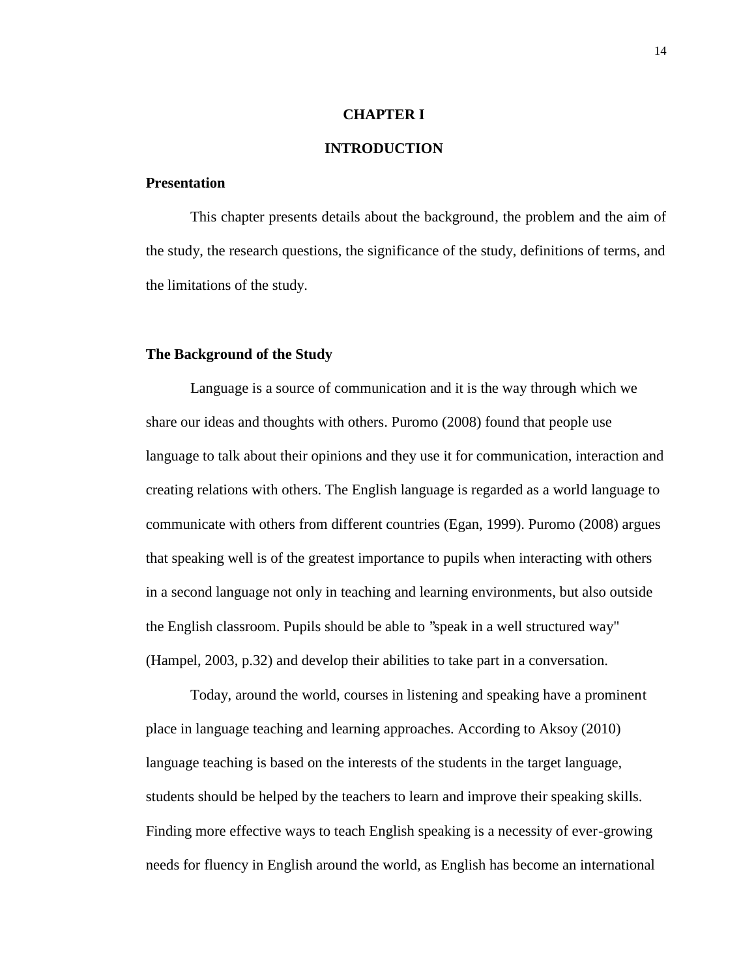#### **CHAPTER I**

### **INTRODUCTION**

### **Presentation**

This chapter presents details about the background, the problem and the aim of the study, the research questions, the significance of the study, definitions of terms, and the limitations of the study.

### **The Background of the Study**

Language is a source of communication and it is the way through which we share our ideas and thoughts with others. Puromo (2008) found that people use language to talk about their opinions and they use it for communication, interaction and creating relations with others. The English language is regarded as a world language to communicate with others from different countries (Egan, 1999). Puromo (2008) argues that speaking well is of the greatest importance to pupils when interacting with others in a second language not only in teaching and learning environments, but also outside the English classroom. Pupils should be able to ''speak in a well structured way" (Hampel, 2003, p.32) and develop their abilities to take part in a conversation.

Today, around the world, courses in listening and speaking have a prominent place in language teaching and learning approaches. According to Aksoy (2010) language teaching is based on the interests of the students in the target language, students should be helped by the teachers to learn and improve their speaking skills. Finding more effective ways to teach English speaking is a necessity of ever-growing needs for fluency in English around the world, as English has become an international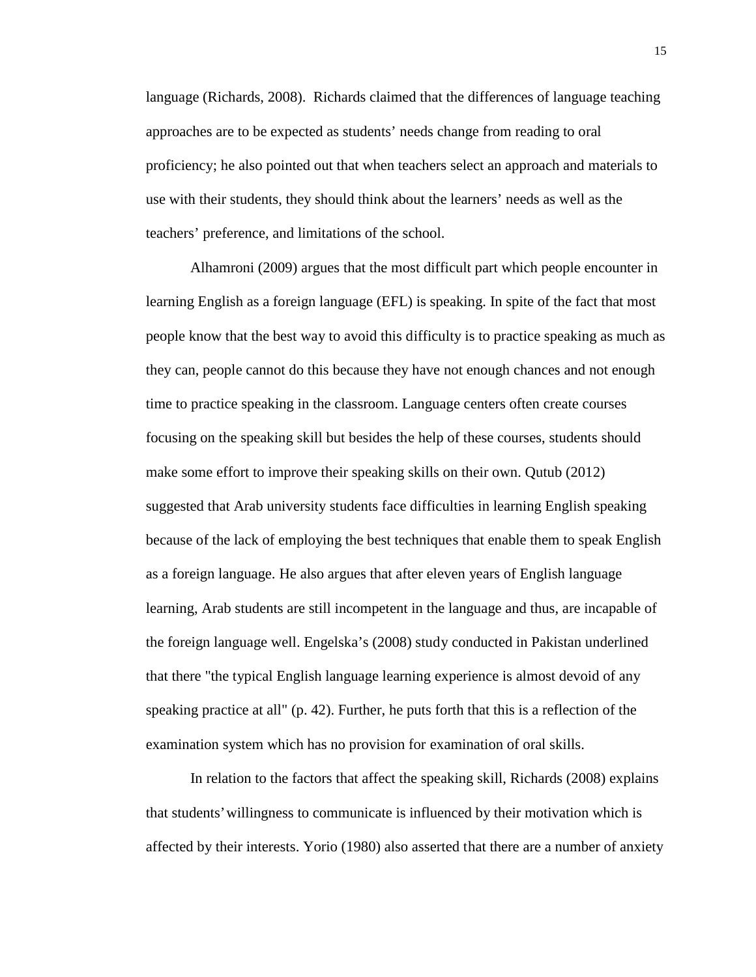language (Richards, 2008). Richards claimed that the differences of language teaching approaches are to be expected as students' needs change from reading to oral proficiency; he also pointed out that when teachers select an approach and materials to use with their students, they should think about the learners' needs as well as the teachers' preference, and limitations of the school.

Alhamroni (2009) argues that the most difficult part which people encounter in learning English as a foreign language (EFL) is speaking. In spite of the fact that most people know that the best way to avoid this difficulty is to practice speaking as much as they can, people cannot do this because they have not enough chances and not enough time to practice speaking in the classroom. Language centers often create courses focusing on the speaking skill but besides the help of these courses, students should make some effort to improve their speaking skills on their own. Qutub (2012) suggested that Arab university students face difficulties in learning English speaking because of the lack of employing the best techniques that enable them to speak English as a foreign language. He also argues that after eleven years of English language learning, Arab students are still incompetent in the language and thus, are incapable of the foreign language well. Engelska's (2008) study conducted in Pakistan underlined that there "the typical English language learning experience is almost devoid of any speaking practice at all" (p. 42). Further, he puts forth that this is a reflection of the examination system which has no provision for examination of oral skills.

In relation to the factors that affect the speaking skill, Richards (2008) explains that students' willingness to communicate is influenced by their motivation which is affected by their interests. Yorio (1980) also asserted that there are a number of anxiety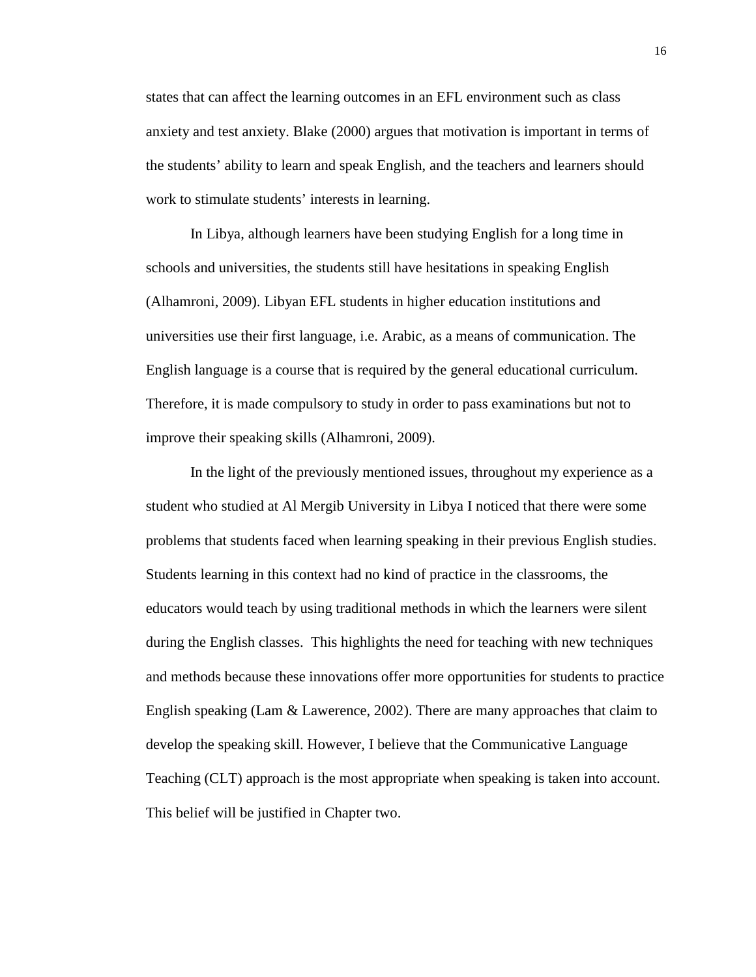states that can affect the learning outcomes in an EFL environment such as class anxiety and test anxiety. Blake (2000) argues that motivation is important in terms of the students' ability to learn and speak English, and the teachers and learners should work to stimulate students' interests in learning.

In Libya, although learners have been studying English for a long time in schools and universities, the students still have hesitations in speaking English (Alhamroni, 2009). Libyan EFL students in higher education institutions and universities use their first language, i.e. Arabic, as a means of communication. The English language is a course that is required by the general educational curriculum. Therefore, it is made compulsory to study in order to pass examinations but not to improve their speaking skills (Alhamroni, 2009).

In the light of the previously mentioned issues, throughout my experience as a student who studied at Al Mergib University in Libya I noticed that there were some problems that students faced when learning speaking in their previous English studies. Students learning in this context had no kind of practice in the classrooms, the educators would teach by using traditional methods in which the learners were silent during the English classes. This highlights the need for teaching with new techniques and methods because these innovations offer more opportunities for students to practice English speaking (Lam & Lawerence, 2002). There are many approaches that claim to develop the speaking skill. However, I believe that the Communicative Language Teaching (CLT) approach is the most appropriate when speaking is taken into account. This belief will be justified in Chapter two.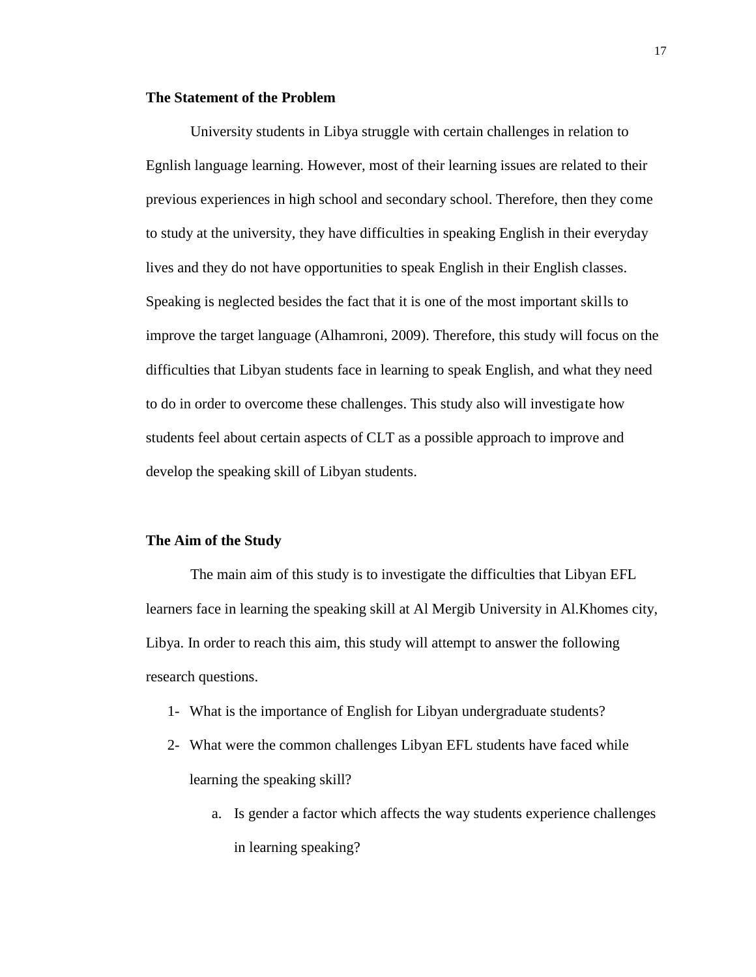### **The Statement of the Problem**

University students in Libya struggle with certain challenges in relation to Egnlish language learning. However, most of their learning issues are related to their previous experiences in high school and secondary school. Therefore, then they come to study at the university, they have difficulties in speaking English in their everyday lives and they do not have opportunities to speak English in their English classes. Speaking is neglected besides the fact that it is one of the most important skills to improve the target language (Alhamroni, 2009). Therefore, this study will focus on the difficulties that Libyan students face in learning to speak English, and what they need to do in order to overcome these challenges. This study also will investigate how students feel about certain aspects of CLT as a possible approach to improve and develop the speaking skill of Libyan students.

#### **The Aim of the Study**

The main aim of this study is to investigate the difficulties that Libyan EFL learners face in learning the speaking skill at Al Mergib University in Al.Khomes city, Libya. In order to reach this aim, this study will attempt to answer the following research questions.

- 1- What is the importance of English for Libyan undergraduate students?
- 2- What were the common challenges Libyan EFL students have faced while learning the speaking skill?
	- a. Is gender a factor which affects the way students experience challenges in learning speaking?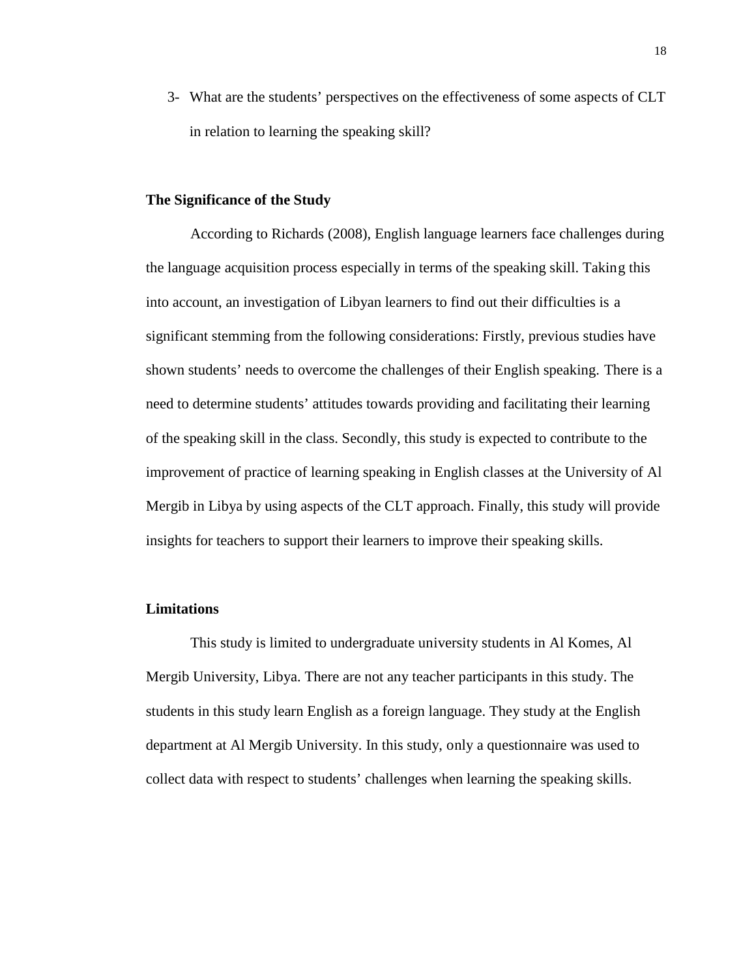3- What are the students' perspectives on the effectiveness of some aspects of CLT in relation to learning the speaking skill?

### **The Significance of the Study**

According to Richards (2008), English language learners face challenges during the language acquisition process especially in terms of the speaking skill. Taking this into account, an investigation of Libyan learners to find out their difficulties is a significant stemming from the following considerations: Firstly, previous studies have shown students' needs to overcome the challenges of their English speaking. There is a need to determine students' attitudes towards providing and facilitating their learning of the speaking skill in the class. Secondly, this study is expected to contribute to the improvement of practice of learning speaking in English classes at the University of Al Mergib in Libya by using aspects of the CLT approach. Finally, this study will provide insights for teachers to support their learners to improve their speaking skills.

### **Limitations**

This study is limited to undergraduate university students in Al Komes, Al Mergib University, Libya. There are not any teacher participants in this study. The students in this study learn English as a foreign language. They study at the English department at Al Mergib University. In this study, only a questionnaire was used to collect data with respect to students' challenges when learning the speaking skills.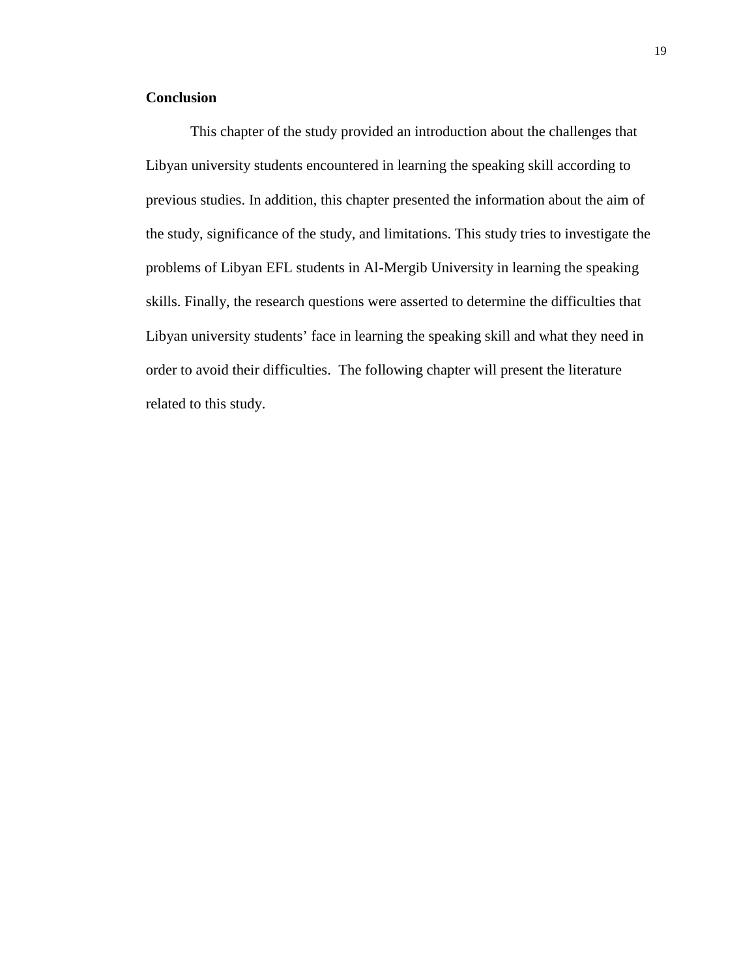### **Conclusion**

This chapter of the study provided an introduction about the challenges that Libyan university students encountered in learning the speaking skill according to previous studies. In addition, this chapter presented the information about the aim of the study, significance of the study, and limitations. This study tries to investigate the problems of Libyan EFL students in Al-Mergib University in learning the speaking skills. Finally, the research questions were asserted to determine the difficulties that Libyan university students' face in learning the speaking skill and what they need in order to avoid their difficulties. The following chapter will present the literature related to this study.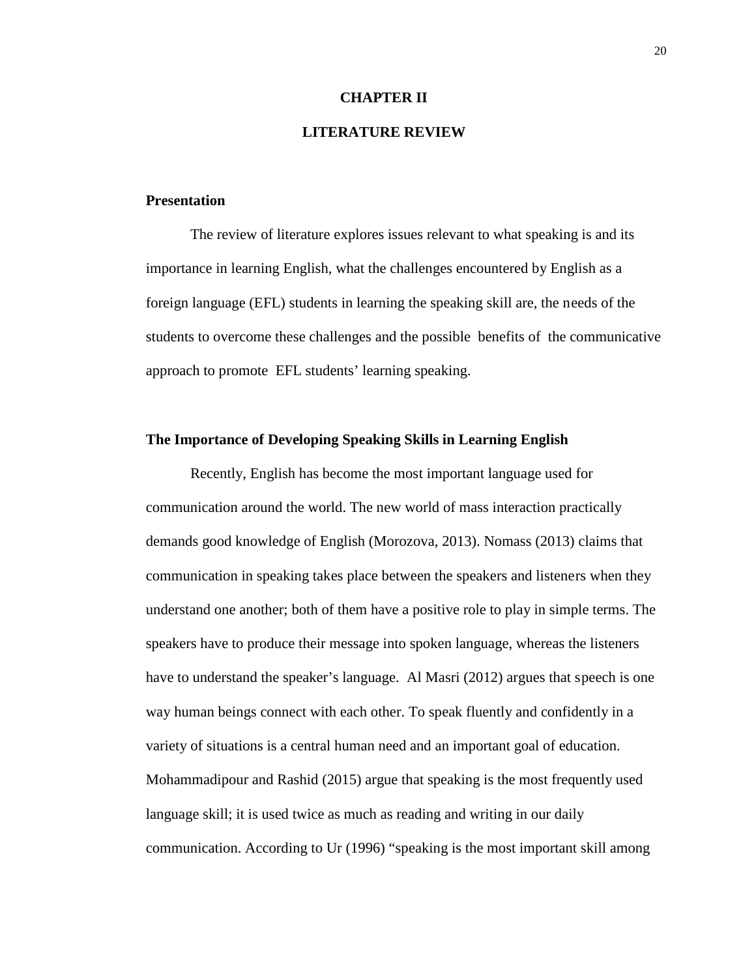#### **CHAPTER II**

### **LITERATURE REVIEW**

### **Presentation**

The review of literature explores issues relevant to what speaking is and its importance in learning English, what the challenges encountered by English as a foreign language (EFL) students in learning the speaking skill are, the needs of the students to overcome these challenges and the possible benefits of the communicative approach to promote EFL students' learning speaking.

#### **The Importance of Developing Speaking Skills in Learning English**

Recently, English has become the most important language used for communication around the world. The new world of mass interaction practically demands good knowledge of English (Morozova, 2013). Nomass (2013) claims that communication in speaking takes place between the speakers and listeners when they understand one another; both of them have a positive role to play in simple terms. The speakers have to produce their message into spoken language, whereas the listeners have to understand the speaker's language. Al Masri (2012) argues that speech is one way human beings connect with each other. To speak fluently and confidently in a variety of situations is a central human need and an important goal of education. Mohammadipour and Rashid (2015) argue that speaking is the most frequently used language skill; it is used twice as much as reading and writing in our daily communication. According to Ur (1996) "speaking is the most important skill among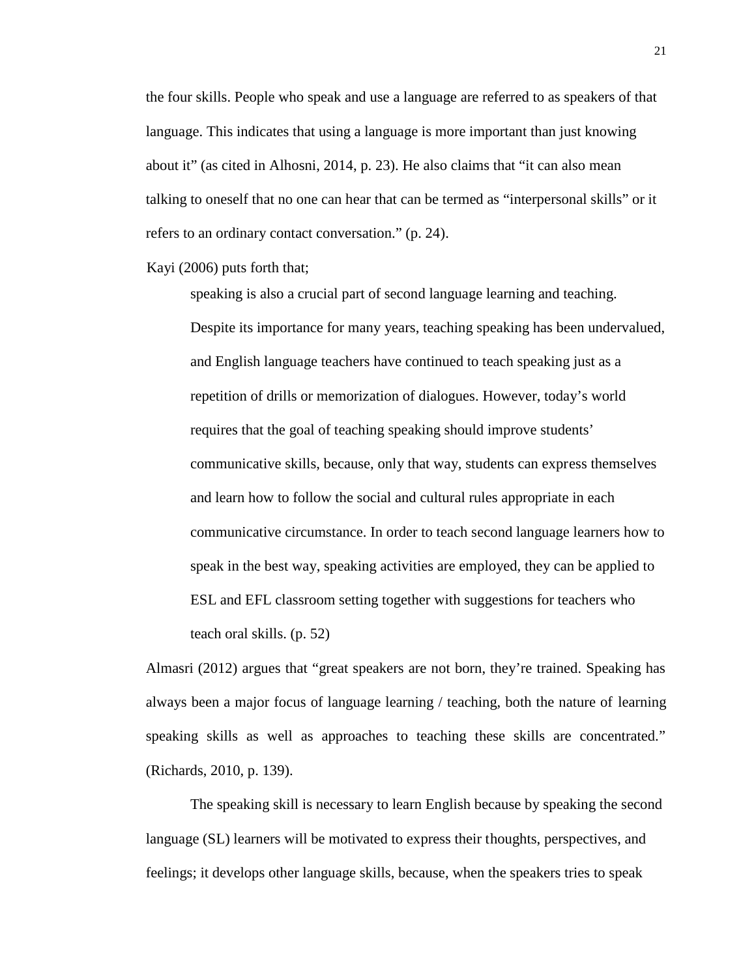the four skills. People who speak and use a language are referred to as speakers of that language. This indicates that using a language is more important than just knowing about it" (as cited in Alhosni, 2014, p. 23). He also claims that "it can also mean talking to oneself that no one can hear that can be termed as "interpersonal skills" or it refers to an ordinary contact conversation." (p. 24).

Kayi (2006) puts forth that;

speaking is also a crucial part of second language learning and teaching. Despite its importance for many years, teaching speaking has been undervalued, and English language teachers have continued to teach speaking just as a repetition of drills or memorization of dialogues. However, today's world requires that the goal of teaching speaking should improve students' communicative skills, because, only that way, students can express themselves and learn how to follow the social and cultural rules appropriate in each communicative circumstance. In order to teach second language learners how to speak in the best way, speaking activities are employed, they can be applied to ESL and EFL classroom setting together with suggestions for teachers who teach oral skills. (p. 52)

Almasri (2012) argues that "great speakers are not born, they're trained. Speaking has always been a major focus of language learning / teaching, both the nature of learning speaking skills as well as approaches to teaching these skills are concentrated." (Richards, 2010, p. 139).

The speaking skill is necessary to learn English because by speaking the second language (SL) learners will be motivated to express their thoughts, perspectives, and feelings; it develops other language skills, because, when the speakers tries to speak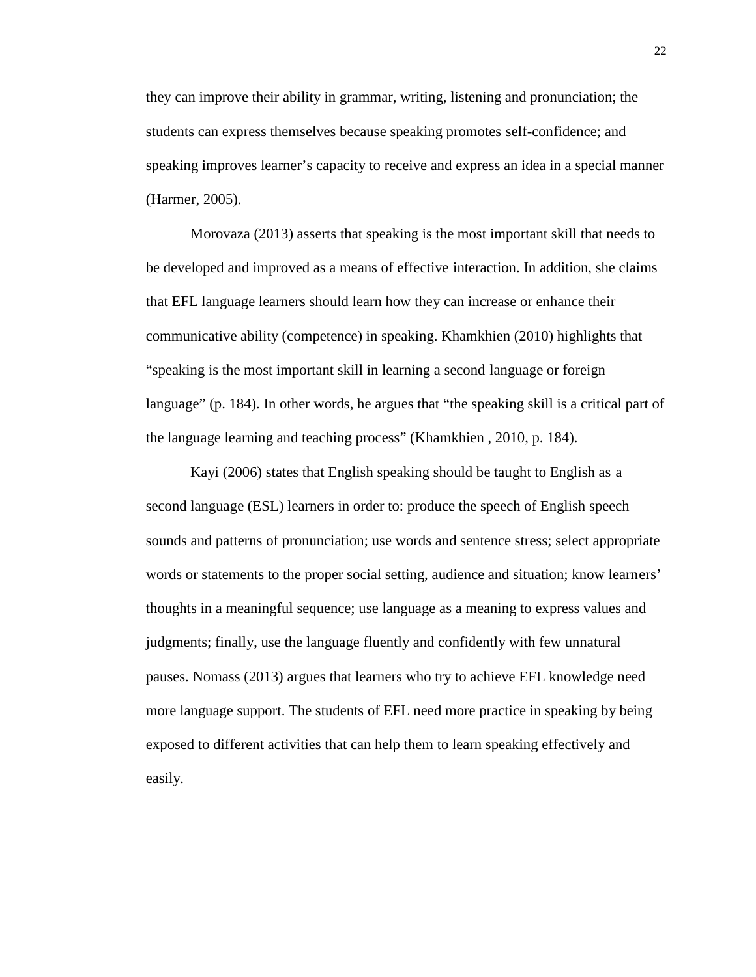they can improve their ability in grammar, writing, listening and pronunciation; the students can express themselves because speaking promotes self-confidence; and speaking improves learner's capacity to receive and express an idea in a special manner (Harmer, 2005).

Morovaza (2013) asserts that speaking is the most important skill that needs to be developed and improved as a means of effective interaction. In addition, she claims that EFL language learners should learn how they can increase or enhance their communicative ability (competence) in speaking. Khamkhien (2010) highlights that "speaking is the most important skill in learning a second language or foreign language" (p. 184). In other words, he argues that "the speaking skill is a critical part of the language learning and teaching process" (Khamkhien , 2010, p. 184).

Kayi (2006) states that English speaking should be taught to English as a second language (ESL) learners in order to: produce the speech of English speech sounds and patterns of pronunciation; use words and sentence stress; select appropriate words or statements to the proper social setting, audience and situation; know learners' thoughts in a meaningful sequence; use language as a meaning to express values and judgments; finally, use the language fluently and confidently with few unnatural pauses. Nomass (2013) argues that learners who try to achieve EFL knowledge need more language support. The students of EFL need more practice in speaking by being exposed to different activities that can help them to learn speaking effectively and easily.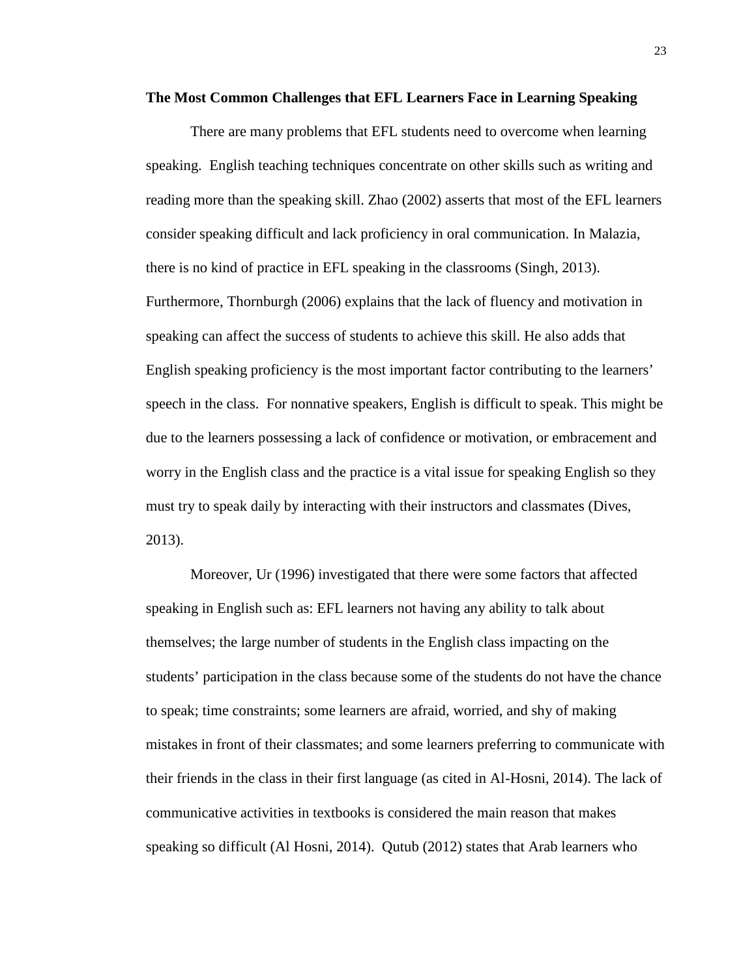#### **The Most Common Challenges that EFL Learners Face in Learning Speaking**

There are many problems that EFL students need to overcome when learning speaking. English teaching techniques concentrate on other skills such as writing and reading more than the speaking skill. Zhao (2002) asserts that most of the EFL learners consider speaking difficult and lack proficiency in oral communication. In Malazia, there is no kind of practice in EFL speaking in the classrooms (Singh, 2013). Furthermore, Thornburgh (2006) explains that the lack of fluency and motivation in speaking can affect the success of students to achieve this skill. He also adds that English speaking proficiency is the most important factor contributing to the learners' speech in the class. For nonnative speakers, English is difficult to speak. This might be due to the learners possessing a lack of confidence or motivation, or embracement and worry in the English class and the practice is a vital issue for speaking English so they must try to speak daily by interacting with their instructors and classmates (Dives, 2013).

Moreover, Ur (1996) investigated that there were some factors that affected speaking in English such as: EFL learners not having any ability to talk about themselves; the large number of students in the English class impacting on the students' participation in the class because some of the students do not have the chance to speak; time constraints; some learners are afraid, worried, and shy of making mistakes in front of their classmates; and some learners preferring to communicate with their friends in the class in their first language (as cited in Al-Hosni, 2014). The lack of communicative activities in textbooks is considered the main reason that makes speaking so difficult (Al Hosni, 2014). Qutub (2012) states that Arab learners who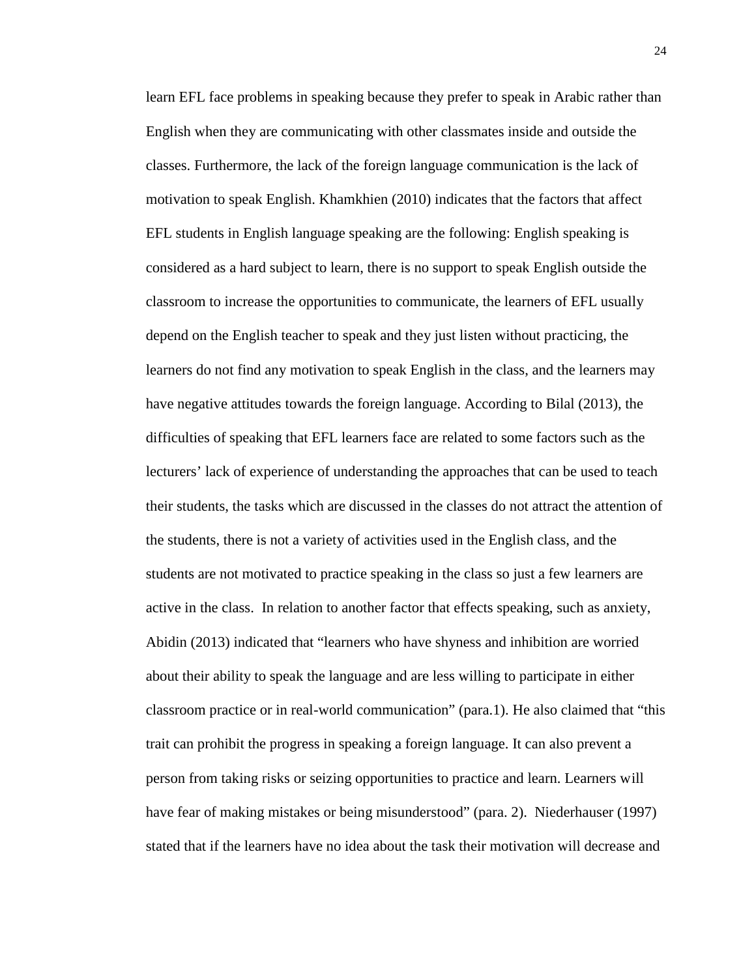learn EFL face problems in speaking because they prefer to speak in Arabic rather than English when they are communicating with other classmates inside and outside the classes. Furthermore, the lack of the foreign language communication is the lack of motivation to speak English. Khamkhien (2010) indicates that the factors that affect EFL students in English language speaking are the following: English speaking is considered as a hard subject to learn, there is no support to speak English outside the classroom to increase the opportunities to communicate, the learners of EFL usually depend on the English teacher to speak and they just listen without practicing, the learners do not find any motivation to speak English in the class, and the learners may have negative attitudes towards the foreign language. According to Bilal (2013), the difficulties of speaking that EFL learners face are related to some factors such as the lecturers' lack of experience of understanding the approaches that can be used to teach their students, the tasks which are discussed in the classes do not attract the attention of the students, there is not a variety of activities used in the English class, and the students are not motivated to practice speaking in the class so just a few learners are active in the class. In relation to another factor that effects speaking, such as anxiety, Abidin (2013) indicated that "learners who have shyness and inhibition are worried about their ability to speak the language and are less willing to participate in either classroom practice or in real-world communication" (para.1). He also claimed that "this trait can prohibit the progress in speaking a foreign language. It can also prevent a person from taking risks or seizing opportunities to practice and learn. Learners will have fear of making mistakes or being misunderstood" (para. 2). Niederhauser (1997) stated that if the learners have no idea about the task their motivation will decrease and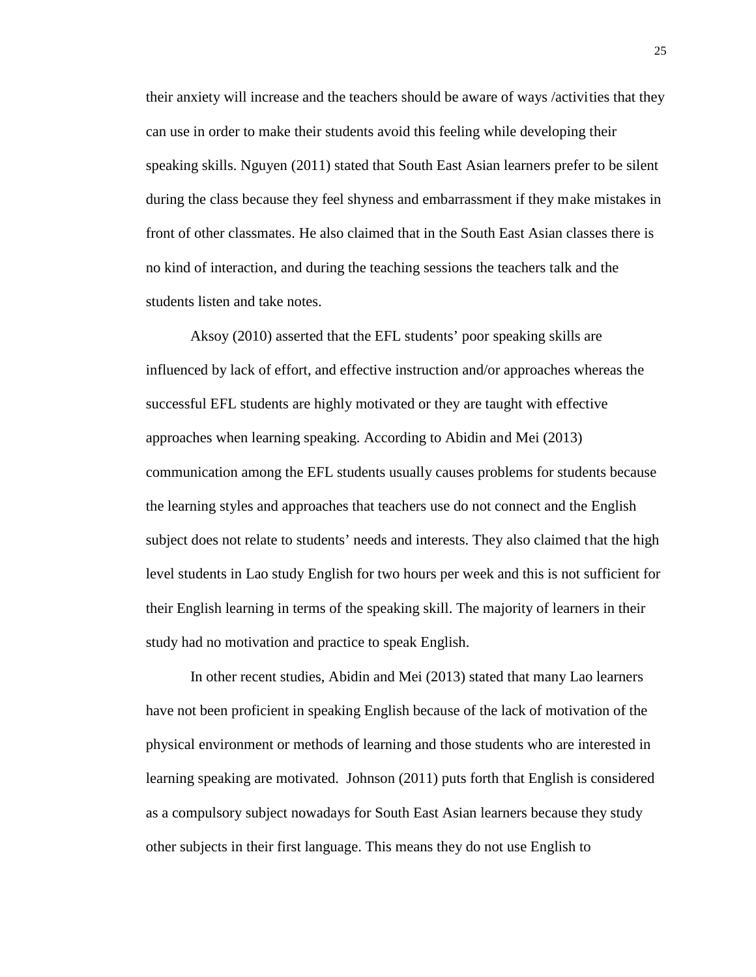their anxiety will increase and the teachers should be aware of ways /activities that they can use in order to make their students avoid this feeling while developing their speaking skills. Nguyen (2011) stated that South East Asian learners prefer to be silent during the class because they feel shyness and embarrassment if they make mistakes in front of other classmates. He also claimed that in the South East Asian classes there is no kind of interaction, and during the teaching sessions the teachers talk and the students listen and take notes.

Aksoy (2010) asserted that the EFL students' poor speaking skills are influenced by lack of effort, and effective instruction and/or approaches whereas the successful EFL students are highly motivated or they are taught with effective approaches when learning speaking. According to Abidin and Mei (2013) communication among the EFL students usually causes problems for students because the learning styles and approaches that teachers use do not connect and the English subject does not relate to students' needs and interests. They also claimed that the high level students in Lao study English for two hours per week and this is not sufficient for their English learning in terms of the speaking skill. The majority of learners in their study had no motivation and practice to speak English.

In other recent studies, Abidin and Mei (2013) stated that many Lao learners have not been proficient in speaking English because of the lack of motivation of the physical environment or methods of learning and those students who are interested in learning speaking are motivated. Johnson (2011) puts forth that English is considered as a compulsory subject nowadays for South East Asian learners because they study other subjects in their first language. This means they do not use English to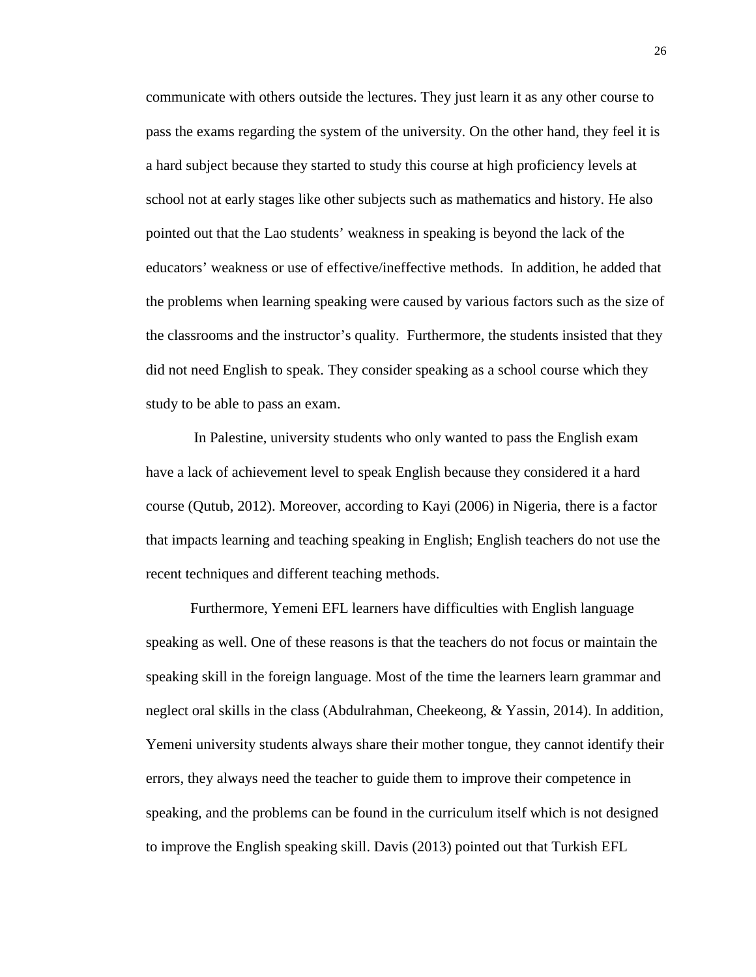communicate with others outside the lectures. They just learn it as any other course to pass the exams regarding the system of the university. On the other hand, they feel it is a hard subject because they started to study this course at high proficiency levels at school not at early stages like other subjects such as mathematics and history. He also pointed out that the Lao students' weakness in speaking is beyond the lack of the educators' weakness or use of effective/ineffective methods. In addition, he added that the problems when learning speaking were caused by various factors such as the size of the classrooms and the instructor's quality. Furthermore, the students insisted that they did not need English to speak. They consider speaking as a school course which they study to be able to pass an exam.

In Palestine, university students who only wanted to pass the English exam have a lack of achievement level to speak English because they considered it a hard course (Qutub, 2012). Moreover, according to Kayi (2006) in Nigeria, there is a factor that impacts learning and teaching speaking in English; English teachers do not use the recent techniques and different teaching methods.

Furthermore, Yemeni EFL learners have difficulties with English language speaking as well. One of these reasons is that the teachers do not focus or maintain the speaking skill in the foreign language. Most of the time the learners learn grammar and neglect oral skills in the class (Abdulrahman, Cheekeong, & Yassin, 2014). In addition, Yemeni university students always share their mother tongue, they cannot identify their errors, they always need the teacher to guide them to improve their competence in speaking, and the problems can be found in the curriculum itself which is not designed to improve the English speaking skill. Davis (2013) pointed out that Turkish EFL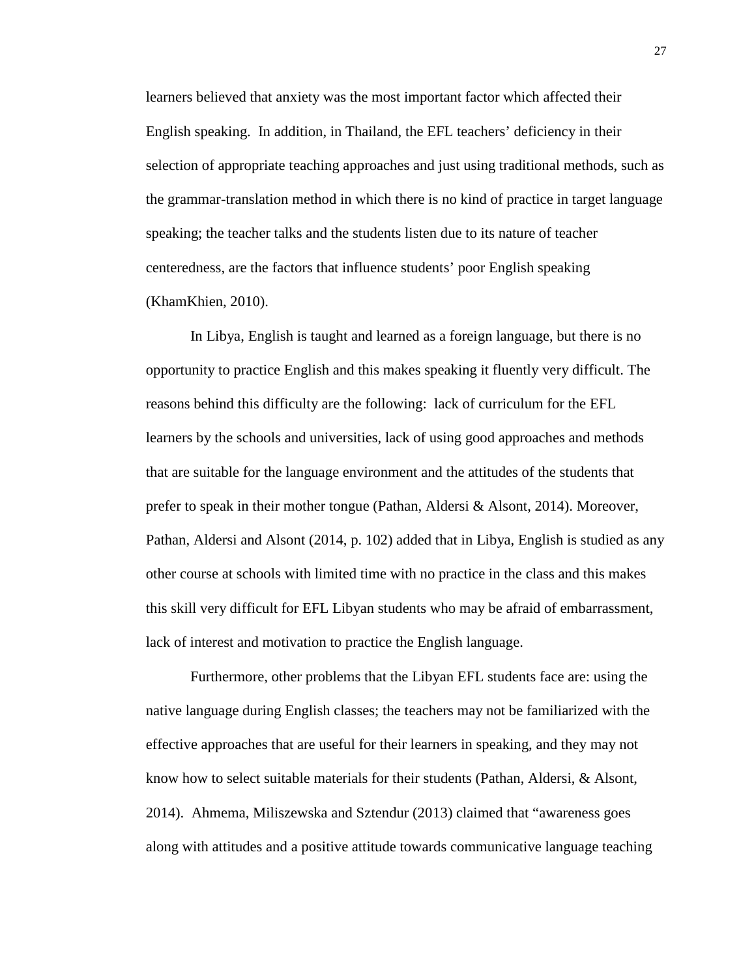learners believed that anxiety was the most important factor which affected their English speaking. In addition, in Thailand, the EFL teachers' deficiency in their selection of appropriate teaching approaches and just using traditional methods, such as the grammar-translation method in which there is no kind of practice in target language speaking; the teacher talks and the students listen due to its nature of teacher centeredness, are the factors that influence students' poor English speaking (KhamKhien, 2010).

In Libya, English is taught and learned as a foreign language, but there is no opportunity to practice English and this makes speaking it fluently very difficult. The reasons behind this difficulty are the following: lack of curriculum for the EFL learners by the schools and universities, lack of using good approaches and methods that are suitable for the language environment and the attitudes of the students that prefer to speak in their mother tongue (Pathan, Aldersi & Alsont, 2014). Moreover, Pathan, Aldersi and Alsont (2014, p. 102) added that in Libya, English is studied as any other course at schools with limited time with no practice in the class and this makes this skill very difficult for EFL Libyan students who may be afraid of embarrassment, lack of interest and motivation to practice the English language.

Furthermore, other problems that the Libyan EFL students face are: using the native language during English classes; the teachers may not be familiarized with the effective approaches that are useful for their learners in speaking, and they may not know how to select suitable materials for their students (Pathan, Aldersi, & Alsont, 2014). Ahmema, Miliszewska and Sztendur (2013) claimed that "awareness goes along with attitudes and a positive attitude towards communicative language teaching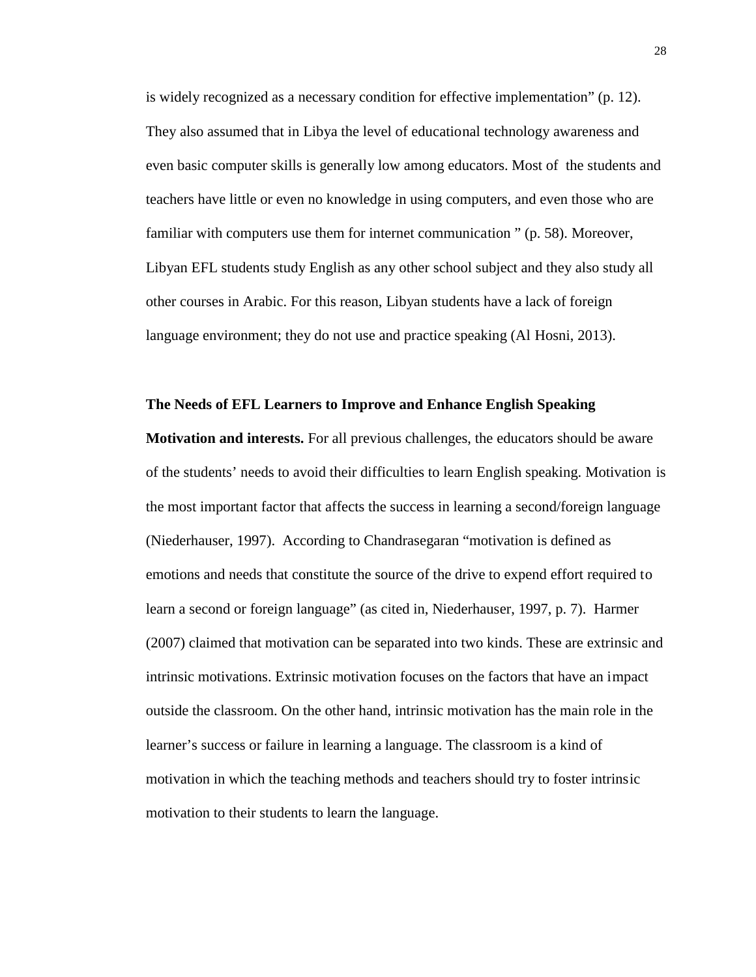is widely recognized as a necessary condition for effective implementation" (p. 12). They also assumed that in Libya the level of educational technology awareness and even basic computer skills is generally low among educators. Most of the students and teachers have little or even no knowledge in using computers, and even those who are familiar with computers use them for internet communication " (p. 58). Moreover, Libyan EFL students study English as any other school subject and they also study all other courses in Arabic. For this reason, Libyan students have a lack of foreign language environment; they do not use and practice speaking (Al Hosni, 2013).

#### **The Needs of EFL Learners to Improve and Enhance English Speaking**

**Motivation and interests.** For all previous challenges, the educators should be aware of the students' needs to avoid their difficulties to learn English speaking. Motivation is the most important factor that affects the success in learning a second/foreign language (Niederhauser, 1997). According to Chandrasegaran "motivation is defined as emotions and needs that constitute the source of the drive to expend effort required to learn a second or foreign language" (as cited in, Niederhauser, 1997, p. 7). Harmer (2007) claimed that motivation can be separated into two kinds. These are extrinsic and intrinsic motivations. Extrinsic motivation focuses on the factors that have an impact outside the classroom. On the other hand, intrinsic motivation has the main role in the learner's success or failure in learning a language. The classroom is a kind of motivation in which the teaching methods and teachers should try to foster intrinsic motivation to their students to learn the language.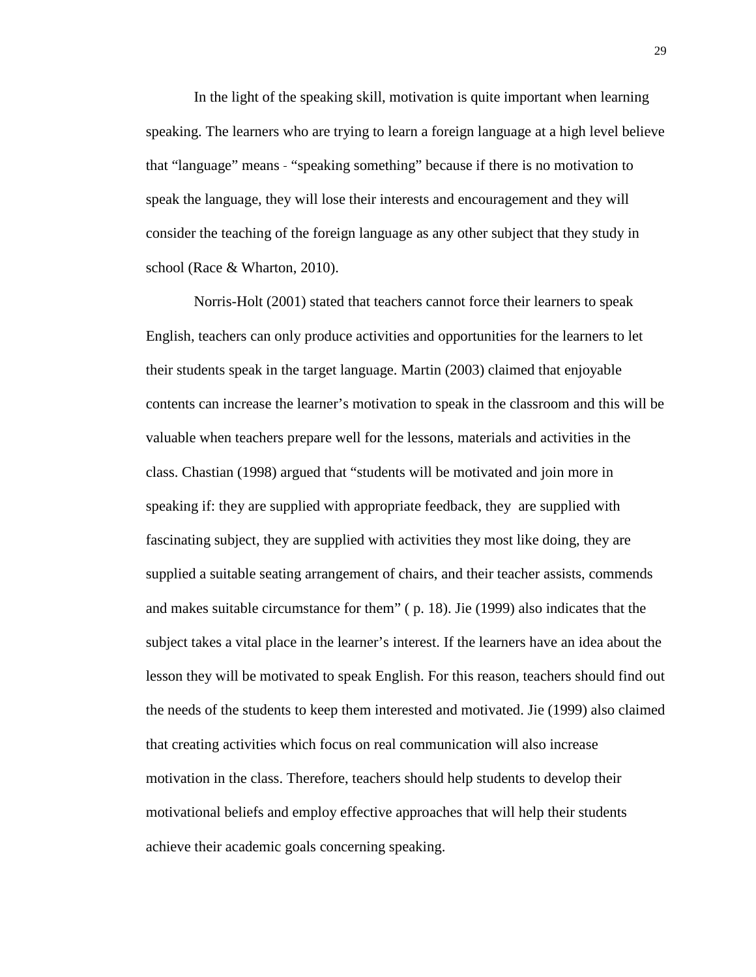In the light of the speaking skill, motivation is quite important when learning speaking. The learners who are trying to learn a foreign language at a high level believe that "language" means - "speaking something" because if there is no motivation to speak the language, they will lose their interests and encouragement and they will consider the teaching of the foreign language as any other subject that they study in school (Race & Wharton, 2010).

Norris-Holt (2001) stated that teachers cannot force their learners to speak English, teachers can only produce activities and opportunities for the learners to let their students speak in the target language. Martin (2003) claimed that enjoyable contents can increase the learner's motivation to speak in the classroom and this will be valuable when teachers prepare well for the lessons, materials and activities in the class. Chastian (1998) argued that "students will be motivated and join more in speaking if: they are supplied with appropriate feedback, they are supplied with fascinating subject, they are supplied with activities they most like doing, they are supplied a suitable seating arrangement of chairs, and their teacher assists, commends and makes suitable circumstance for them" ( p. 18). Jie (1999) also indicates that the subject takes a vital place in the learner's interest. If the learners have an idea about the lesson they will be motivated to speak English. For this reason, teachers should find out the needs of the students to keep them interested and motivated. Jie (1999) also claimed that creating activities which focus on real communication will also increase motivation in the class. Therefore, teachers should help students to develop their motivational beliefs and employ effective approaches that will help their students achieve their academic goals concerning speaking.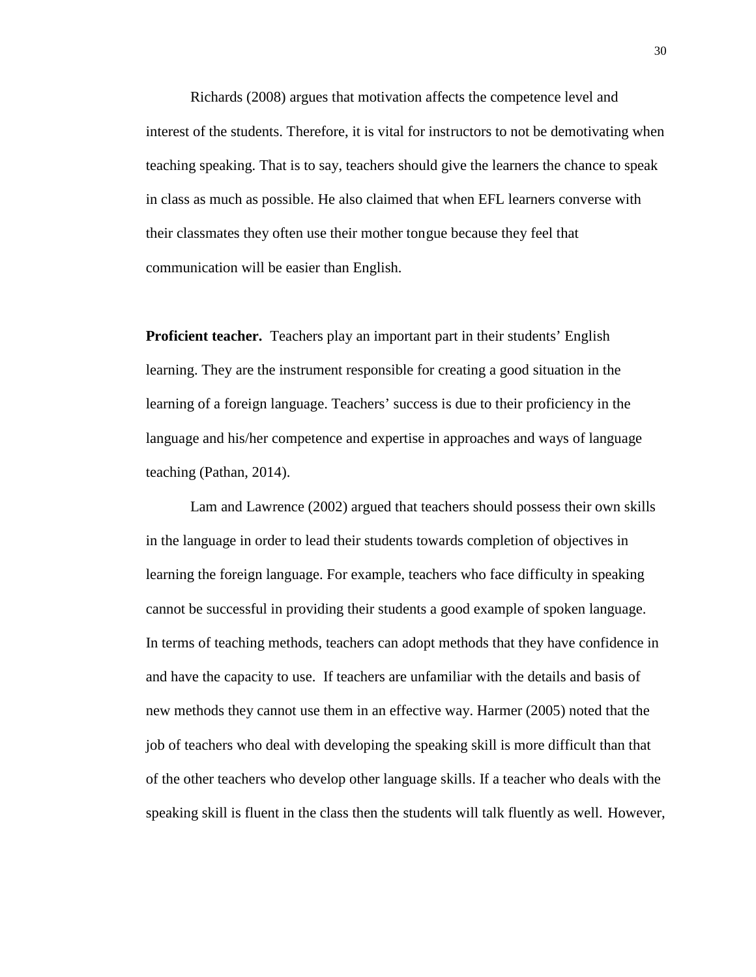Richards (2008) argues that motivation affects the competence level and interest of the students. Therefore, it is vital for instructors to not be demotivating when teaching speaking. That is to say, teachers should give the learners the chance to speak in class as much as possible. He also claimed that when EFL learners converse with their classmates they often use their mother tongue because they feel that communication will be easier than English.

**Proficient teacher.** Teachers play an important part in their students' English learning. They are the instrument responsible for creating a good situation in the learning of a foreign language. Teachers' success is due to their proficiency in the language and his/her competence and expertise in approaches and ways of language teaching (Pathan, 2014).

Lam and Lawrence (2002) argued that teachers should possess their own skills in the language in order to lead their students towards completion of objectives in learning the foreign language. For example, teachers who face difficulty in speaking cannot be successful in providing their students a good example of spoken language. In terms of teaching methods, teachers can adopt methods that they have confidence in and have the capacity to use. If teachers are unfamiliar with the details and basis of new methods they cannot use them in an effective way. Harmer (2005) noted that the job of teachers who deal with developing the speaking skill is more difficult than that of the other teachers who develop other language skills. If a teacher who deals with the speaking skill is fluent in the class then the students will talk fluently as well. However,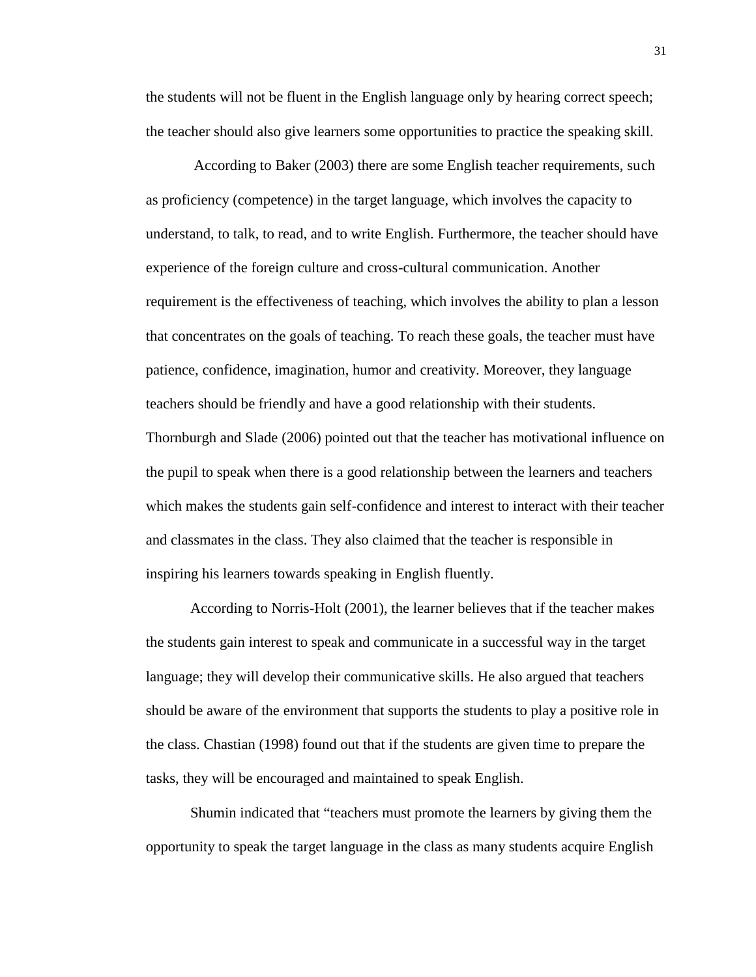the students will not be fluent in the English language only by hearing correct speech; the teacher should also give learners some opportunities to practice the speaking skill.

According to Baker (2003) there are some English teacher requirements, such as proficiency (competence) in the target language, which involves the capacity to understand, to talk, to read, and to write English. Furthermore, the teacher should have experience of the foreign culture and cross-cultural communication. Another requirement is the effectiveness of teaching, which involves the ability to plan a lesson that concentrates on the goals of teaching. To reach these goals, the teacher must have patience, confidence, imagination, humor and creativity. Moreover, they language teachers should be friendly and have a good relationship with their students. Thornburgh and Slade (2006) pointed out that the teacher has motivational influence on the pupil to speak when there is a good relationship between the learners and teachers which makes the students gain self-confidence and interest to interact with their teacher and classmates in the class. They also claimed that the teacher is responsible in inspiring his learners towards speaking in English fluently.

According to Norris-Holt (2001), the learner believes that if the teacher makes the students gain interest to speak and communicate in a successful way in the target language; they will develop their communicative skills. He also argued that teachers should be aware of the environment that supports the students to play a positive role in the class. Chastian (1998) found out that if the students are given time to prepare the tasks, they will be encouraged and maintained to speak English.

Shumin indicated that "teachers must promote the learners by giving them the opportunity to speak the target language in the class as many students acquire English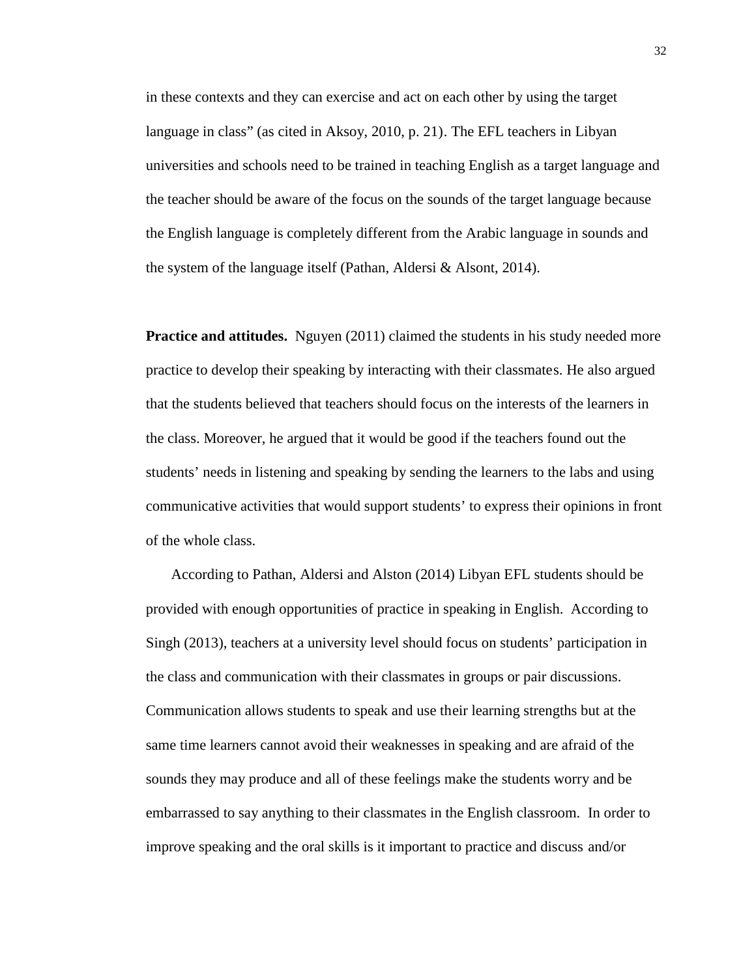in these contexts and they can exercise and act on each other by using the target language in class" (as cited in Aksoy, 2010, p. 21). The EFL teachers in Libyan universities and schools need to be trained in teaching English as a target language and the teacher should be aware of the focus on the sounds of the target language because the English language is completely different from the Arabic language in sounds and the system of the language itself (Pathan, Aldersi & Alsont, 2014).

**Practice and attitudes.** Nguyen (2011) claimed the students in his study needed more practice to develop their speaking by interacting with their classmates. He also argued that the students believed that teachers should focus on the interests of the learners in the class. Moreover, he argued that it would be good if the teachers found out the students' needs in listening and speaking by sending the learners to the labs and using communicative activities that would support students' to express their opinions in front of the whole class.

According to Pathan, Aldersi and Alston (2014) Libyan EFL students should be provided with enough opportunities of practice in speaking in English. According to Singh (2013), teachers at a university level should focus on students' participation in the class and communication with their classmates in groups or pair discussions. Communication allows students to speak and use their learning strengths but at the same time learners cannot avoid their weaknesses in speaking and are afraid of the sounds they may produce and all of these feelings make the students worry and be embarrassed to say anything to their classmates in the English classroom. In order to improve speaking and the oral skills is it important to practice and discuss and/or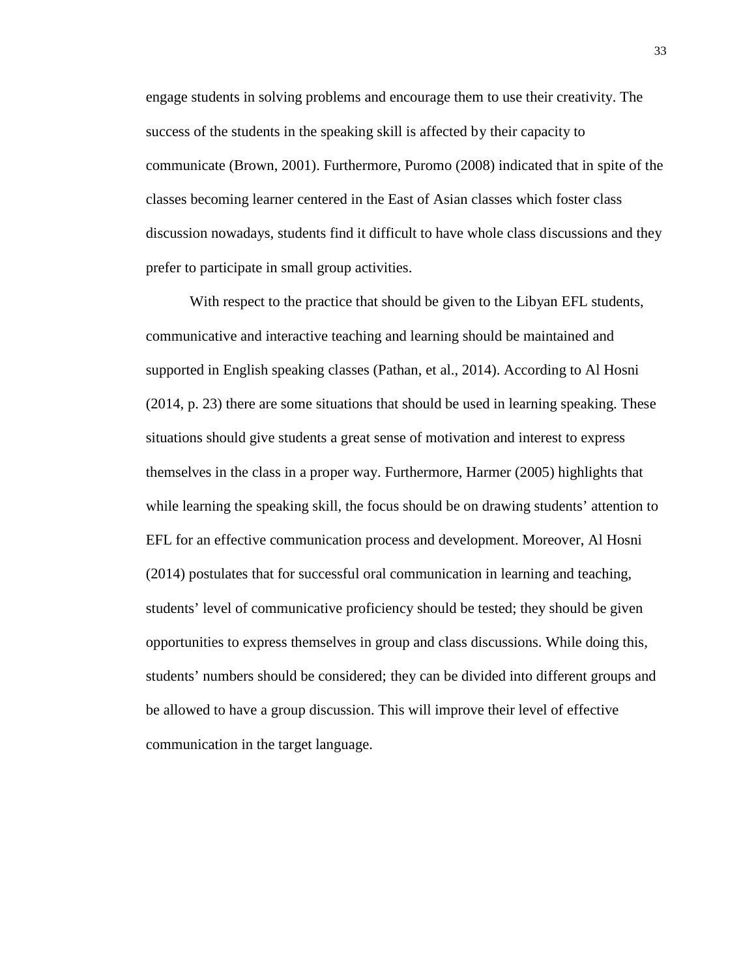engage students in solving problems and encourage them to use their creativity. The success of the students in the speaking skill is affected by their capacity to communicate (Brown, 2001). Furthermore, Puromo (2008) indicated that in spite of the classes becoming learner centered in the East of Asian classes which foster class discussion nowadays, students find it difficult to have whole class discussions and they prefer to participate in small group activities.

With respect to the practice that should be given to the Libyan EFL students, communicative and interactive teaching and learning should be maintained and supported in English speaking classes (Pathan, et al., 2014). According to Al Hosni (2014, p. 23) there are some situations that should be used in learning speaking. These situations should give students a great sense of motivation and interest to express themselves in the class in a proper way. Furthermore, Harmer (2005) highlights that while learning the speaking skill, the focus should be on drawing students' attention to EFL for an effective communication process and development. Moreover, Al Hosni (2014) postulates that for successful oral communication in learning and teaching, students' level of communicative proficiency should be tested; they should be given opportunities to express themselves in group and class discussions. While doing this, students' numbers should be considered; they can be divided into different groups and be allowed to have a group discussion. This will improve their level of effective communication in the target language.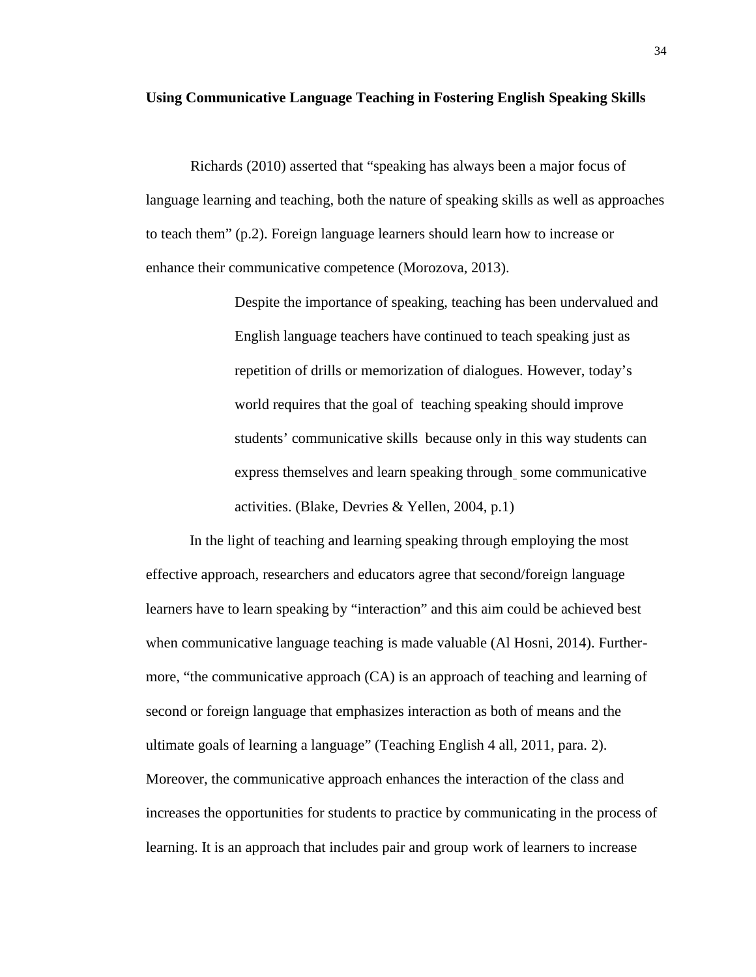#### **Using Communicative Language Teaching in Fostering English Speaking Skills**

Richards (2010) asserted that "speaking has always been a major focus of language learning and teaching, both the nature of speaking skills as well as approaches to teach them" (p.2). Foreign language learners should learn how to increase or enhance their communicative competence (Morozova, 2013).

> Despite the importance of speaking, teaching has been undervalued and English language teachers have continued to teach speaking just as repetition of drills or memorization of dialogues. However, today's world requires that the goal of teaching speaking should improve students' communicative skills because only in this way students can express themselves and learn speaking through some communicative activities. (Blake, Devries & Yellen, 2004, p.1)

In the light of teaching and learning speaking through employing the most effective approach, researchers and educators agree that second/foreign language learners have to learn speaking by "interaction" and this aim could be achieved best when communicative language teaching is made valuable (Al Hosni, 2014). Further more, "the communicative approach (CA) is an approach of teaching and learning of second or foreign language that emphasizes interaction as both of means and the ultimate goals of learning a language" (Teaching English 4 all, 2011, para. 2). Moreover, the communicative approach enhances the interaction of the class and increases the opportunities for students to practice by communicating in the process of learning. It is an approach that includes pair and group work of learners to increase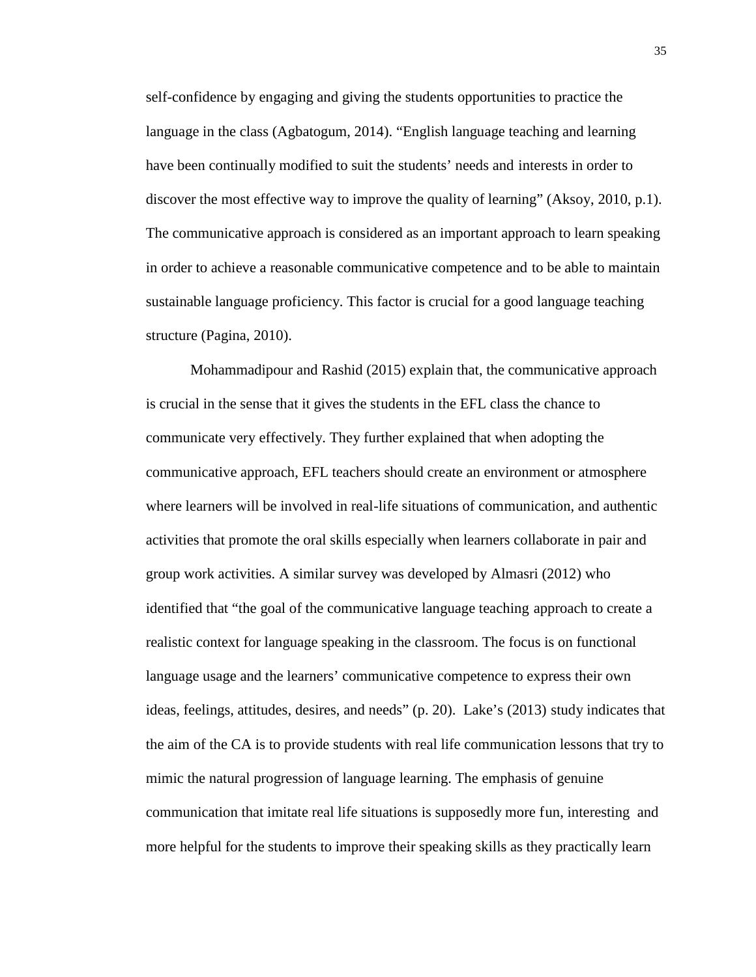self-confidence by engaging and giving the students opportunities to practice the language in the class (Agbatogum, 2014). "English language teaching and learning have been continually modified to suit the students' needs and interests in order to discover the most effective way to improve the quality of learning" (Aksoy, 2010, p.1). The communicative approach is considered as an important approach to learn speaking in order to achieve a reasonable communicative competence and to be able to maintain sustainable language proficiency. This factor is crucial for a good language teaching structure (Pagina, 2010).

Mohammadipour and Rashid (2015) explain that, the communicative approach is crucial in the sense that it gives the students in the EFL class the chance to communicate very effectively. They further explained that when adopting the communicative approach, EFL teachers should create an environment or atmosphere where learners will be involved in real-life situations of communication, and authentic activities that promote the oral skills especially when learners collaborate in pair and group work activities. A similar survey was developed by Almasri (2012) who identified that "the goal of the communicative language teaching approach to create a realistic context for language speaking in the classroom. The focus is on functional language usage and the learners' communicative competence to express their own ideas, feelings, attitudes, desires, and needs" (p. 20). Lake's (2013) study indicates that the aim of the CA is to provide students with real life communication lessons that try to mimic the natural progression of language learning. The emphasis of genuine communication that imitate real life situations is supposedly more fun, interesting and more helpful for the students to improve their speaking skills as they practically learn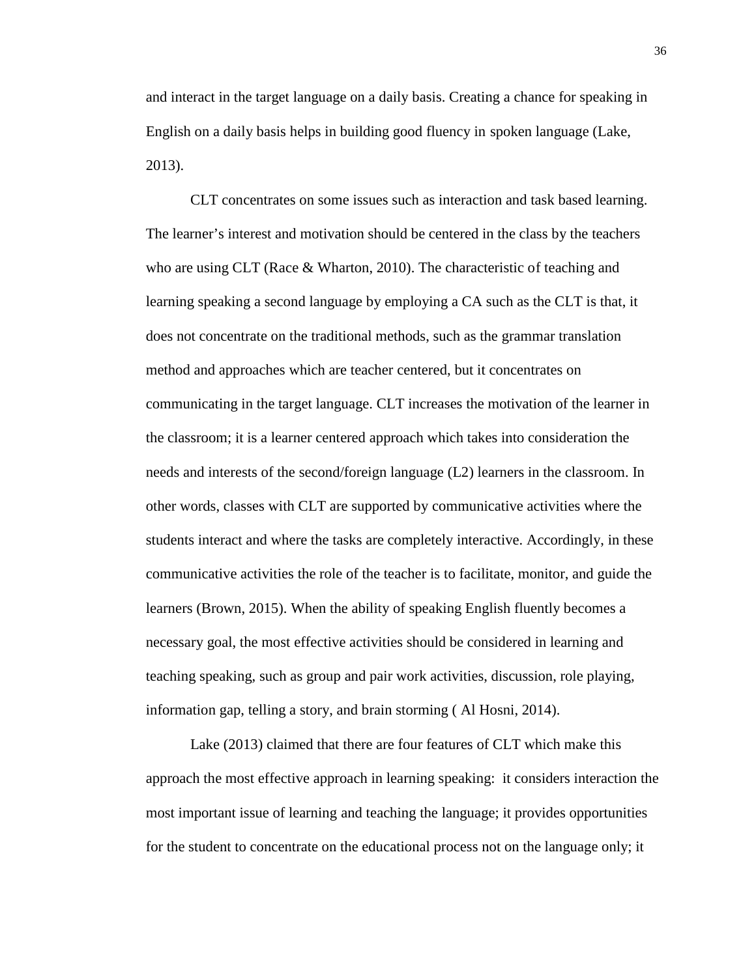and interact in the target language on a daily basis. Creating a chance for speaking in English on a daily basis helps in building good fluency in spoken language (Lake, 2013).

CLT concentrates on some issues such as interaction and task based learning. The learner's interest and motivation should be centered in the class by the teachers who are using CLT (Race & Wharton, 2010). The characteristic of teaching and learning speaking a second language by employing a CA such as the CLT is that, it does not concentrate on the traditional methods, such as the grammar translation method and approaches which are teacher centered, but it concentrates on communicating in the target language. CLT increases the motivation of the learner in the classroom; it is a learner centered approach which takes into consideration the needs and interests of the second/foreign language (L2) learners in the classroom. In other words, classes with CLT are supported by communicative activities where the students interact and where the tasks are completely interactive. Accordingly, in these communicative activities the role of the teacher is to facilitate, monitor, and guide the learners (Brown, 2015). When the ability of speaking English fluently becomes a necessary goal, the most effective activities should be considered in learning and teaching speaking, such as group and pair work activities, discussion, role playing, information gap, telling a story, and brain storming ( Al Hosni, 2014).

Lake (2013) claimed that there are four features of CLT which make this approach the most effective approach in learning speaking: it considers interaction the most important issue of learning and teaching the language; it provides opportunities for the student to concentrate on the educational process not on the language only; it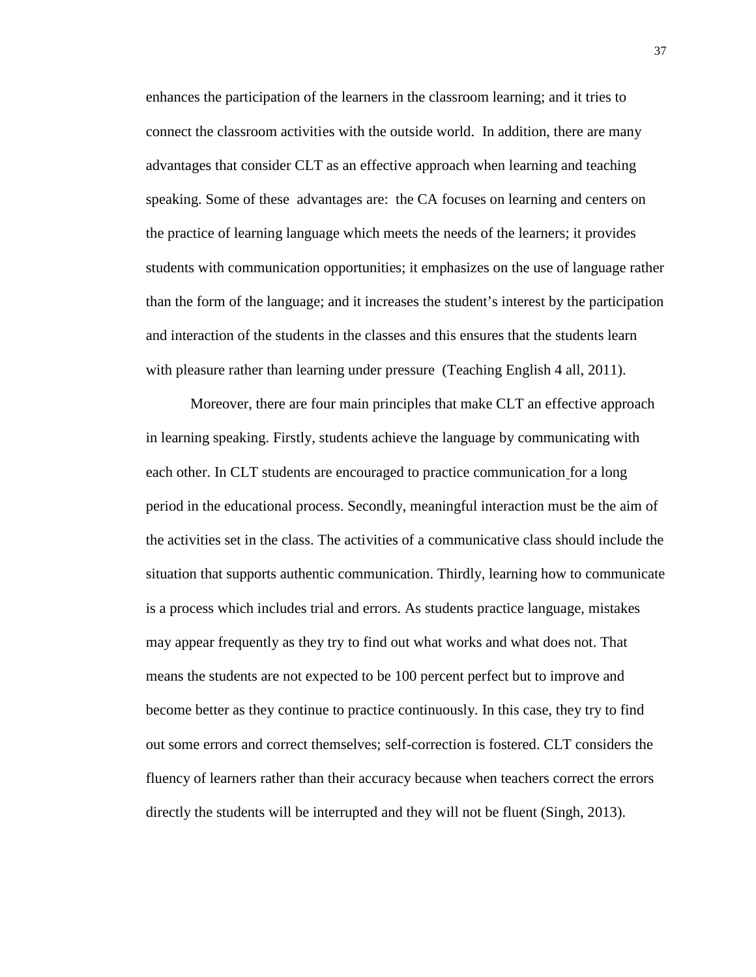enhances the participation of the learners in the classroom learning; and it tries to connect the classroom activities with the outside world. In addition, there are many advantages that consider CLT as an effective approach when learning and teaching speaking. Some of these advantages are: the CA focuses on learning and centers on the practice of learning language which meets the needs of the learners; it provides students with communication opportunities; it emphasizes on the use of language rather than the form of the language; and it increases the student's interest by the participation and interaction of the students in the classes and this ensures that the students learn with pleasure rather than learning under pressure (Teaching English 4 all, 2011).

Moreover, there are four main principles that make CLT an effective approach in learning speaking. Firstly, students achieve the language by communicating with each other. In CLT students are encouraged to practice communication for a long period in the educational process. Secondly, meaningful interaction must be the aim of the activities set in the class. The activities of a communicative class should include the situation that supports authentic communication. Thirdly, learning how to communicate is a process which includes trial and errors. As students practice language, mistakes may appear frequently as they try to find out what works and what does not. That means the students are not expected to be 100 percent perfect but to improve and become better as they continue to practice continuously. In this case, they try to find out some errors and correct themselves; self-correction is fostered. CLT considers the fluency of learners rather than their accuracy because when teachers correct the errors directly the students will be interrupted and they will not be fluent (Singh, 2013).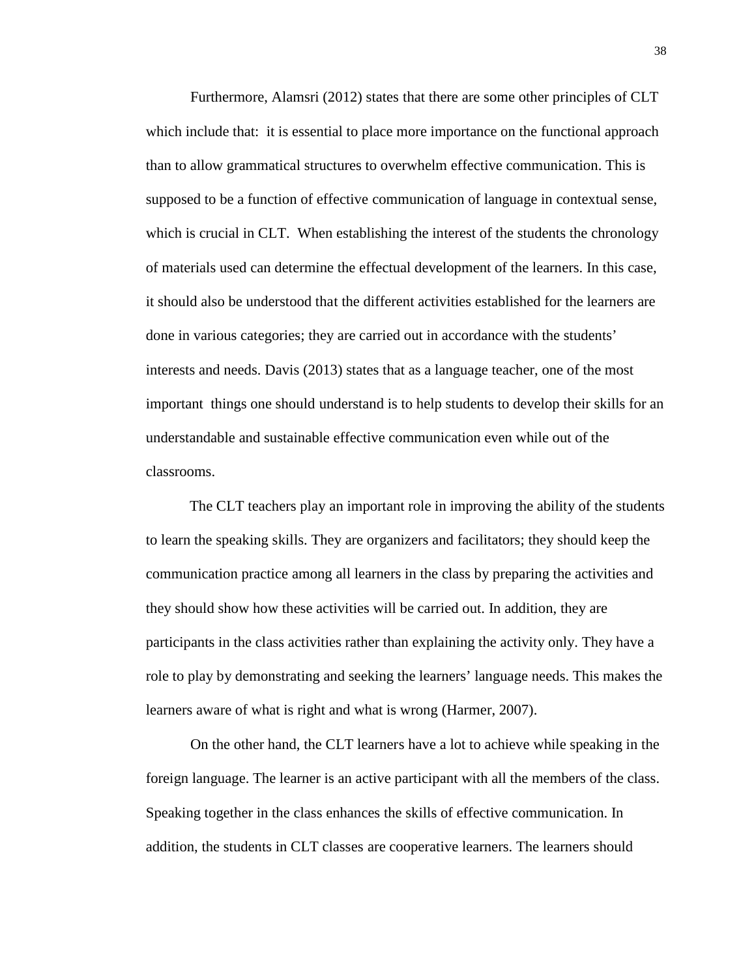Furthermore, Alamsri (2012) states that there are some other principles of CLT which include that: it is essential to place more importance on the functional approach than to allow grammatical structures to overwhelm effective communication. This is supposed to be a function of effective communication of language in contextual sense, which is crucial in CLT. When establishing the interest of the students the chronology of materials used can determine the effectual development of the learners. In this case, it should also be understood that the different activities established for the learners are done in various categories; they are carried out in accordance with the students' interests and needs. Davis (2013) states that as a language teacher, one of the most important things one should understand is to help students to develop their skills for an understandable and sustainable effective communication even while out of the classrooms.

The CLT teachers play an important role in improving the ability of the students to learn the speaking skills. They are organizers and facilitators; they should keep the communication practice among all learners in the class by preparing the activities and they should show how these activities will be carried out. In addition, they are participants in the class activities rather than explaining the activity only. They have a role to play by demonstrating and seeking the learners' language needs. This makes the learners aware of what is right and what is wrong (Harmer, 2007).

On the other hand, the CLT learners have a lot to achieve while speaking in the foreign language. The learner is an active participant with all the members of the class. Speaking together in the class enhances the skills of effective communication. In addition, the students in CLT classes are cooperative learners. The learners should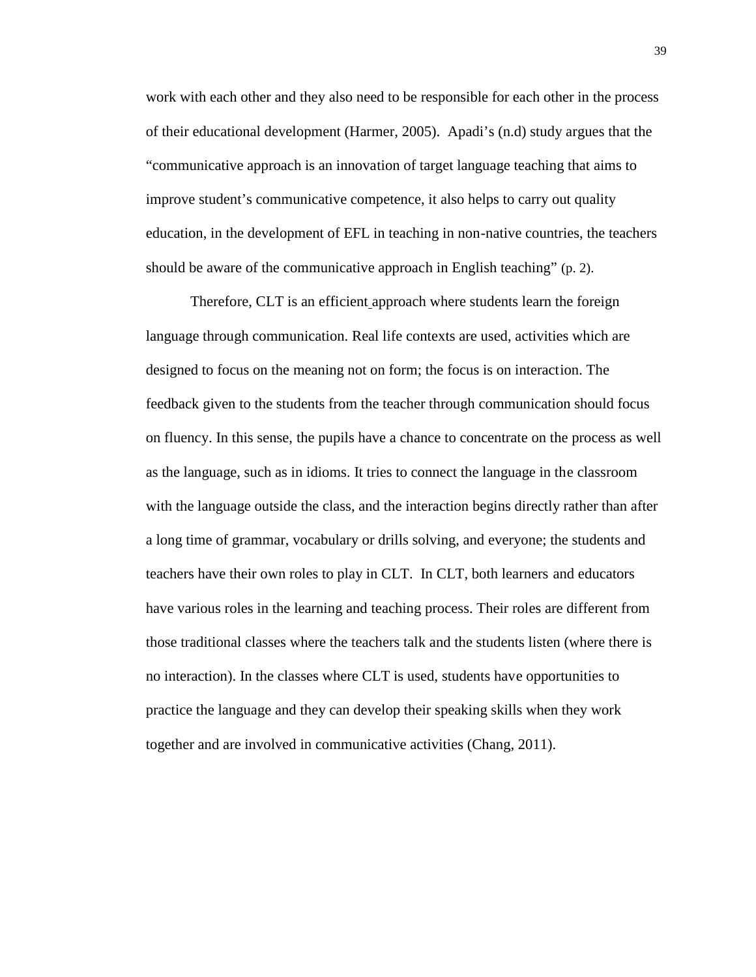work with each other and they also need to be responsible for each other in the process of their educational development (Harmer, 2005). Apadi's (n.d) study argues that the "communicative approach is an innovation of target language teaching that aims to improve student's communicative competence, it also helps to carry out quality education, in the development of EFL in teaching in non-native countries, the teachers should be aware of the communicative approach in English teaching" (p. 2).

Therefore, CLT is an efficient approach where students learn the foreign language through communication. Real life contexts are used, activities which are designed to focus on the meaning not on form; the focus is on interaction. The feedback given to the students from the teacher through communication should focus on fluency. In this sense, the pupils have a chance to concentrate on the process as well as the language, such as in idioms. It tries to connect the language in the classroom with the language outside the class, and the interaction begins directly rather than after a long time of grammar, vocabulary or drills solving, and everyone; the students and teachers have their own roles to play in CLT. In CLT, both learners and educators have various roles in the learning and teaching process. Their roles are different from those traditional classes where the teachers talk and the students listen (where there is no interaction). In the classes where CLT is used, students have opportunities to practice the language and they can develop their speaking skills when they work together and are involved in communicative activities (Chang, 2011).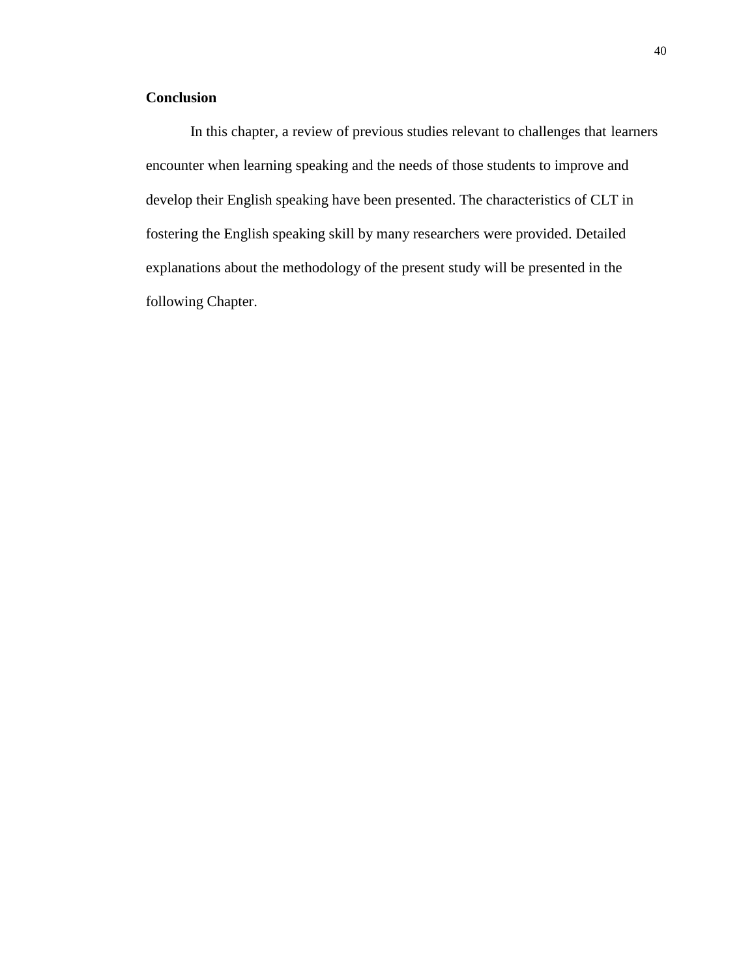## **Conclusion**

In this chapter, a review of previous studies relevant to challenges that learners encounter when learning speaking and the needs of those students to improve and develop their English speaking have been presented. The characteristics of CLT in fostering the English speaking skill by many researchers were provided. Detailed explanations about the methodology of the present study will be presented in the following Chapter.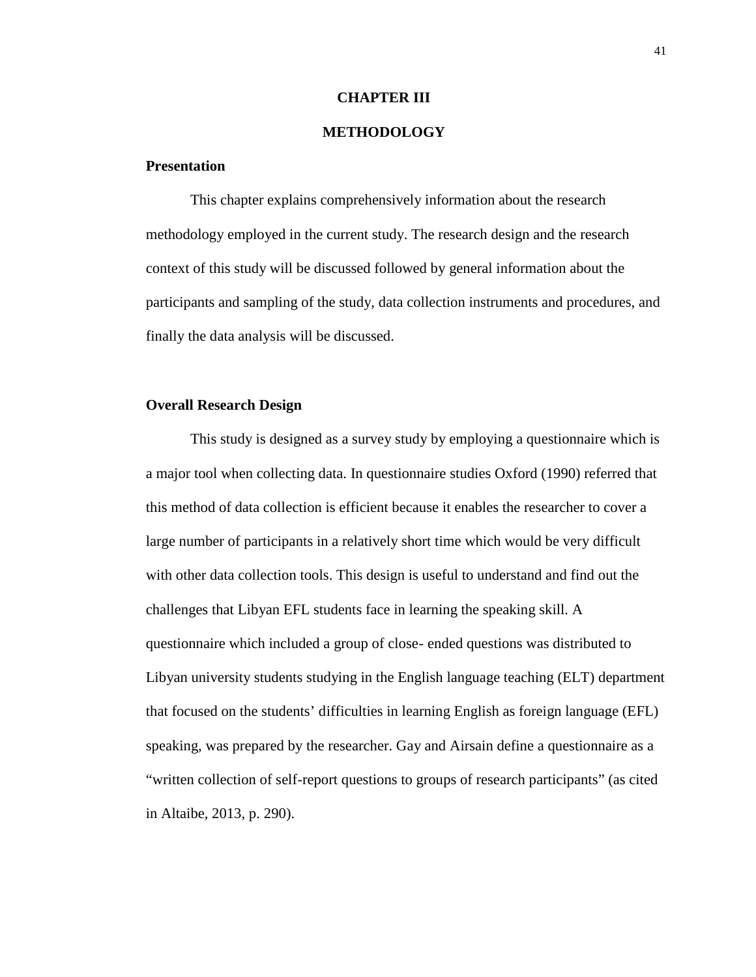#### **CHAPTER III**

### **METHODOLOGY**

#### **Presentation**

This chapter explains comprehensively information about the research methodology employed in the current study. The research design and the research context of this study will be discussed followed by general information about the participants and sampling of the study, data collection instruments and procedures, and finally the data analysis will be discussed.

#### **Overall Research Design**

This study is designed as a survey study by employing a questionnaire which is a major tool when collecting data. In questionnaire studies Oxford (1990) referred that this method of data collection is efficient because it enables the researcher to cover a large number of participants in a relatively short time which would be very difficult with other data collection tools. This design is useful to understand and find out the challenges that Libyan EFL students face in learning the speaking skill. A questionnaire which included a group of close- ended questions was distributed to Libyan university students studying in the English language teaching (ELT) department that focused on the students' difficulties in learning English as foreign language (EFL) speaking, was prepared by the researcher. Gay and Airsain define a questionnaire as a "written collection of self-report questions to groups of research participants" (as cited in Altaibe, 2013, p. 290).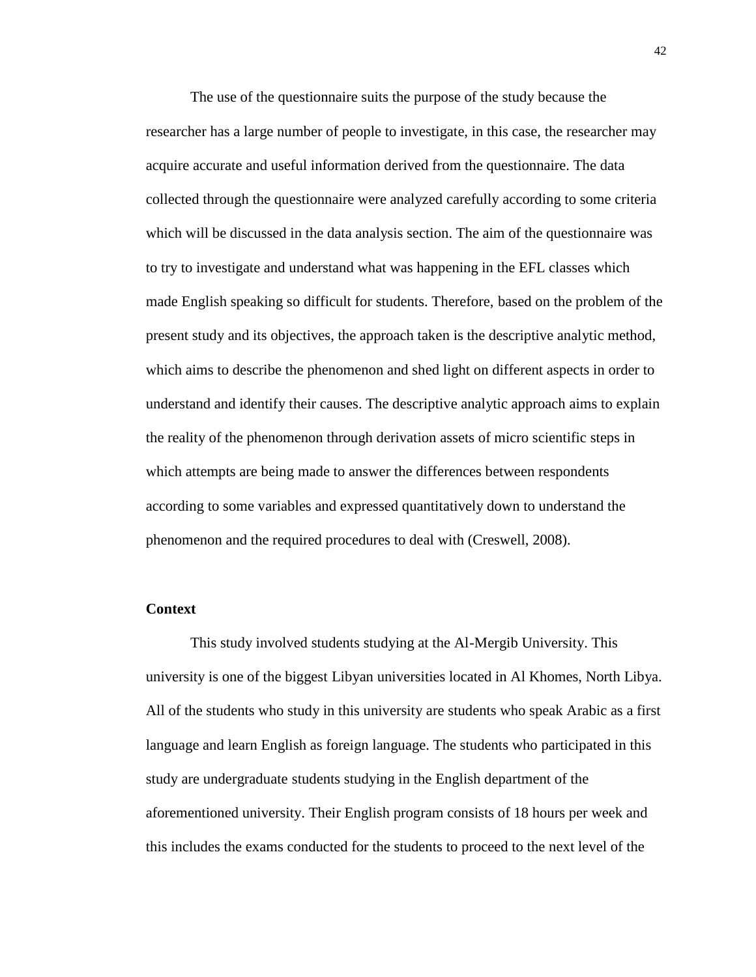The use of the questionnaire suits the purpose of the study because the researcher has a large number of people to investigate, in this case, the researcher may acquire accurate and useful information derived from the questionnaire. The data collected through the questionnaire were analyzed carefully according to some criteria which will be discussed in the data analysis section. The aim of the questionnaire was to try to investigate and understand what was happening in the EFL classes which made English speaking so difficult for students. Therefore, based on the problem of the present study and its objectives, the approach taken is the descriptive analytic method, which aims to describe the phenomenon and shed light on different aspects in order to understand and identify their causes. The descriptive analytic approach aims to explain the reality of the phenomenon through derivation assets of micro scientific steps in which attempts are being made to answer the differences between respondents according to some variables and expressed quantitatively down to understand the phenomenon and the required procedures to deal with (Creswell, 2008).

#### **Context**

This study involved students studying at the Al-Mergib University. This university is one of the biggest Libyan universities located in Al Khomes, North Libya. All of the students who study in this university are students who speak Arabic as a first language and learn English as foreign language. The students who participated in this study are undergraduate students studying in the English department of the aforementioned university. Their English program consists of 18 hours per week and this includes the exams conducted for the students to proceed to the next level of the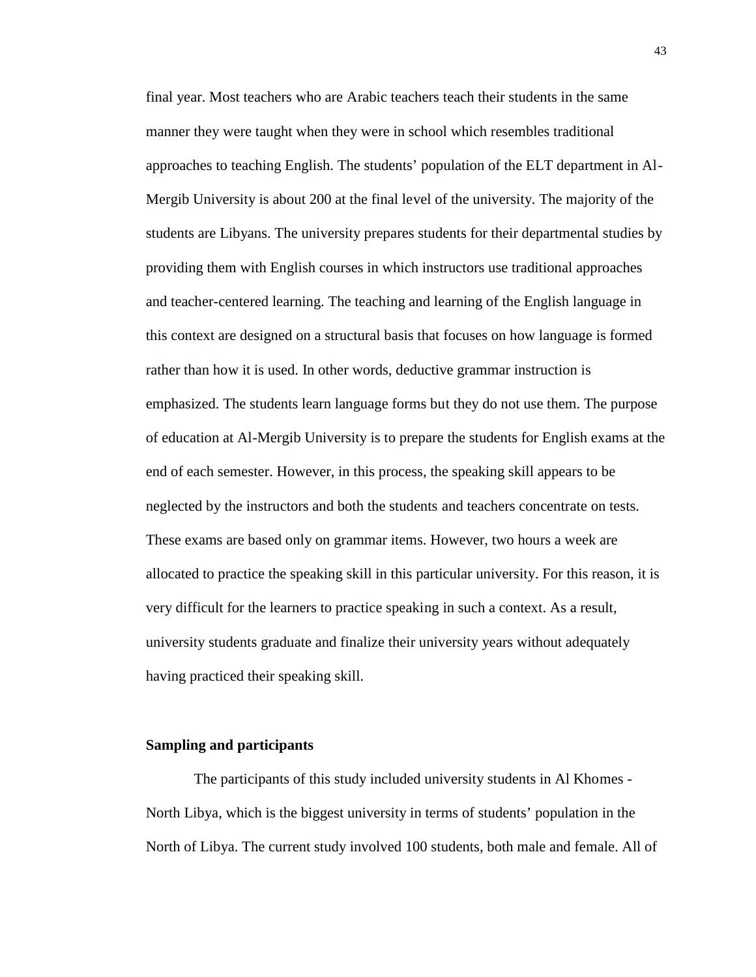final year. Most teachers who are Arabic teachers teach their students in the same manner they were taught when they were in school which resembles traditional approaches to teaching English. The students' population of the ELT department in Al- Mergib University is about 200 at the final level of the university. The majority of the students are Libyans. The university prepares students for their departmental studies by providing them with English courses in which instructors use traditional approaches and teacher-centered learning. The teaching and learning of the English language in this context are designed on a structural basis that focuses on how language is formed rather than how it is used. In other words, deductive grammar instruction is emphasized. The students learn language forms but they do not use them. The purpose of education at Al-Mergib University is to prepare the students for English exams at the end of each semester. However, in this process, the speaking skill appears to be neglected by the instructors and both the students and teachers concentrate on tests. These exams are based only on grammar items. However, two hours a week are allocated to practice the speaking skill in this particular university. For this reason, it is very difficult for the learners to practice speaking in such a context. As a result, university students graduate and finalize their university years without adequately having practiced their speaking skill.

#### **Sampling and participants**

The participants of this study included university students in Al Khomes - North Libya, which is the biggest university in terms of students' population in the North of Libya. The current study involved 100 students, both male and female. All of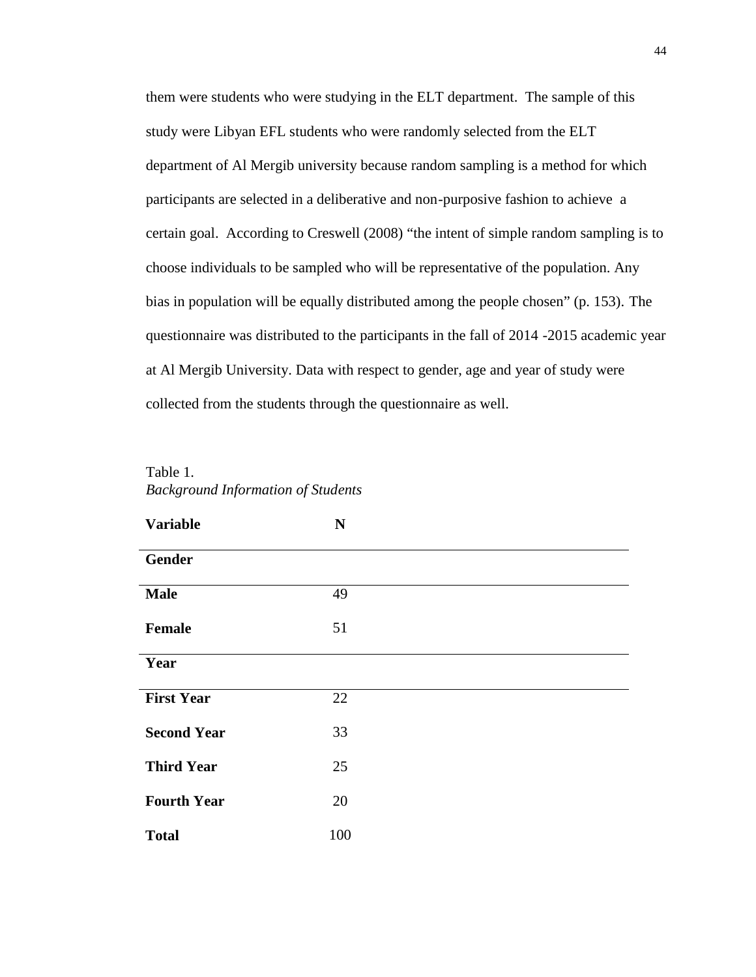them were students who were studying in the ELT department. The sample of this study were Libyan EFL students who were randomly selected from the ELT department of Al Mergib university because random sampling is a method for which participants are selected in a deliberative and non-purposive fashion to achieve a certain goal. According to Creswell (2008) "the intent of simple random sampling is to choose individuals to be sampled who will be representative of the population. Any bias in population will be equally distributed among the people chosen" (p. 153). The questionnaire was distributed to the participants in the fall of 2014 -2015 academic year at Al Mergib University. Data with respect to gender, age and year of study were collected from the students through the questionnaire as well.

Table 1. *Background Information of Students*

| <b>Variable</b>    | N   |  |
|--------------------|-----|--|
| <b>Gender</b>      |     |  |
| <b>Male</b>        | 49  |  |
| Female             | 51  |  |
| Year               |     |  |
| <b>First Year</b>  | 22  |  |
| <b>Second Year</b> | 33  |  |
| <b>Third Year</b>  | 25  |  |
| <b>Fourth Year</b> | 20  |  |
| <b>Total</b>       | 100 |  |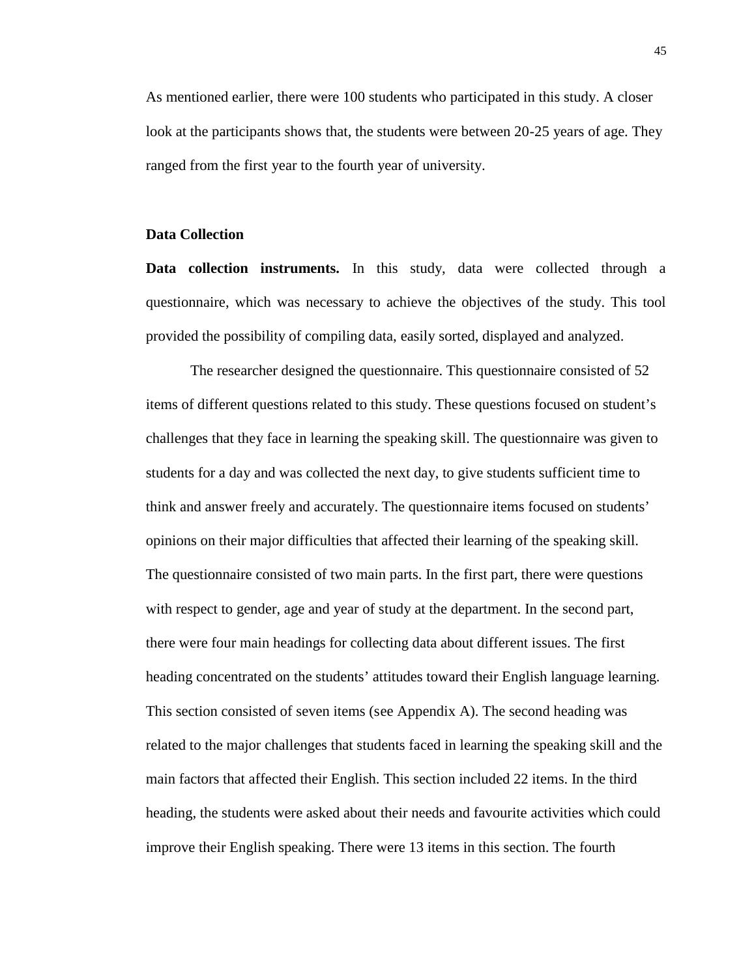As mentioned earlier, there were 100 students who participated in this study. A closer look at the participants shows that, the students were between 20-25 years of age. They ranged from the first year to the fourth year of university.

#### **Data Collection**

**Data collection instruments.** In this study, data were collected through a questionnaire, which was necessary to achieve the objectives of the study. This tool provided the possibility of compiling data, easily sorted, displayed and analyzed.

The researcher designed the questionnaire. This questionnaire consisted of 52 items of different questions related to this study. These questions focused on student's challenges that they face in learning the speaking skill. The questionnaire was given to students for a day and was collected the next day, to give students sufficient time to think and answer freely and accurately. The questionnaire items focused on students' opinions on their major difficulties that affected their learning of the speaking skill. The questionnaire consisted of two main parts. In the first part, there were questions with respect to gender, age and year of study at the department. In the second part, there were four main headings for collecting data about different issues. The first heading concentrated on the students' attitudes toward their English language learning. This section consisted of seven items (see Appendix A). The second heading was related to the major challenges that students faced in learning the speaking skill and the main factors that affected their English. This section included 22 items. In the third heading, the students were asked about their needs and favourite activities which could improve their English speaking. There were 13 items in this section. The fourth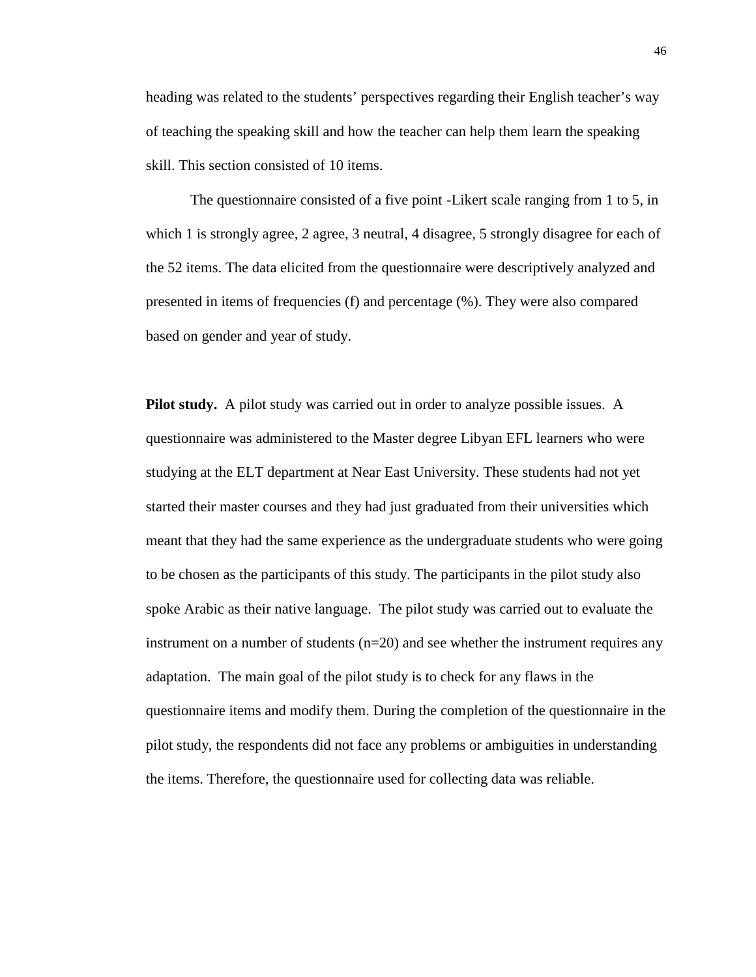heading was related to the students' perspectives regarding their English teacher's way of teaching the speaking skill and how the teacher can help them learn the speaking skill. This section consisted of 10 items.

The questionnaire consisted of a five point -Likert scale ranging from 1 to 5, in which 1 is strongly agree, 2 agree, 3 neutral, 4 disagree, 5 strongly disagree for each of the 52 items. The data elicited from the questionnaire were descriptively analyzed and presented in items of frequencies (f) and percentage (%). They were also compared based on gender and year of study.

**Pilot study.** A pilot study was carried out in order to analyze possible issues. A questionnaire was administered to the Master degree Libyan EFL learners who were studying at the ELT department at Near East University. These students had not yet started their master courses and they had just graduated from their universities which meant that they had the same experience as the undergraduate students who were going to be chosen as the participants of this study. The participants in the pilot study also spoke Arabic as their native language. The pilot study was carried out to evaluate the instrument on a number of students  $(n=20)$  and see whether the instrument requires any adaptation. The main goal of the pilot study is to check for any flaws in the questionnaire items and modify them. During the completion of the questionnaire in the pilot study, the respondents did not face any problems or ambiguities in understanding the items. Therefore, the questionnaire used for collecting data was reliable.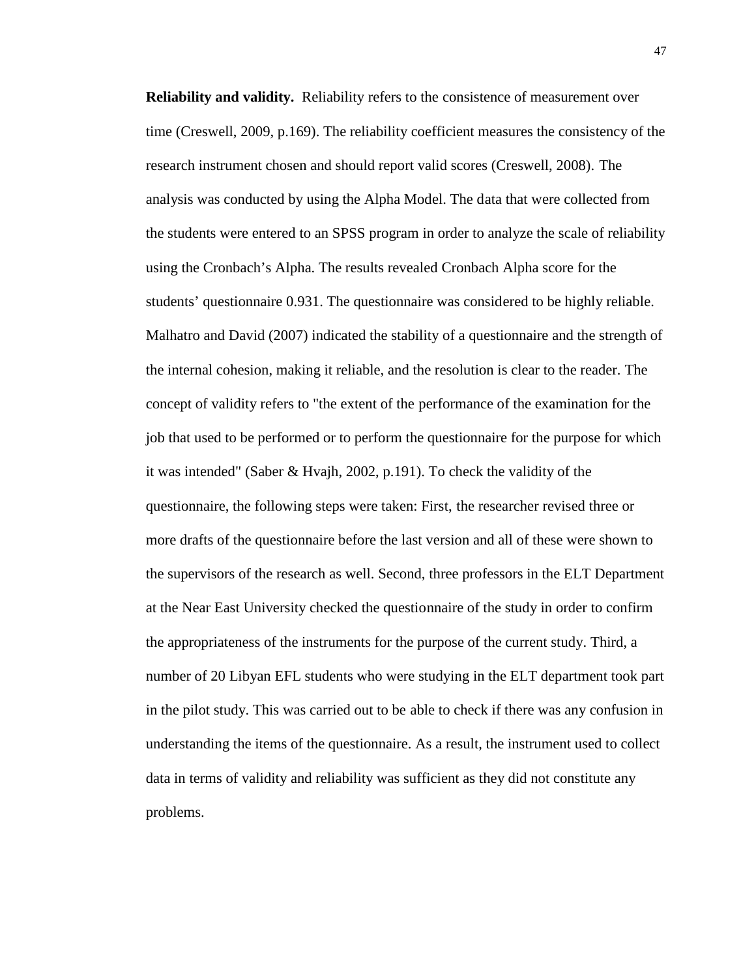**Reliability and validity.** Reliability refers to the consistence of measurement over time (Creswell, 2009, p.169). The reliability coefficient measures the consistency of the research instrument chosen and should report valid scores (Creswell, 2008). The analysis was conducted by using the Alpha Model. The data that were collected from the students were entered to an SPSS program in order to analyze the scale of reliability using the Cronbach's Alpha. The results revealed Cronbach Alpha score for the students' questionnaire 0.931. The questionnaire was considered to be highly reliable. Malhatro and David (2007) indicated the stability of a questionnaire and the strength of the internal cohesion, making it reliable, and the resolution is clear to the reader. The concept of validity refers to "the extent of the performance of the examination for the job that used to be performed or to perform the questionnaire for the purpose for which it was intended" (Saber & Hvajh, 2002, p.191). To check the validity of the questionnaire, the following steps were taken: First, the researcher revised three or more drafts of the questionnaire before the last version and all of these were shown to the supervisors of the research as well. Second, three professors in the ELT Department at the Near East University checked the questionnaire of the study in order to confirm the appropriateness of the instruments for the purpose of the current study. Third, a number of 20 Libyan EFL students who were studying in the ELT department took part in the pilot study. This was carried out to be able to check if there was any confusion in understanding the items of the questionnaire. As a result, the instrument used to collect data in terms of validity and reliability was sufficient as they did not constitute any problems.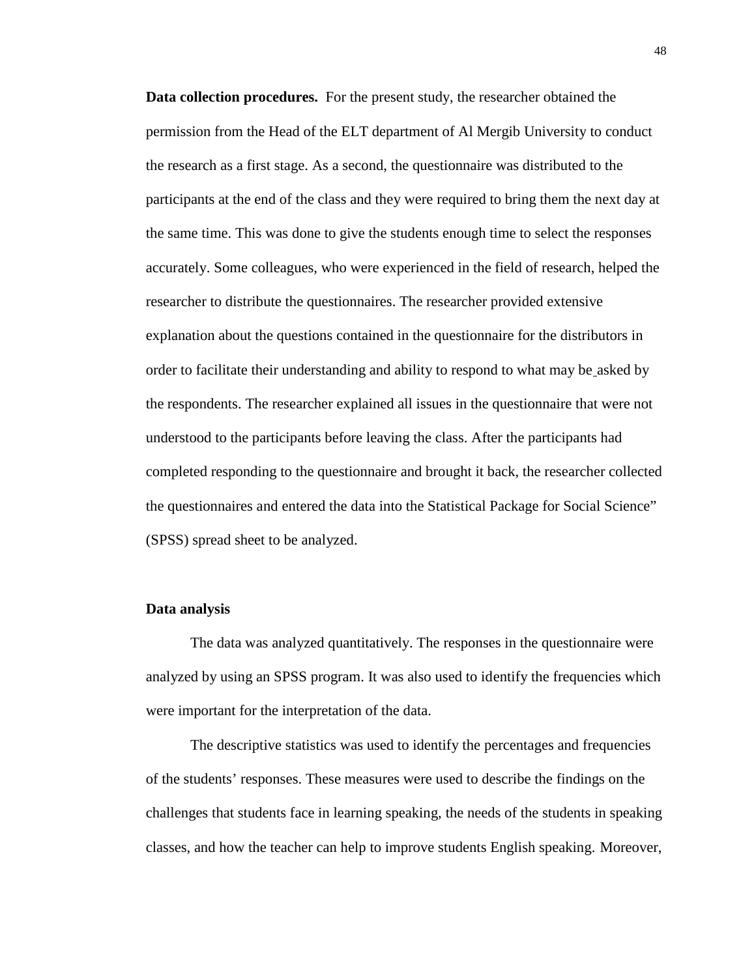**Data collection procedures.** For the present study, the researcher obtained the permission from the Head of the ELT department of Al Mergib University to conduct the research as a first stage. As a second, the questionnaire was distributed to the participants at the end of the class and they were required to bring them the next day at the same time. This was done to give the students enough time to select the responses accurately. Some colleagues, who were experienced in the field of research, helped the researcher to distribute the questionnaires. The researcher provided extensive explanation about the questions contained in the questionnaire for the distributors in order to facilitate their understanding and ability to respond to what may be asked by the respondents. The researcher explained all issues in the questionnaire that were not understood to the participants before leaving the class. After the participants had completed responding to the questionnaire and brought it back, the researcher collected the questionnaires and entered the data into the Statistical Package for Social Science" (SPSS) spread sheet to be analyzed.

#### **Data analysis**

The data was analyzed quantitatively. The responses in the questionnaire were analyzed by using an SPSS program. It was also used to identify the frequencies which were important for the interpretation of the data.

The descriptive statistics was used to identify the percentages and frequencies of the students' responses. These measures were used to describe the findings on the challenges that students face in learning speaking, the needs of the students in speaking classes, and how the teacher can help to improve students English speaking. Moreover,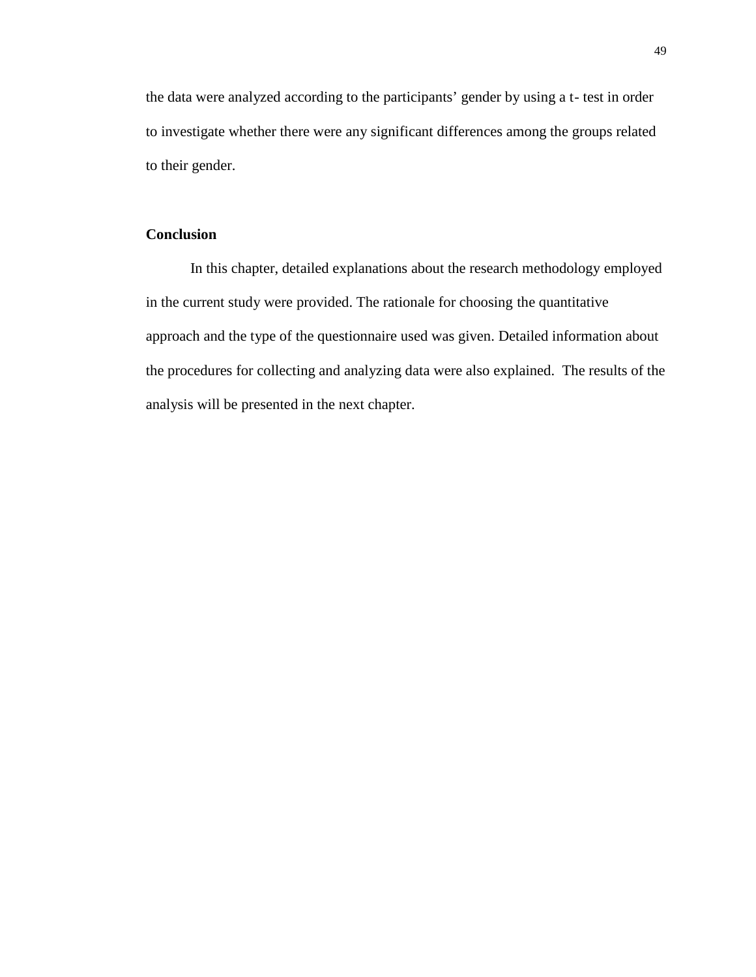the data were analyzed according to the participants' gender by using a t- test in order to investigate whether there were any significant differences among the groups related to their gender.

### **Conclusion**

In this chapter, detailed explanations about the research methodology employed in the current study were provided. The rationale for choosing the quantitative approach and the type of the questionnaire used was given. Detailed information about the procedures for collecting and analyzing data were also explained. The results of the analysis will be presented in the next chapter.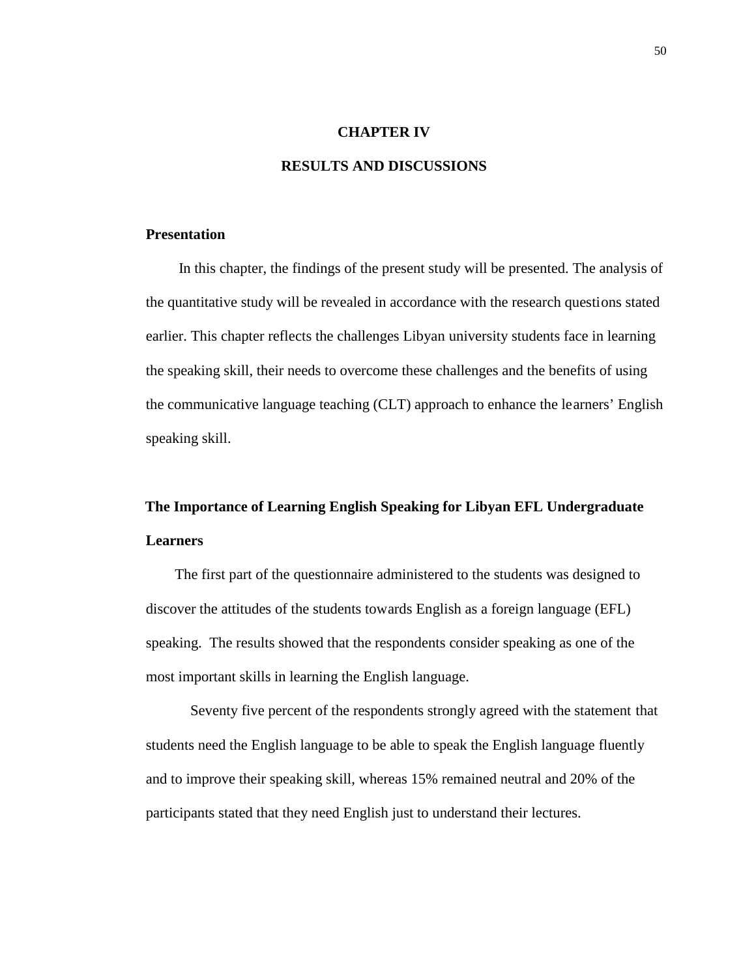#### **CHAPTER IV**

#### **RESULTS AND DISCUSSIONS**

#### **Presentation**

In this chapter, the findings of the present study will be presented. The analysis of the quantitative study will be revealed in accordance with the research questions stated earlier. This chapter reflects the challenges Libyan university students face in learning the speaking skill, their needs to overcome these challenges and the benefits of using the communicative language teaching (CLT) approach to enhance the learners' English speaking skill.

# **The Importance of Learning English Speaking for Libyan EFL Undergraduate Learners**

The first part of the questionnaire administered to the students was designed to discover the attitudes of the students towards English as a foreign language (EFL) speaking. The results showed that the respondents consider speaking as one of the most important skills in learning the English language.

Seventy five percent of the respondents strongly agreed with the statement that students need the English language to be able to speak the English language fluently and to improve their speaking skill, whereas 15% remained neutral and 20% of the participants stated that they need English just to understand their lectures.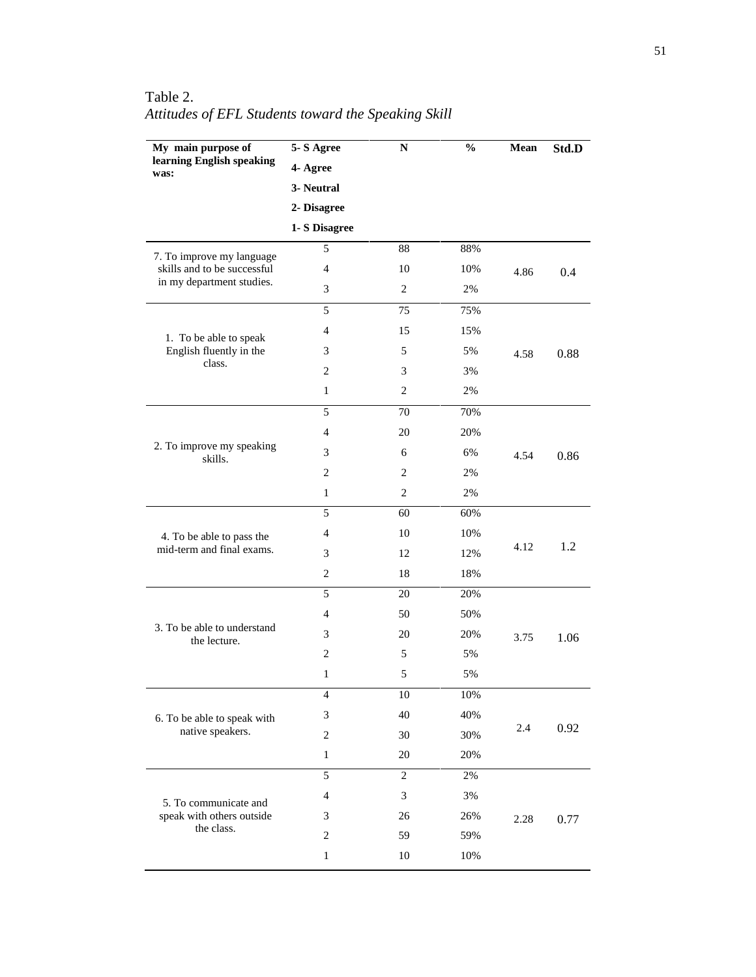| My main purpose of                          | 5-S Agree      | ${\bf N}$      | $\frac{0}{0}$ | Mean | Std.D |
|---------------------------------------------|----------------|----------------|---------------|------|-------|
| learning English speaking<br>was:           | 4- Agree       |                |               |      |       |
|                                             | 3- Neutral     |                |               |      |       |
|                                             | 2- Disagree    |                |               |      |       |
|                                             | 1- S Disagree  |                |               |      |       |
| 7. To improve my language                   | 5              | 88             | 88%           |      |       |
| skills and to be successful                 | $\overline{4}$ | 10             | 10%           | 4.86 | 0.4   |
| in my department studies.                   | 3              | $\mathbf{2}$   | $2\%$         |      |       |
|                                             | 5              | 75             | 75%           |      |       |
| 1. To be able to speak                      | $\overline{4}$ | 15             | 15%           |      |       |
| English fluently in the                     | 3              | 5              | 5%            | 4.58 | 0.88  |
| class.                                      | 2              | 3              | 3%            |      |       |
|                                             | $\mathbf{1}$   | $\mathbf{2}$   | 2%            |      |       |
|                                             | 5              | 70             | 70%           |      |       |
|                                             | $\overline{4}$ | 20             | 20%           |      |       |
| 2. To improve my speaking<br>skills.        | 3              | 6              | 6%            | 4.54 | 0.86  |
|                                             | $\mathbf{2}$   | $\mathbf{2}$   | 2%            |      |       |
|                                             | $\mathbf{1}$   | $\mathbf{2}$   | $2\%$         |      |       |
|                                             | 5              | 60             | 60%           |      |       |
| 4. To be able to pass the                   | $\overline{4}$ | 10             | 10%           | 4.12 | 1.2   |
| mid-term and final exams.                   | 3              | 12             | 12%           |      |       |
|                                             | $\overline{c}$ | 18             | 18%           |      |       |
|                                             | 5              | 20             | 20%           |      |       |
|                                             | $\overline{4}$ | 50             | 50%           |      |       |
| 3. To be able to understand<br>the lecture. | 3              | 20             | 20%           | 3.75 | 1.06  |
|                                             | $\mathbf{2}$   | 5              | 5%            |      |       |
|                                             | $\mathbf{1}$   | $\mathfrak s$  | 5%            |      |       |
|                                             | 4              | 10             | $10\%$        |      |       |
| 6. To be able to speak with                 | 3              | 40             | 40%           |      |       |
| native speakers.                            | $\sqrt{2}$     | 30             | 30%           | 2.4  | 0.92  |
|                                             | $\mathbf{1}$   | $20\,$         | 20%           |      |       |
|                                             | 5              | $\overline{2}$ | 2%            |      |       |
| 5. To communicate and                       | $\overline{4}$ | $\mathfrak{Z}$ | 3%            |      |       |
| speak with others outside                   | 3              | 26             | 26%           | 2.28 | 0.77  |
| the class.                                  | $\mathbf{2}$   | 59             | 59%           |      |       |
|                                             | $\mathbf{1}$   | 10             | 10%           |      |       |

Table 2. *Attitudes of EFL Students toward the Speaking Skill*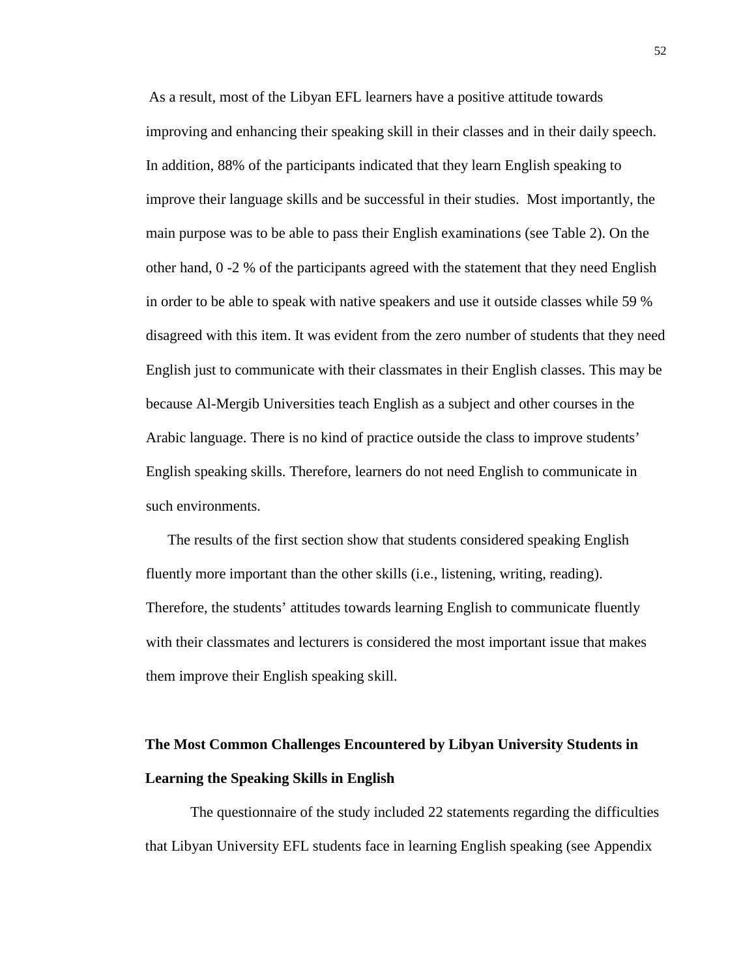As a result, most of the Libyan EFL learners have a positive attitude towards improving and enhancing their speaking skill in their classes and in their daily speech. In addition, 88% of the participants indicated that they learn English speaking to improve their language skills and be successful in their studies. Most importantly, the main purpose was to be able to pass their English examinations (see Table 2). On the other hand, 0 -2 % of the participants agreed with the statement that they need English in order to be able to speak with native speakers and use it outside classes while 59 % disagreed with this item. It was evident from the zero number of students that they need English just to communicate with their classmates in their English classes. This may be because Al-Mergib Universities teach English as a subject and other courses in the Arabic language. There is no kind of practice outside the class to improve students' English speaking skills. Therefore, learners do not need English to communicate in such environments.

The results of the first section show that students considered speaking English fluently more important than the other skills (i.e., listening, writing, reading). Therefore, the students' attitudes towards learning English to communicate fluently with their classmates and lecturers is considered the most important issue that makes them improve their English speaking skill.

# **The Most Common Challenges Encountered by Libyan University Students in Learning the Speaking Skills in English**

The questionnaire of the study included 22 statements regarding the difficulties that Libyan University EFL students face in learning English speaking (see Appendix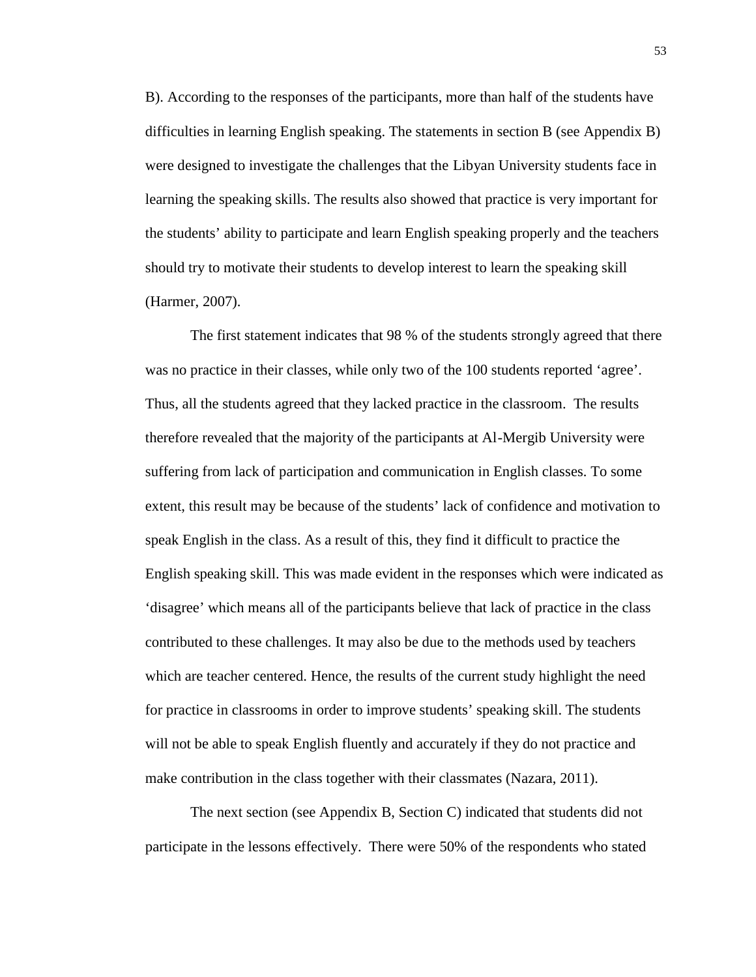B). According to the responses of the participants, more than half of the students have difficulties in learning English speaking. The statements in section B (see Appendix B) were designed to investigate the challenges that the Libyan University students face in learning the speaking skills. The results also showed that practice is very important for the students' ability to participate and learn English speaking properly and the teachers should try to motivate their students to develop interest to learn the speaking skill (Harmer, 2007).

The first statement indicates that 98 % of the students strongly agreed that there was no practice in their classes, while only two of the 100 students reported 'agree'. Thus, all the students agreed that they lacked practice in the classroom. The results therefore revealed that the majority of the participants at Al-Mergib University were suffering from lack of participation and communication in English classes. To some extent, this result may be because of the students' lack of confidence and motivation to speak English in the class. As a result of this, they find it difficult to practice the English speaking skill. This was made evident in the responses which were indicated as 'disagree' which means all of the participants believe that lack of practice in the class contributed to these challenges. It may also be due to the methods used by teachers which are teacher centered. Hence, the results of the current study highlight the need for practice in classrooms in order to improve students' speaking skill. The students will not be able to speak English fluently and accurately if they do not practice and make contribution in the class together with their classmates (Nazara, 2011).

The next section (see Appendix B, Section C) indicated that students did not participate in the lessons effectively. There were 50% of the respondents who stated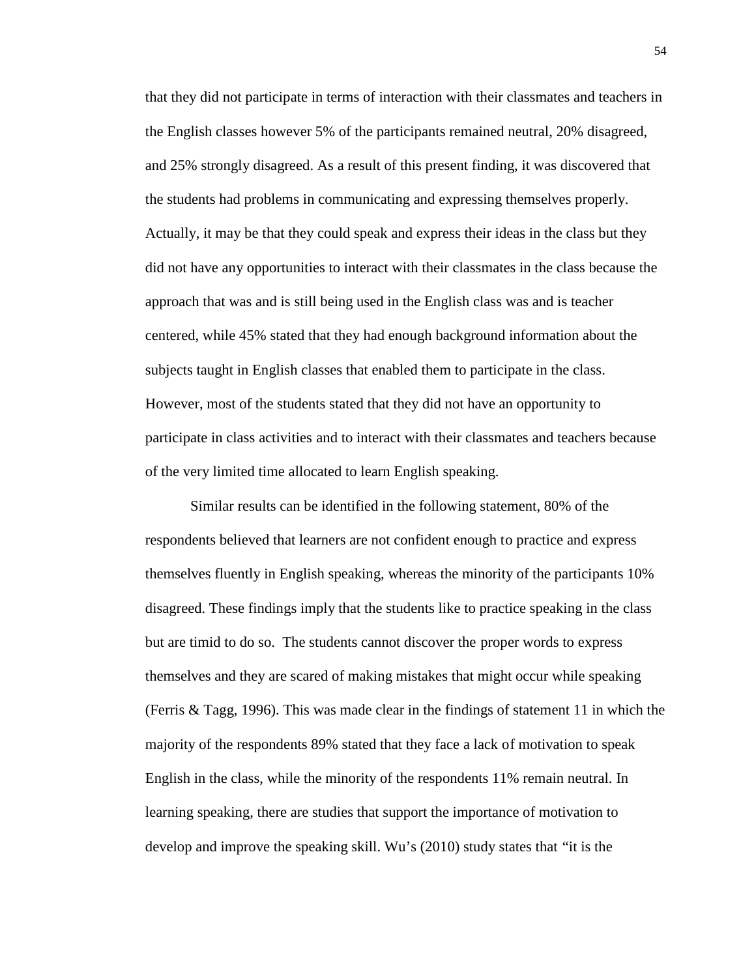that they did not participate in terms of interaction with their classmates and teachers in the English classes however 5% of the participants remained neutral, 20% disagreed, and 25% strongly disagreed. As a result of this present finding, it was discovered that the students had problems in communicating and expressing themselves properly. Actually, it may be that they could speak and express their ideas in the class but they did not have any opportunities to interact with their classmates in the class because the approach that was and is still being used in the English class was and is teacher centered, while 45% stated that they had enough background information about the subjects taught in English classes that enabled them to participate in the class. However, most of the students stated that they did not have an opportunity to participate in class activities and to interact with their classmates and teachers because of the very limited time allocated to learn English speaking.

Similar results can be identified in the following statement, 80% of the respondents believed that learners are not confident enough to practice and express themselves fluently in English speaking, whereas the minority of the participants 10% disagreed. These findings imply that the students like to practice speaking in the class but are timid to do so. The students cannot discover the proper words to express themselves and they are scared of making mistakes that might occur while speaking (Ferris & Tagg, 1996). This was made clear in the findings of statement 11 in which the majority of the respondents 89% stated that they face a lack of motivation to speak English in the class, while the minority of the respondents 11% remain neutral. In learning speaking, there are studies that support the importance of motivation to develop and improve the speaking skill. Wu's (2010) study states that "it is the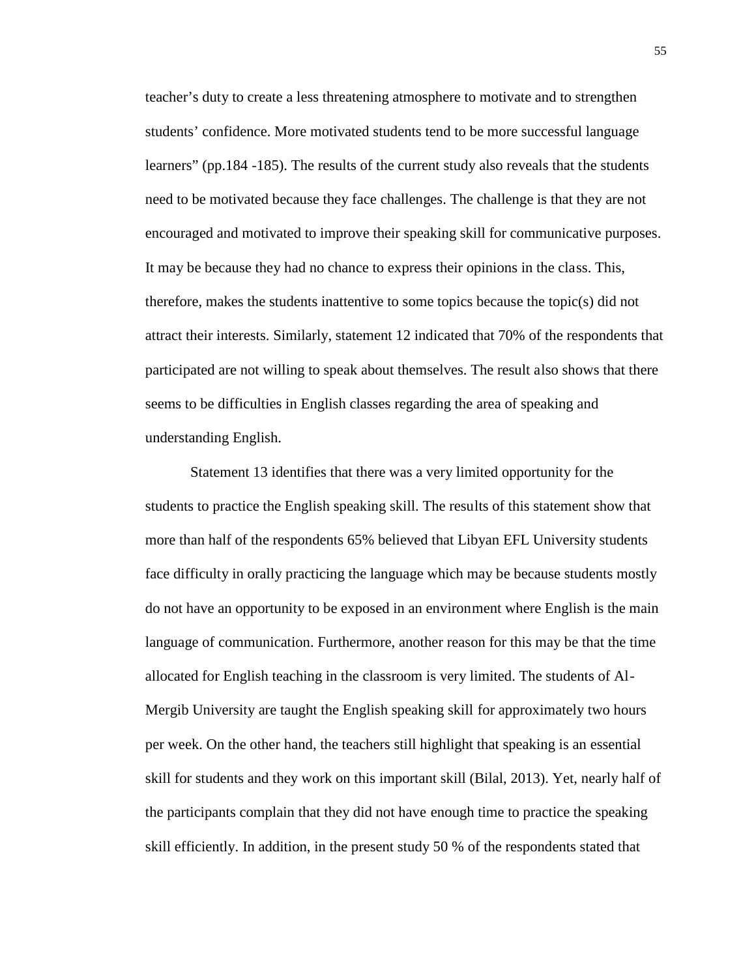teacher's duty to create a less threatening atmosphere to motivate and to strengthen students' confidence. More motivated students tend to be more successful language learners" (pp.184 -185). The results of the current study also reveals that the students need to be motivated because they face challenges. The challenge is that they are not encouraged and motivated to improve their speaking skill for communicative purposes. It may be because they had no chance to express their opinions in the class. This, therefore, makes the students inattentive to some topics because the topic(s) did not attract their interests. Similarly, statement 12 indicated that 70% of the respondents that participated are not willing to speak about themselves. The result also shows that there seems to be difficulties in English classes regarding the area of speaking and understanding English.

Statement 13 identifies that there was a very limited opportunity for the students to practice the English speaking skill. The results of this statement show that more than half of the respondents 65% believed that Libyan EFL University students face difficulty in orally practicing the language which may be because students mostly do not have an opportunity to be exposed in an environment where English is the main language of communication. Furthermore, another reason for this may be that the time allocated for English teaching in the classroom is very limited. The students of Al- Mergib University are taught the English speaking skill for approximately two hours per week. On the other hand, the teachers still highlight that speaking is an essential skill for students and they work on this important skill (Bilal, 2013). Yet, nearly half of the participants complain that they did not have enough time to practice the speaking skill efficiently. In addition, in the present study 50 % of the respondents stated that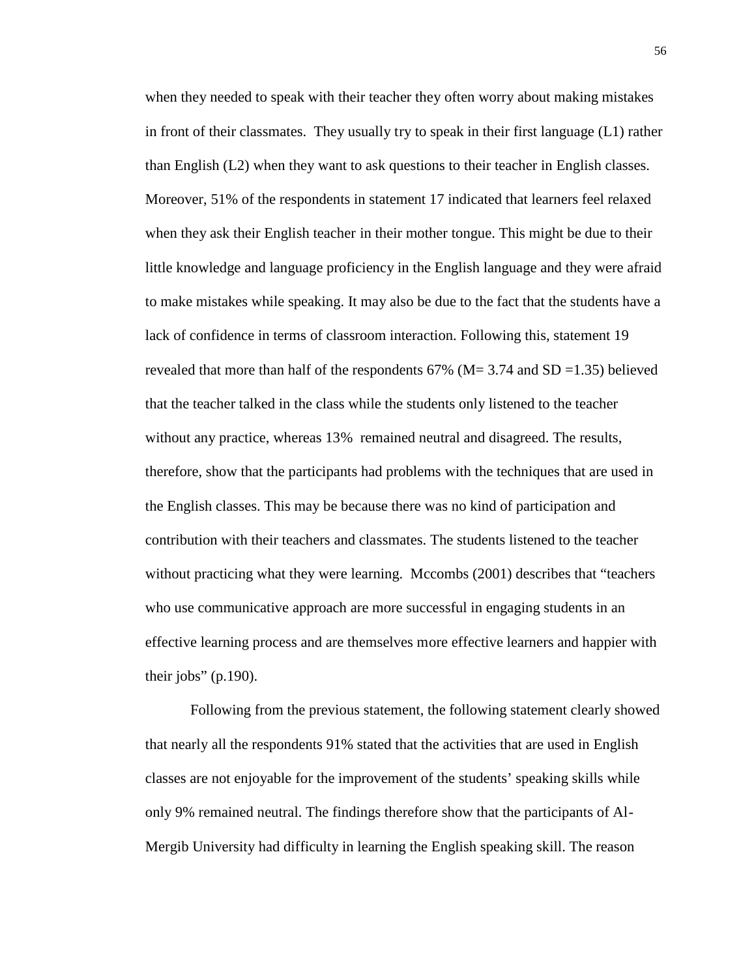when they needed to speak with their teacher they often worry about making mistakes in front of their classmates. They usually try to speak in their first language (L1) rather than English (L2) when they want to ask questions to their teacher in English classes. Moreover, 51% of the respondents in statement 17 indicated that learners feel relaxed when they ask their English teacher in their mother tongue. This might be due to their little knowledge and language proficiency in the English language and they were afraid to make mistakes while speaking. It may also be due to the fact that the students have a lack of confidence in terms of classroom interaction. Following this, statement 19 revealed that more than half of the respondents  $67\%$  (M= 3.74 and SD = 1.35) believed that the teacher talked in the class while the students only listened to the teacher without any practice, whereas 13% remained neutral and disagreed. The results, therefore, show that the participants had problems with the techniques that are used in the English classes. This may be because there was no kind of participation and contribution with their teachers and classmates. The students listened to the teacher without practicing what they were learning. Mccombs (2001) describes that "teachers who use communicative approach are more successful in engaging students in an effective learning process and are themselves more effective learners and happier with their jobs"  $(p.190)$ .

Following from the previous statement, the following statement clearly showed that nearly all the respondents 91% stated that the activities that are used in English classes are not enjoyable for the improvement of the students' speaking skills while only 9% remained neutral. The findings therefore show that the participants of Al- Mergib University had difficulty in learning the English speaking skill. The reason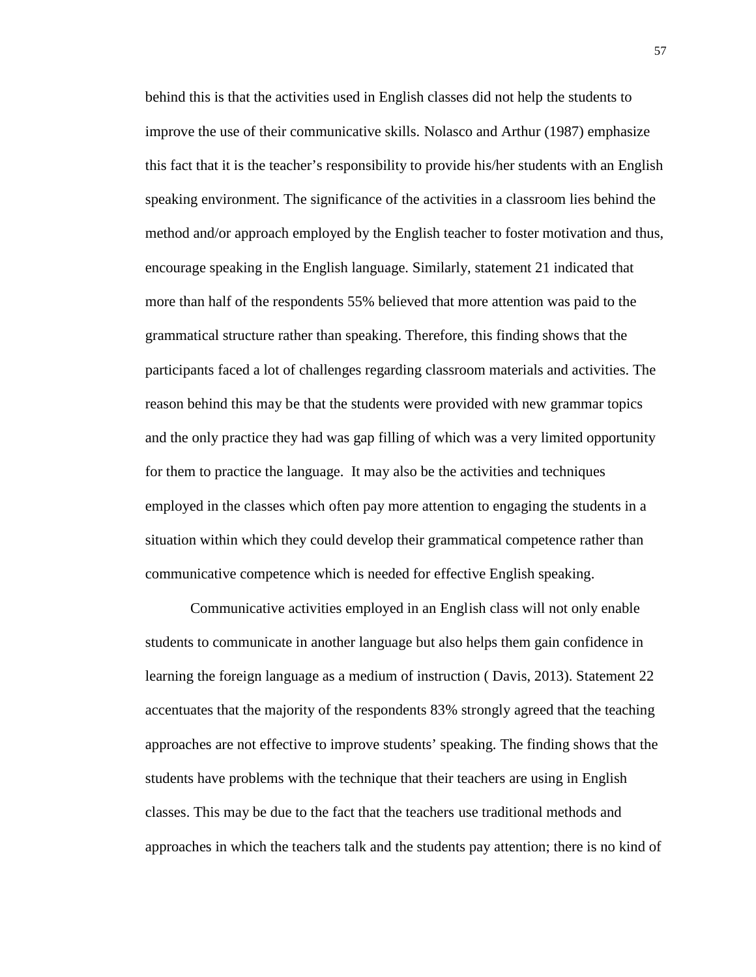behind this is that the activities used in English classes did not help the students to improve the use of their communicative skills. Nolasco and Arthur (1987) emphasize this fact that it is the teacher's responsibility to provide his/her students with an English speaking environment. The significance of the activities in a classroom lies behind the method and/or approach employed by the English teacher to foster motivation and thus, encourage speaking in the English language. Similarly, statement 21 indicated that more than half of the respondents 55% believed that more attention was paid to the grammatical structure rather than speaking. Therefore, this finding shows that the participants faced a lot of challenges regarding classroom materials and activities. The reason behind this may be that the students were provided with new grammar topics and the only practice they had was gap filling of which was a very limited opportunity for them to practice the language. It may also be the activities and techniques employed in the classes which often pay more attention to engaging the students in a situation within which they could develop their grammatical competence rather than communicative competence which is needed for effective English speaking.

Communicative activities employed in an English class will not only enable students to communicate in another language but also helps them gain confidence in learning the foreign language as a medium of instruction ( Davis, 2013). Statement 22 accentuates that the majority of the respondents 83% strongly agreed that the teaching approaches are not effective to improve students' speaking. The finding shows that the students have problems with the technique that their teachers are using in English classes. This may be due to the fact that the teachers use traditional methods and approaches in which the teachers talk and the students pay attention; there is no kind of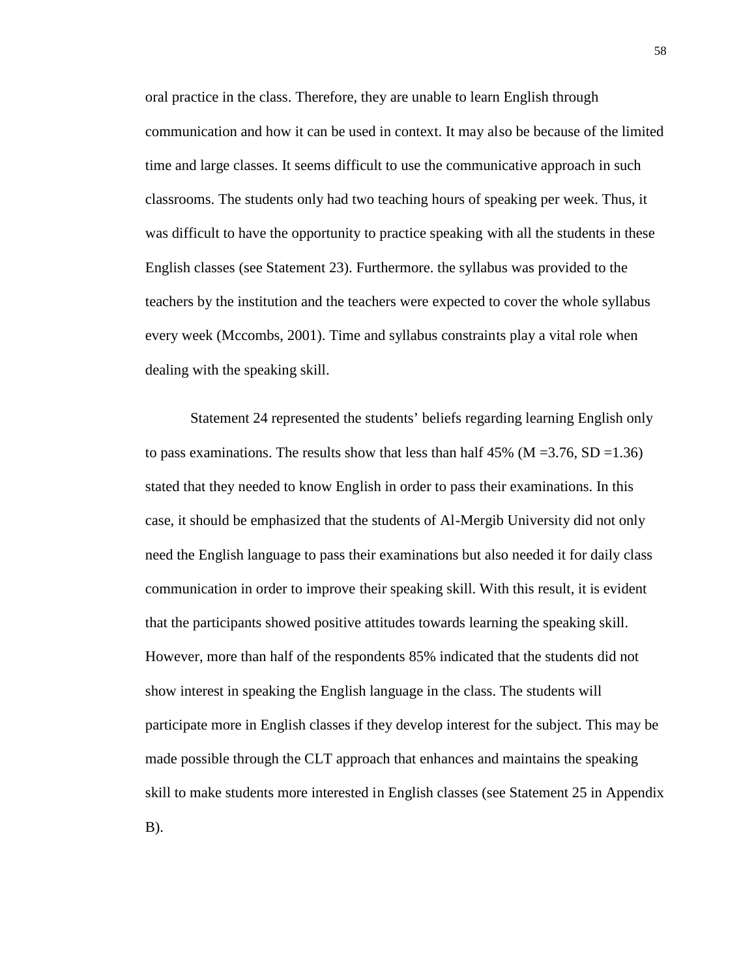oral practice in the class. Therefore, they are unable to learn English through communication and how it can be used in context. It may also be because of the limited time and large classes. It seems difficult to use the communicative approach in such classrooms. The students only had two teaching hours of speaking per week. Thus, it was difficult to have the opportunity to practice speaking with all the students in these English classes (see Statement 23). Furthermore. the syllabus was provided to the teachers by the institution and the teachers were expected to cover the whole syllabus every week (Mccombs, 2001). Time and syllabus constraints play a vital role when dealing with the speaking skill.

Statement 24 represented the students' beliefs regarding learning English only to pass examinations. The results show that less than half  $45\%$  (M = 3.76, SD = 1.36) stated that they needed to know English in order to pass their examinations. In this case, it should be emphasized that the students of Al-Mergib University did not only need the English language to pass their examinations but also needed it for daily class communication in order to improve their speaking skill. With this result, it is evident that the participants showed positive attitudes towards learning the speaking skill. However, more than half of the respondents 85% indicated that the students did not show interest in speaking the English language in the class. The students will participate more in English classes if they develop interest for the subject. This may be made possible through the CLT approach that enhances and maintains the speaking skill to make students more interested in English classes (see Statement 25 in Appendix B).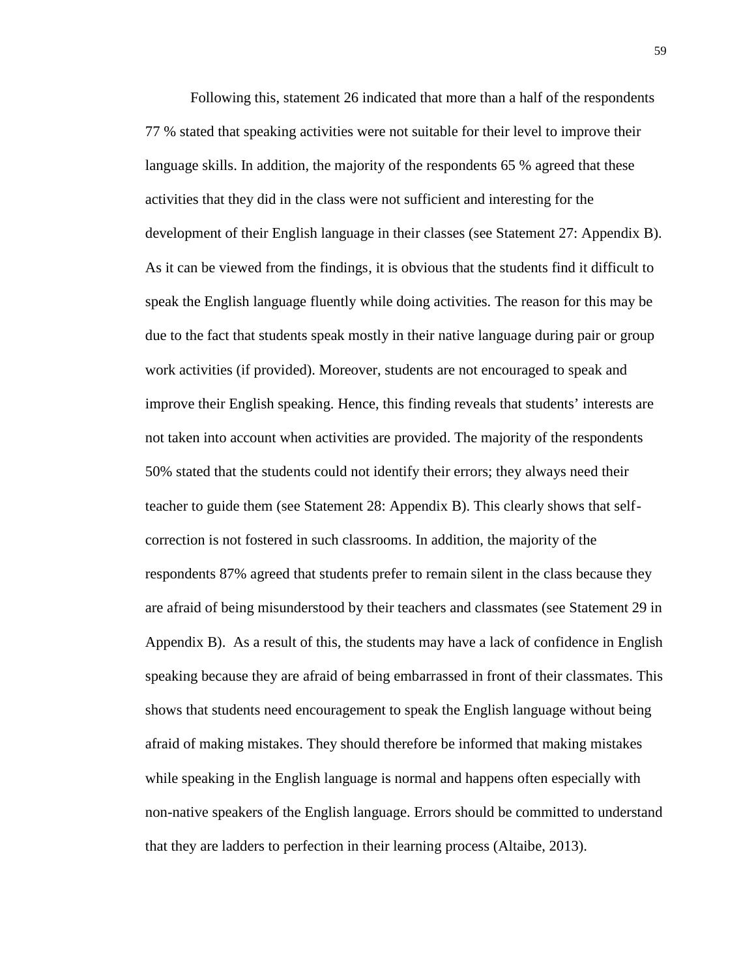Following this, statement 26 indicated that more than a half of the respondents 77 % stated that speaking activities were not suitable for their level to improve their language skills. In addition, the majority of the respondents 65 % agreed that these activities that they did in the class were not sufficient and interesting for the development of their English language in their classes (see Statement 27: Appendix B). As it can be viewed from the findings, it is obvious that the students find it difficult to speak the English language fluently while doing activities. The reason for this may be due to the fact that students speak mostly in their native language during pair or group work activities (if provided). Moreover, students are not encouraged to speak and improve their English speaking. Hence, this finding reveals that students' interests are not taken into account when activities are provided. The majority of the respondents 50% stated that the students could not identify their errors; they always need their teacher to guide them (see Statement 28: Appendix B). This clearly shows that self correction is not fostered in such classrooms. In addition, the majority of the respondents 87% agreed that students prefer to remain silent in the class because they are afraid of being misunderstood by their teachers and classmates (see Statement 29 in Appendix B). As a result of this, the students may have a lack of confidence in English speaking because they are afraid of being embarrassed in front of their classmates. This shows that students need encouragement to speak the English language without being afraid of making mistakes. They should therefore be informed that making mistakes while speaking in the English language is normal and happens often especially with non-native speakers of the English language. Errors should be committed to understand that they are ladders to perfection in their learning process (Altaibe, 2013).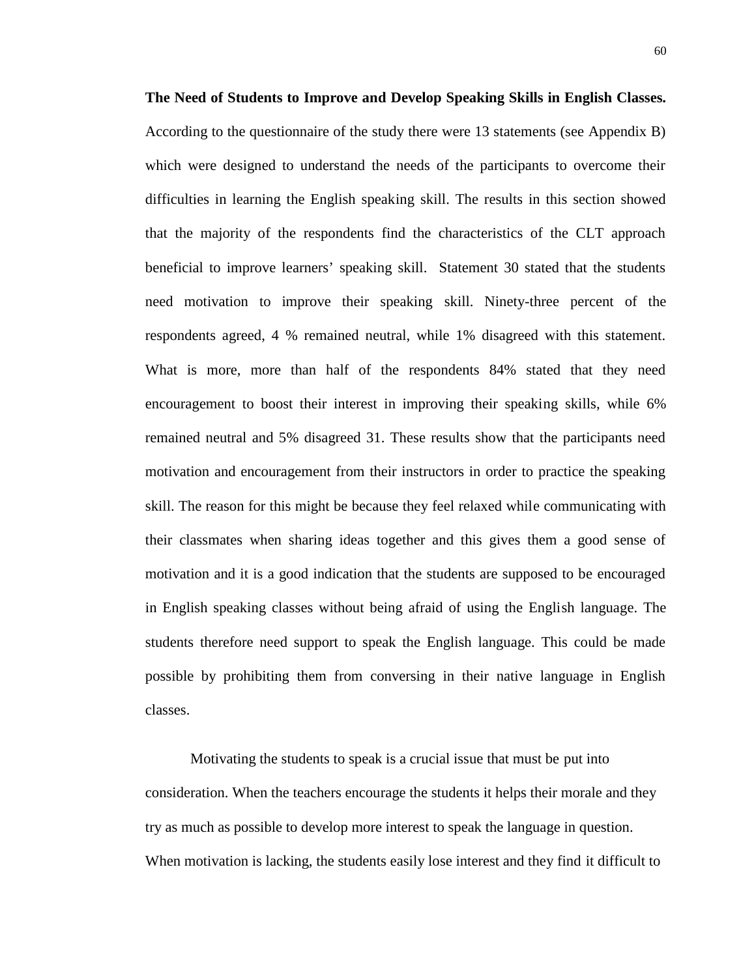**The Need of Students to Improve and Develop Speaking Skills in English Classes.** According to the questionnaire of the study there were 13 statements (see Appendix B) which were designed to understand the needs of the participants to overcome their difficulties in learning the English speaking skill. The results in this section showed that the majority of the respondents find the characteristics of the CLT approach beneficial to improve learners' speaking skill. Statement 30 stated that the students need motivation to improve their speaking skill. Ninety-three percent of the respondents agreed, 4 % remained neutral, while 1% disagreed with this statement. What is more, more than half of the respondents 84% stated that they need encouragement to boost their interest in improving their speaking skills, while 6% remained neutral and 5% disagreed 31. These results show that the participants need motivation and encouragement from their instructors in order to practice the speaking skill. The reason for this might be because they feel relaxed while communicating with their classmates when sharing ideas together and this gives them a good sense of motivation and it is a good indication that the students are supposed to be encouraged in English speaking classes without being afraid of using the English language. The students therefore need support to speak the English language. This could be made possible by prohibiting them from conversing in their native language in English classes.

Motivating the students to speak is a crucial issue that must be put into consideration. When the teachers encourage the students it helps their morale and they try as much as possible to develop more interest to speak the language in question. When motivation is lacking, the students easily lose interest and they find it difficult to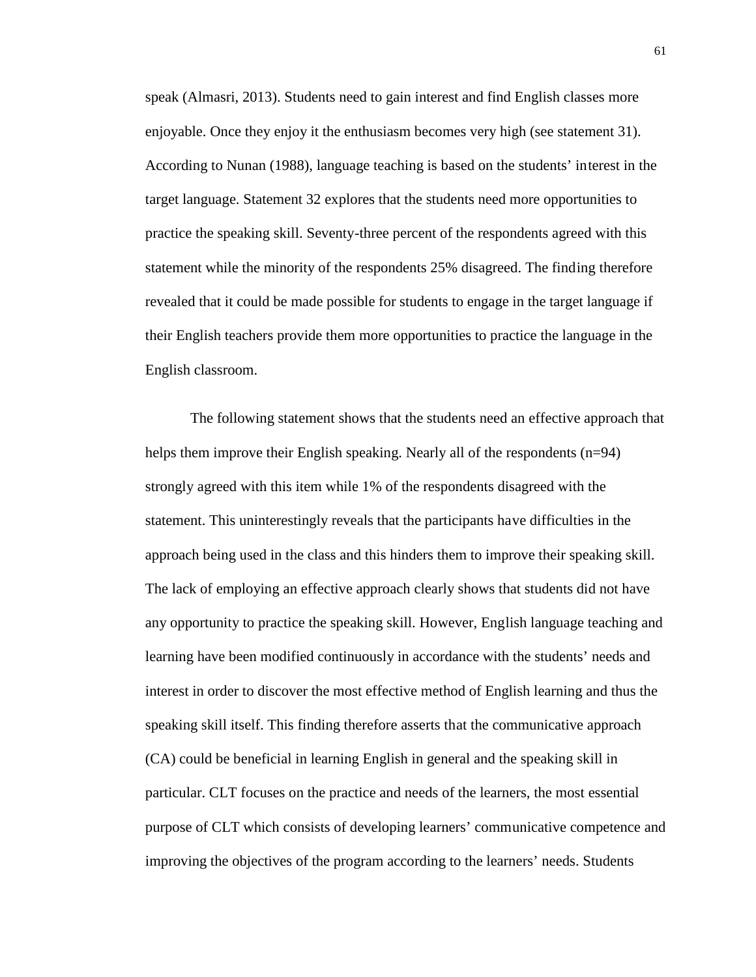speak (Almasri, 2013). Students need to gain interest and find English classes more enjoyable. Once they enjoy it the enthusiasm becomes very high (see statement 31). According to Nunan (1988), language teaching is based on the students' interest in the target language. Statement 32 explores that the students need more opportunities to practice the speaking skill. Seventy-three percent of the respondents agreed with this statement while the minority of the respondents 25% disagreed. The finding therefore revealed that it could be made possible for students to engage in the target language if their English teachers provide them more opportunities to practice the language in the English classroom.

The following statement shows that the students need an effective approach that helps them improve their English speaking. Nearly all of the respondents (n=94) strongly agreed with this item while 1% of the respondents disagreed with the statement. This uninterestingly reveals that the participants have difficulties in the approach being used in the class and this hinders them to improve their speaking skill. The lack of employing an effective approach clearly shows that students did not have any opportunity to practice the speaking skill. However, English language teaching and learning have been modified continuously in accordance with the students' needs and interest in order to discover the most effective method of English learning and thus the speaking skill itself. This finding therefore asserts that the communicative approach (CA) could be beneficial in learning English in general and the speaking skill in particular. CLT focuses on the practice and needs of the learners, the most essential purpose of CLT which consists of developing learners' communicative competence and improving the objectives of the program according to the learners' needs. Students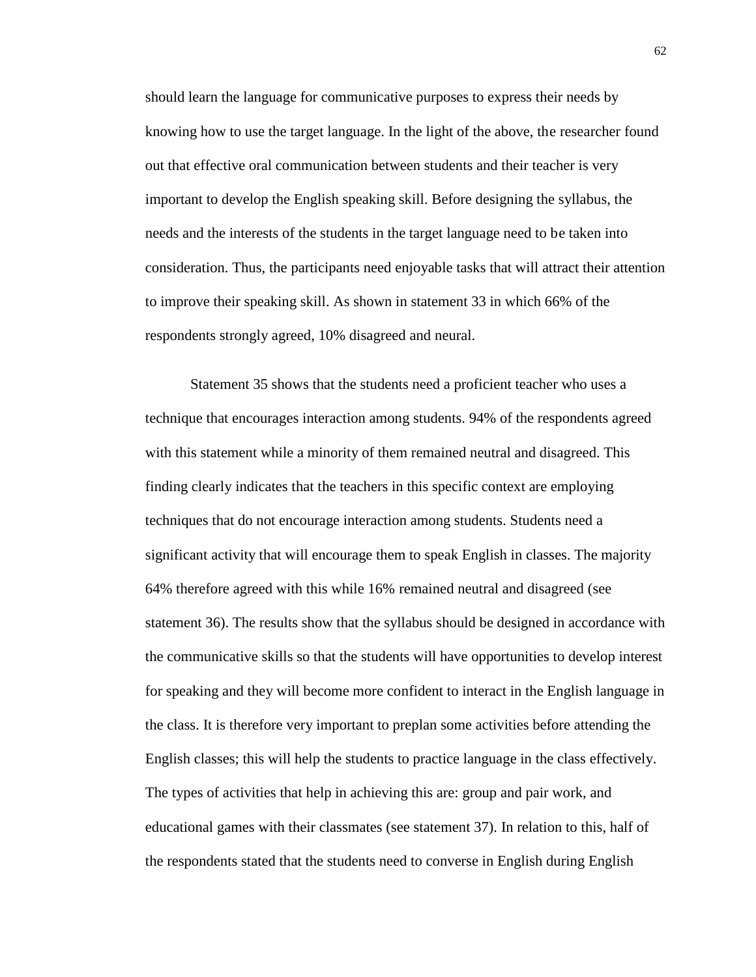should learn the language for communicative purposes to express their needs by knowing how to use the target language. In the light of the above, the researcher found out that effective oral communication between students and their teacher is very important to develop the English speaking skill. Before designing the syllabus, the needs and the interests of the students in the target language need to be taken into consideration. Thus, the participants need enjoyable tasks that will attract their attention to improve their speaking skill. As shown in statement 33 in which 66% of the respondents strongly agreed, 10% disagreed and neural.

Statement 35 shows that the students need a proficient teacher who uses a technique that encourages interaction among students. 94% of the respondents agreed with this statement while a minority of them remained neutral and disagreed. This finding clearly indicates that the teachers in this specific context are employing techniques that do not encourage interaction among students. Students need a significant activity that will encourage them to speak English in classes. The majority 64% therefore agreed with this while 16% remained neutral and disagreed (see statement 36). The results show that the syllabus should be designed in accordance with the communicative skills so that the students will have opportunities to develop interest for speaking and they will become more confident to interact in the English language in the class. It is therefore very important to preplan some activities before attending the English classes; this will help the students to practice language in the class effectively. The types of activities that help in achieving this are: group and pair work, and educational games with their classmates (see statement 37). In relation to this, half of the respondents stated that the students need to converse in English during English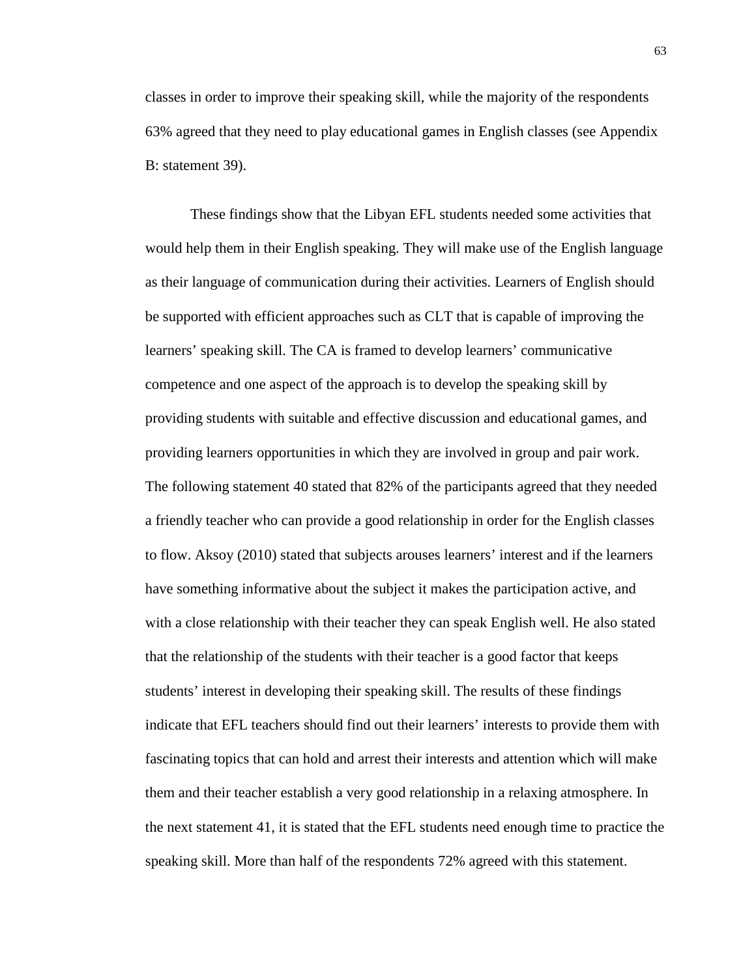classes in order to improve their speaking skill, while the majority of the respondents 63% agreed that they need to play educational games in English classes (see Appendix B: statement 39).

These findings show that the Libyan EFL students needed some activities that would help them in their English speaking. They will make use of the English language as their language of communication during their activities. Learners of English should be supported with efficient approaches such as CLT that is capable of improving the learners' speaking skill. The CA is framed to develop learners' communicative competence and one aspect of the approach is to develop the speaking skill by providing students with suitable and effective discussion and educational games, and providing learners opportunities in which they are involved in group and pair work. The following statement 40 stated that 82% of the participants agreed that they needed a friendly teacher who can provide a good relationship in order for the English classes to flow. Aksoy (2010) stated that subjects arouses learners' interest and if the learners have something informative about the subject it makes the participation active, and with a close relationship with their teacher they can speak English well. He also stated that the relationship of the students with their teacher is a good factor that keeps students' interest in developing their speaking skill. The results of these findings indicate that EFL teachers should find out their learners' interests to provide them with fascinating topics that can hold and arrest their interests and attention which will make them and their teacher establish a very good relationship in a relaxing atmosphere. In the next statement 41, it is stated that the EFL students need enough time to practice the speaking skill. More than half of the respondents 72% agreed with this statement.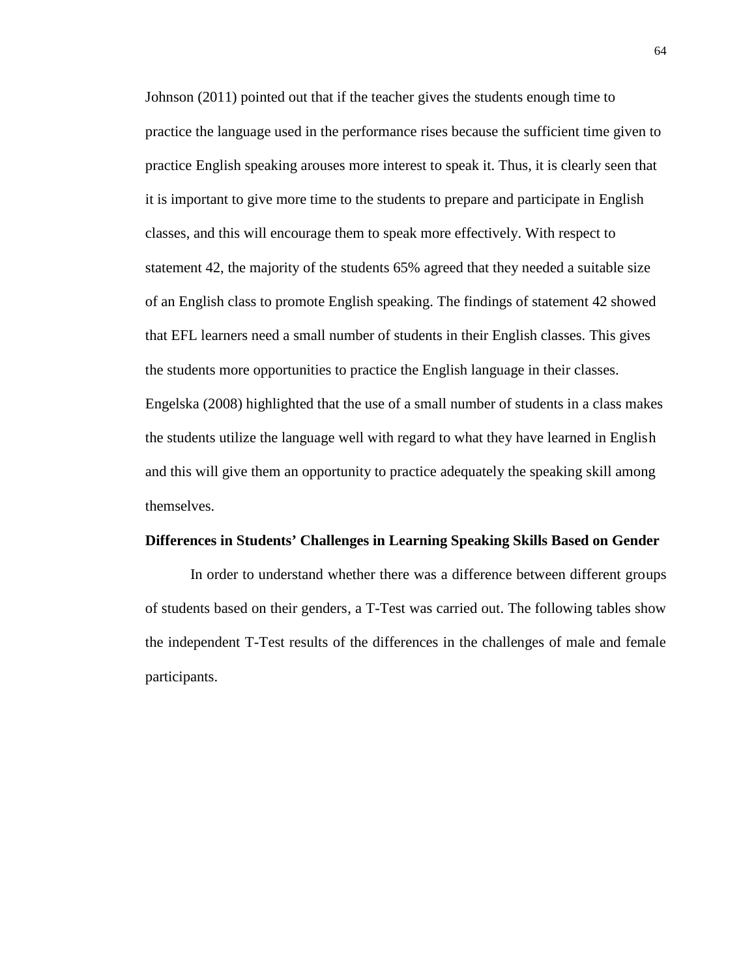Johnson (2011) pointed out that if the teacher gives the students enough time to practice the language used in the performance rises because the sufficient time given to practice English speaking arouses more interest to speak it. Thus, it is clearly seen that it is important to give more time to the students to prepare and participate in English classes, and this will encourage them to speak more effectively. With respect to statement 42, the majority of the students 65% agreed that they needed a suitable size of an English class to promote English speaking. The findings of statement 42 showed that EFL learners need a small number of students in their English classes. This gives the students more opportunities to practice the English language in their classes. Engelska (2008) highlighted that the use of a small number of students in a class makes the students utilize the language well with regard to what they have learned in English and this will give them an opportunity to practice adequately the speaking skill among themselves.

#### **Differences in Students' Challenges in Learning Speaking Skills Based on Gender**

In order to understand whether there was a difference between different groups of students based on their genders, a T-Test was carried out. The following tables show the independent T-Test results of the differences in the challenges of male and female participants.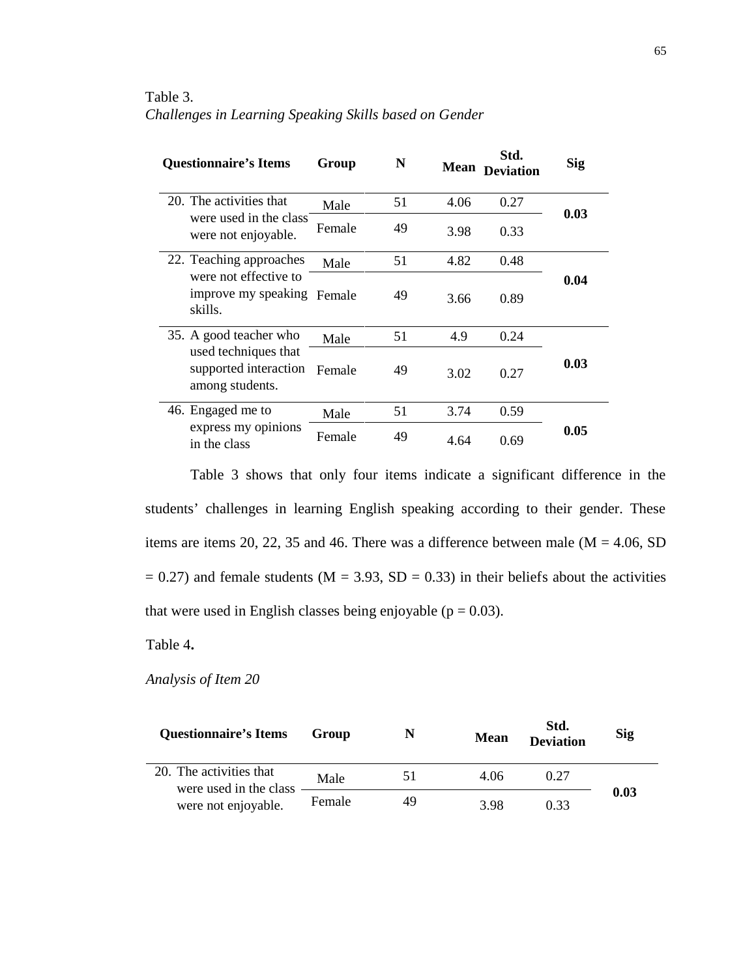### Table 3. *Challenges in Learning Speaking Skills based on Gender*

|                                                                                            | <b>Questionnaire's Items</b>                                   | Group | N    | <b>Mean</b> | Std.<br><b>Deviation</b> | Sig  |
|--------------------------------------------------------------------------------------------|----------------------------------------------------------------|-------|------|-------------|--------------------------|------|
|                                                                                            | 20. The activities that                                        | Male  | 51   | 4.06        | 0.27                     | 0.03 |
| were used in the class<br>were not enjoyable.                                              | Female                                                         | 49    | 3.98 | 0.33        |                          |      |
| 22. Teaching approaches                                                                    |                                                                | Male  | 51   | 4.82        | 0.48                     |      |
|                                                                                            | were not effective to<br>improve my speaking Female<br>skills. |       | 49   | 3.66        | 0.89                     | 0.04 |
| 35. A good teacher who<br>used techniques that<br>supported interaction<br>among students. | Male                                                           | 51    | 4.9  | 0.24        |                          |      |
|                                                                                            | Female                                                         | 49    | 3.02 | 0.27        | 0.03                     |      |
| 46. Engaged me to<br>express my opinions<br>in the class                                   | Male                                                           | 51    | 3.74 | 0.59        |                          |      |
|                                                                                            | Female                                                         | 49    | 4.64 | 0.69        | 0.05                     |      |

Table 3 shows that only four items indicate a significant difference in the students' challenges in learning English speaking according to their gender. These items are items 20, 22, 35 and 46. There was a difference between male  $(M = 4.06, SD)$  $= 0.27$ ) and female students (M = 3.93, SD = 0.33) in their beliefs about the activities that were used in English classes being enjoyable ( $p = 0.03$ ).

Table 4**.**

*Analysis of Item 20*

| <b>Questionnaire's Items</b>                      | Group  | N  | <b>Mean</b> | Std.<br><b>Deviation</b> | <b>Sig</b> |
|---------------------------------------------------|--------|----|-------------|--------------------------|------------|
| 20. The activities that<br>were used in the class | Male   | 51 | 4.06        | 0.27                     |            |
| were not enjoyable.                               | Female | 49 | 3.98        | 0.33                     | 0.03       |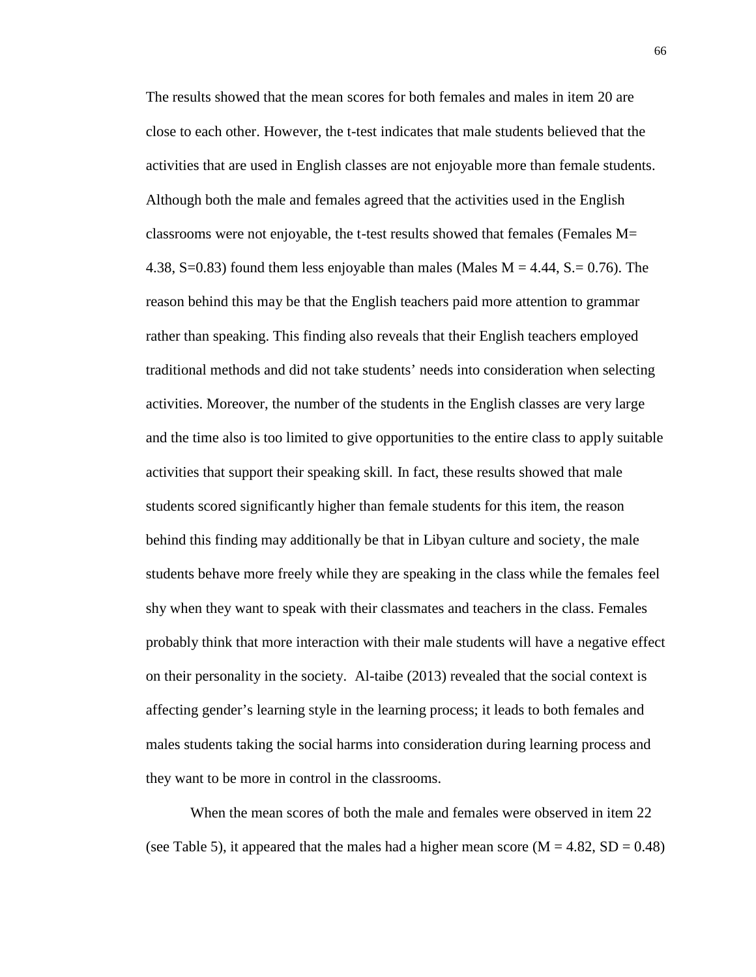The results showed that the mean scores for both females and males in item 20 are close to each other. However, the t-test indicates that male students believed that the activities that are used in English classes are not enjoyable more than female students. Although both the male and females agreed that the activities used in the English classrooms were not enjoyable, the t-test results showed that females (Females M= 4.38, S=0.83) found them less enjoyable than males (Males  $M = 4.44$ , S = 0.76). The reason behind this may be that the English teachers paid more attention to grammar rather than speaking. This finding also reveals that their English teachers employed traditional methods and did not take students' needs into consideration when selecting activities. Moreover, the number of the students in the English classes are very large and the time also is too limited to give opportunities to the entire class to apply suitable activities that support their speaking skill. In fact, these results showed that male students scored significantly higher than female students for this item, the reason behind this finding may additionally be that in Libyan culture and society, the male students behave more freely while they are speaking in the class while the females feel shy when they want to speak with their classmates and teachers in the class. Females probably think that more interaction with their male students will have a negative effect on their personality in the society. Al-taibe (2013) revealed that the social context is affecting gender's learning style in the learning process; it leads to both females and males students taking the social harms into consideration during learning process and they want to be more in control in the classrooms.

When the mean scores of both the male and females were observed in item 22 (see Table 5), it appeared that the males had a higher mean score ( $M = 4.82$ ,  $SD = 0.48$ )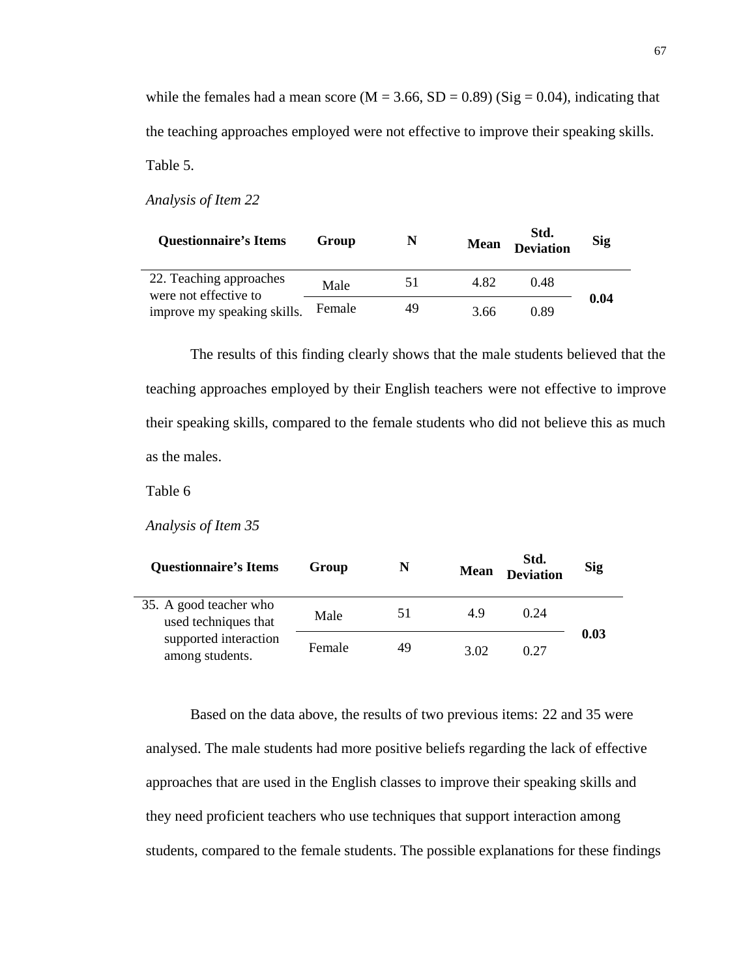while the females had a mean score ( $M = 3.66$ ,  $SD = 0.89$ ) (Sig = 0.04), indicating that the teaching approaches employed were not effective to improve their speaking skills. Table 5.

*Analysis of Item 22*

| <b>Ouestionnaire's Items</b>                     | Group  | N  | <b>Mean</b> | Std.<br><b>Deviation</b> | <b>Sig</b> |
|--------------------------------------------------|--------|----|-------------|--------------------------|------------|
| 22. Teaching approaches<br>were not effective to | Male   | 51 | 4.82        | 0.48                     |            |
| improve my speaking skills.                      | Female | 49 | 3.66        | 0.89                     | 0.04       |

The results of this finding clearly shows that the male students believed that the teaching approaches employed by their English teachers were not effective to improve their speaking skills, compared to the female students who did not believe this as much as the males.

Table 6

*Analysis of Item 35*

| <b>Questionnaire's Items</b>                   | Group  | N  | <b>Mean</b> | Std.<br><b>Deviation</b> | <b>Sig</b> |
|------------------------------------------------|--------|----|-------------|--------------------------|------------|
| 35. A good teacher who<br>used techniques that | Male   | 51 | 4.9         | 0.24                     |            |
| supported interaction<br>among students.       | Female | 49 | 3.02        | 0.27                     | 0.03       |

Based on the data above, the results of two previous items: 22 and 35 were analysed. The male students had more positive beliefs regarding the lack of effective approaches that are used in the English classes to improve their speaking skills and they need proficient teachers who use techniques that support interaction among students, compared to the female students. The possible explanations for these findings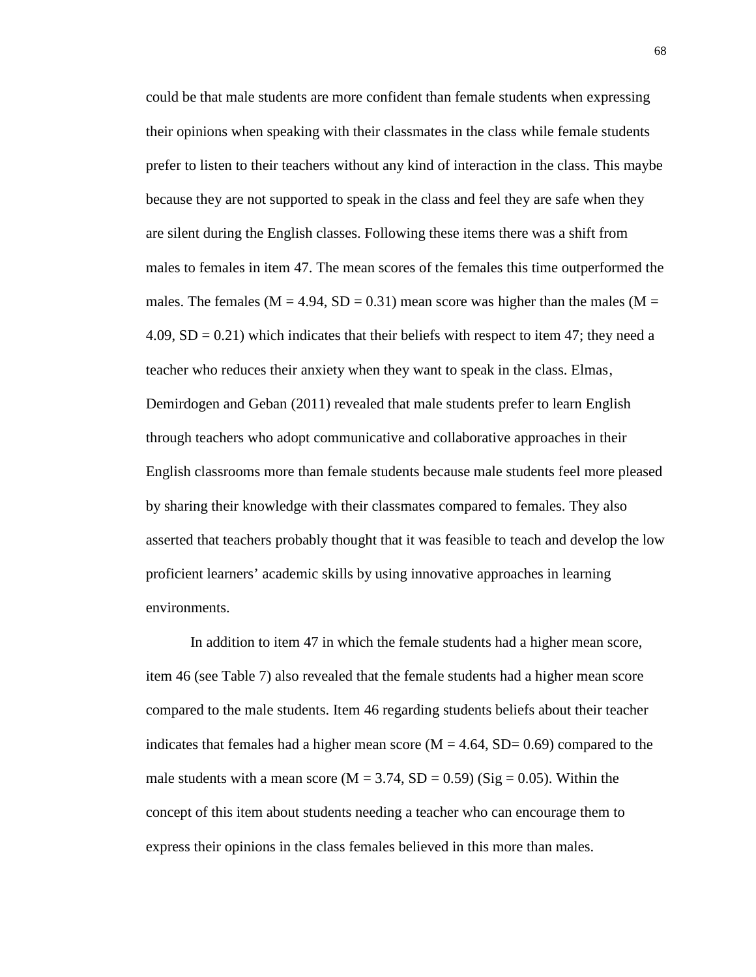could be that male students are more confident than female students when expressing their opinions when speaking with their classmates in the class while female students prefer to listen to their teachers without any kind of interaction in the class. This maybe because they are not supported to speak in the class and feel they are safe when they are silent during the English classes. Following these items there was a shift from males to females in item 47. The mean scores of the females this time outperformed the males. The females ( $M = 4.94$ ,  $SD = 0.31$ ) mean score was higher than the males ( $M =$ 4.09,  $SD = 0.21$ ) which indicates that their beliefs with respect to item 47; they need a teacher who reduces their anxiety when they want to speak in the class. Elmas, Demirdogen and Geban (2011) revealed that male students prefer to learn English through teachers who adopt communicative and collaborative approaches in their English classrooms more than female students because male students feel more pleased by sharing their knowledge with their classmates compared to females. They also asserted that teachers probably thought that it was feasible to teach and develop the low proficient learners' academic skills by using innovative approaches in learning environments.

In addition to item 47 in which the female students had a higher mean score, item 46 (see Table 7) also revealed that the female students had a higher mean score compared to the male students. Item 46 regarding students beliefs about their teacher indicates that females had a higher mean score  $(M = 4.64, SD = 0.69)$  compared to the male students with a mean score ( $M = 3.74$ ,  $SD = 0.59$ ) (Sig = 0.05). Within the concept of this item about students needing a teacher who can encourage them to express their opinions in the class females believed in this more than males.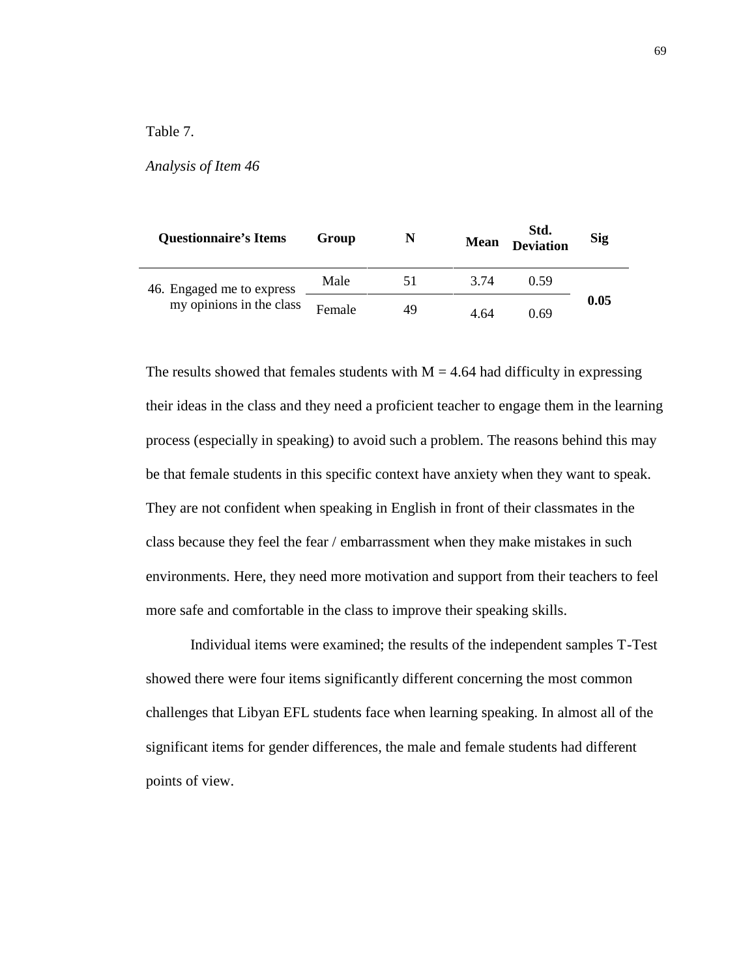## Table 7.

#### *Analysis of Item 46*

| <b>Questionnaire's Items</b>                          | Group  | N  | <b>Mean</b> | Std.<br><b>Deviation</b> | <b>Sig</b> |
|-------------------------------------------------------|--------|----|-------------|--------------------------|------------|
| 46. Engaged me to express<br>my opinions in the class | Male   | 51 | 3.74        | (159                     |            |
|                                                       | Female | 49 | 4 64        | 0.69                     | 0.05       |

The results showed that females students with  $M = 4.64$  had difficulty in expressing their ideas in the class and they need a proficient teacher to engage them in the learning process (especially in speaking) to avoid such a problem. The reasons behind this may be that female students in this specific context have anxiety when they want to speak. They are not confident when speaking in English in front of their classmates in the class because they feel the fear / embarrassment when they make mistakes in such environments. Here, they need more motivation and support from their teachers to feel more safe and comfortable in the class to improve their speaking skills.

Individual items were examined; the results of the independent samples T-Test showed there were four items significantly different concerning the most common challenges that Libyan EFL students face when learning speaking. In almost all of the significant items for gender differences, the male and female students had different points of view.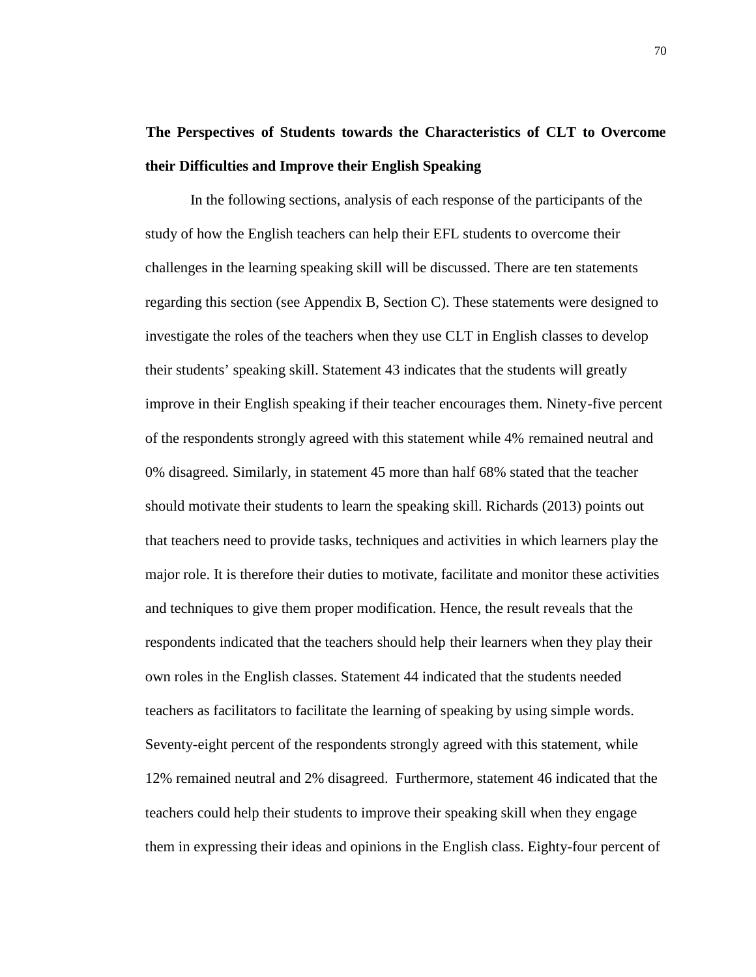# **The Perspectives of Students towards the Characteristics of CLT to Overcome their Difficulties and Improve their English Speaking**

In the following sections, analysis of each response of the participants of the study of how the English teachers can help their EFL students to overcome their challenges in the learning speaking skill will be discussed. There are ten statements regarding this section (see Appendix B, Section C). These statements were designed to investigate the roles of the teachers when they use CLT in English classes to develop their students' speaking skill. Statement 43 indicates that the students will greatly improve in their English speaking if their teacher encourages them. Ninety-five percent of the respondents strongly agreed with this statement while 4% remained neutral and 0% disagreed. Similarly, in statement 45 more than half 68% stated that the teacher should motivate their students to learn the speaking skill. Richards (2013) points out that teachers need to provide tasks, techniques and activities in which learners play the major role. It is therefore their duties to motivate, facilitate and monitor these activities and techniques to give them proper modification. Hence, the result reveals that the respondents indicated that the teachers should help their learners when they play their own roles in the English classes. Statement 44 indicated that the students needed teachers as facilitators to facilitate the learning of speaking by using simple words. Seventy-eight percent of the respondents strongly agreed with this statement, while 12% remained neutral and 2% disagreed. Furthermore, statement 46 indicated that the teachers could help their students to improve their speaking skill when they engage them in expressing their ideas and opinions in the English class. Eighty-four percent of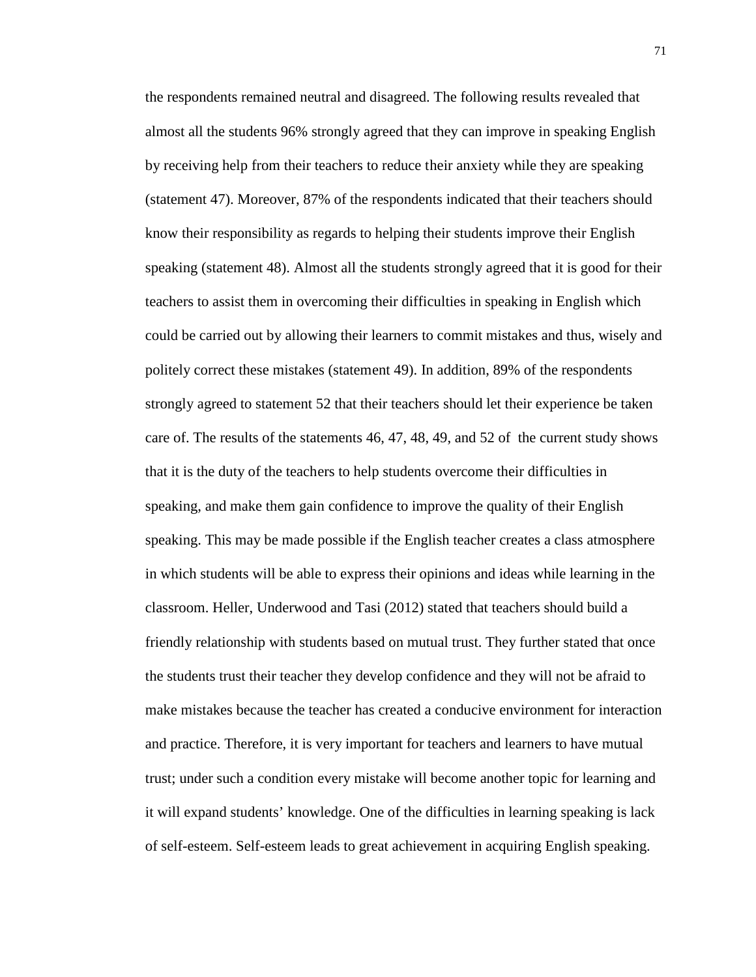the respondents remained neutral and disagreed. The following results revealed that almost all the students 96% strongly agreed that they can improve in speaking English by receiving help from their teachers to reduce their anxiety while they are speaking (statement 47). Moreover, 87% of the respondents indicated that their teachers should know their responsibility as regards to helping their students improve their English speaking (statement 48). Almost all the students strongly agreed that it is good for their teachers to assist them in overcoming their difficulties in speaking in English which could be carried out by allowing their learners to commit mistakes and thus, wisely and politely correct these mistakes (statement 49). In addition, 89% of the respondents strongly agreed to statement 52 that their teachers should let their experience be taken care of. The results of the statements 46, 47, 48, 49, and 52 of the current study shows that it is the duty of the teachers to help students overcome their difficulties in speaking, and make them gain confidence to improve the quality of their English speaking. This may be made possible if the English teacher creates a class atmosphere in which students will be able to express their opinions and ideas while learning in the classroom. Heller, Underwood and Tasi (2012) stated that teachers should build a friendly relationship with students based on mutual trust. They further stated that once the students trust their teacher they develop confidence and they will not be afraid to make mistakes because the teacher has created a conducive environment for interaction and practice. Therefore, it is very important for teachers and learners to have mutual trust; under such a condition every mistake will become another topic for learning and it will expand students' knowledge. One of the difficulties in learning speaking is lack of self-esteem. Self-esteem leads to great achievement in acquiring English speaking.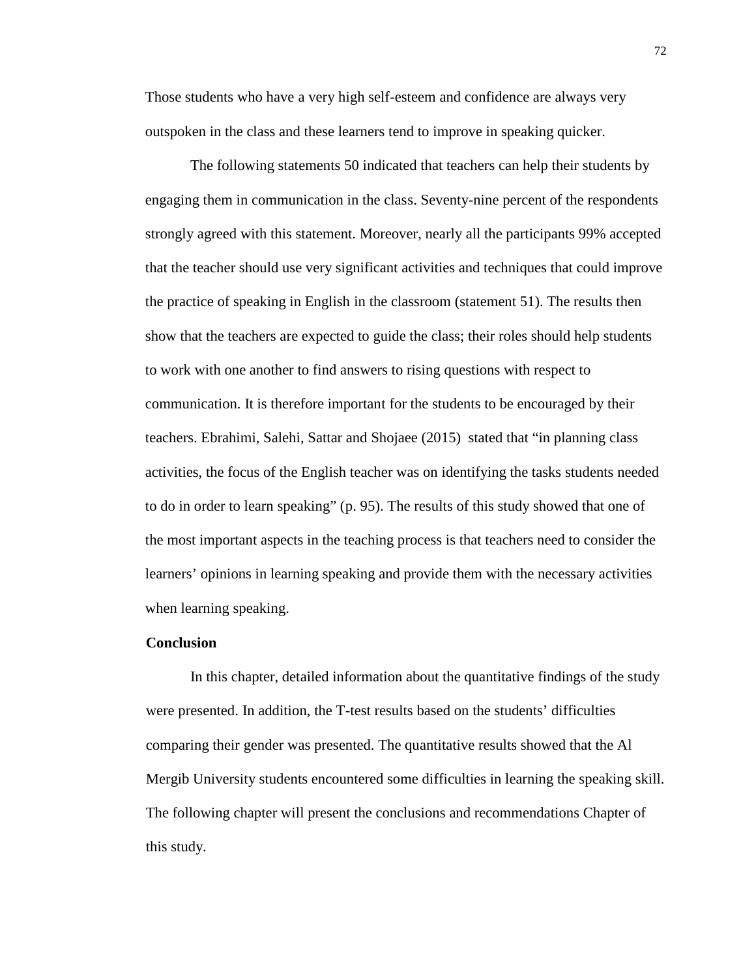Those students who have a very high self-esteem and confidence are always very outspoken in the class and these learners tend to improve in speaking quicker.

The following statements 50 indicated that teachers can help their students by engaging them in communication in the class. Seventy-nine percent of the respondents strongly agreed with this statement. Moreover, nearly all the participants 99% accepted that the teacher should use very significant activities and techniques that could improve the practice of speaking in English in the classroom (statement 51). The results then show that the teachers are expected to guide the class; their roles should help students to work with one another to find answers to rising questions with respect to communication. It is therefore important for the students to be encouraged by their teachers. Ebrahimi, Salehi, Sattar and Shojaee (2015) stated that "in planning class activities, the focus of the English teacher was on identifying the tasks students needed to do in order to learn speaking" (p. 95). The results of this study showed that one of the most important aspects in the teaching process is that teachers need to consider the learners' opinions in learning speaking and provide them with the necessary activities when learning speaking.

#### **Conclusion**

In this chapter, detailed information about the quantitative findings of the study were presented. In addition, the T-test results based on the students' difficulties comparing their gender was presented. The quantitative results showed that the Al Mergib University students encountered some difficulties in learning the speaking skill. The following chapter will present the conclusions and recommendations Chapter of this study.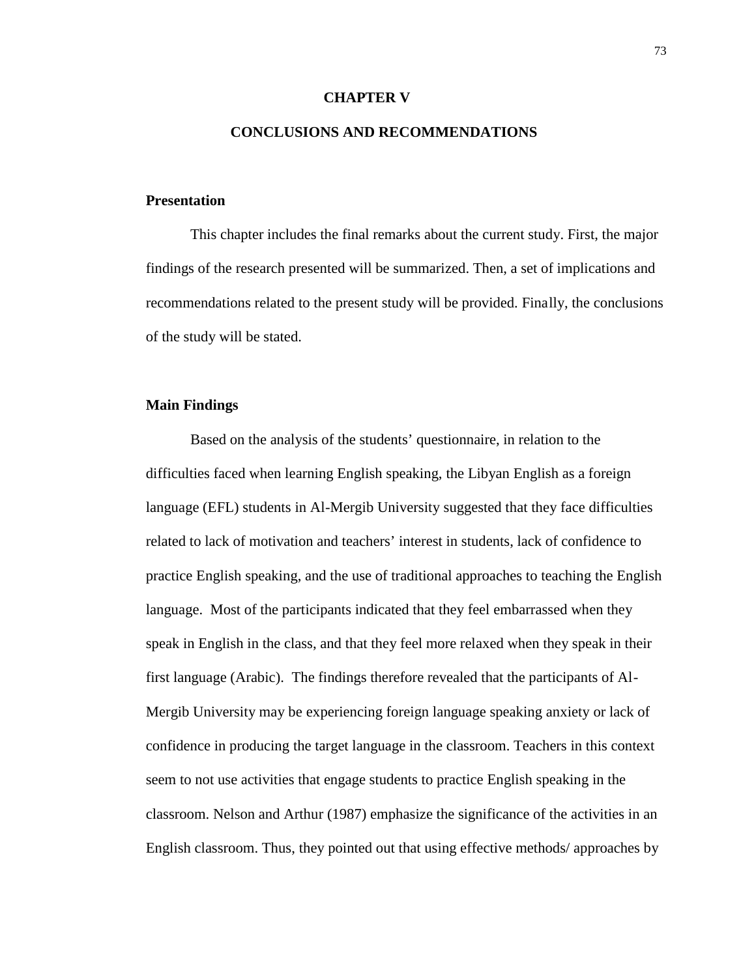#### **CHAPTER V**

#### **CONCLUSIONS AND RECOMMENDATIONS**

#### **Presentation**

This chapter includes the final remarks about the current study. First, the major findings of the research presented will be summarized. Then, a set of implications and recommendations related to the present study will be provided. Finally, the conclusions of the study will be stated.

### **Main Findings**

Based on the analysis of the students' questionnaire, in relation to the difficulties faced when learning English speaking, the Libyan English as a foreign language (EFL) students in Al-Mergib University suggested that they face difficulties related to lack of motivation and teachers' interest in students, lack of confidence to practice English speaking, and the use of traditional approaches to teaching the English language. Most of the participants indicated that they feel embarrassed when they speak in English in the class, and that they feel more relaxed when they speak in their first language (Arabic). The findings therefore revealed that the participants of Al- Mergib University may be experiencing foreign language speaking anxiety or lack of confidence in producing the target language in the classroom. Teachers in this context seem to not use activities that engage students to practice English speaking in the classroom. Nelson and Arthur (1987) emphasize the significance of the activities in an English classroom. Thus, they pointed out that using effective methods/ approaches by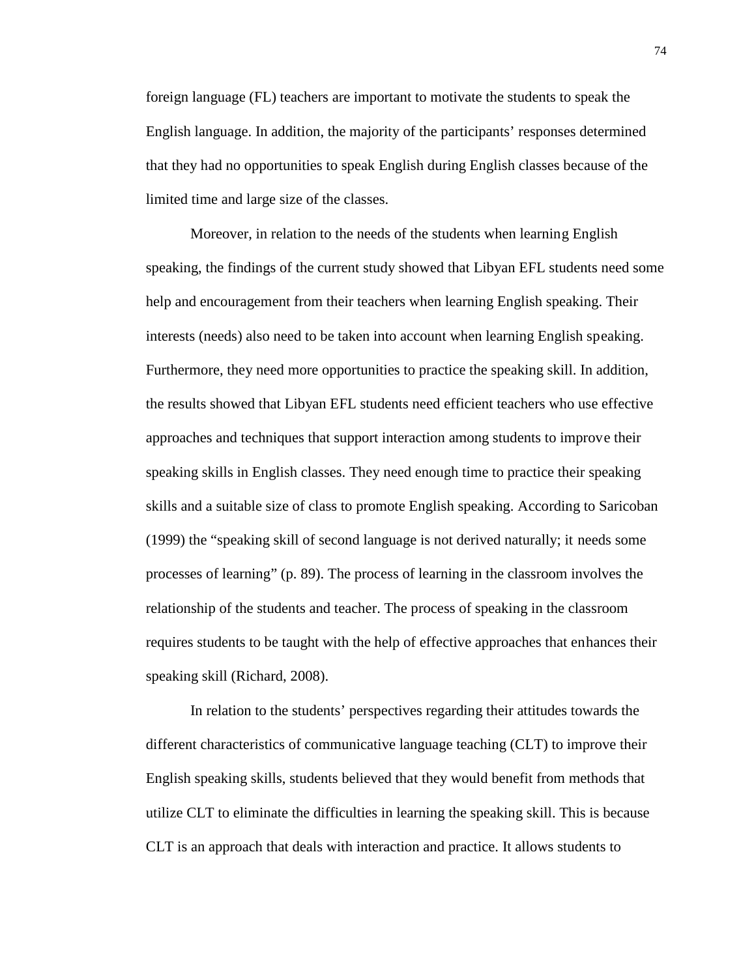foreign language (FL) teachers are important to motivate the students to speak the English language. In addition, the majority of the participants' responses determined that they had no opportunities to speak English during English classes because of the limited time and large size of the classes.

Moreover, in relation to the needs of the students when learning English speaking, the findings of the current study showed that Libyan EFL students need some help and encouragement from their teachers when learning English speaking. Their interests (needs) also need to be taken into account when learning English speaking. Furthermore, they need more opportunities to practice the speaking skill. In addition, the results showed that Libyan EFL students need efficient teachers who use effective approaches and techniques that support interaction among students to improve their speaking skills in English classes. They need enough time to practice their speaking skills and a suitable size of class to promote English speaking. According to Saricoban (1999) the "speaking skill of second language is not derived naturally; it needs some processes of learning" (p. 89). The process of learning in the classroom involves the relationship of the students and teacher. The process of speaking in the classroom requires students to be taught with the help of effective approaches that enhances their speaking skill (Richard, 2008).

In relation to the students' perspectives regarding their attitudes towards the different characteristics of communicative language teaching (CLT) to improve their English speaking skills, students believed that they would benefit from methods that utilize CLT to eliminate the difficulties in learning the speaking skill. This is because CLT is an approach that deals with interaction and practice. It allows students to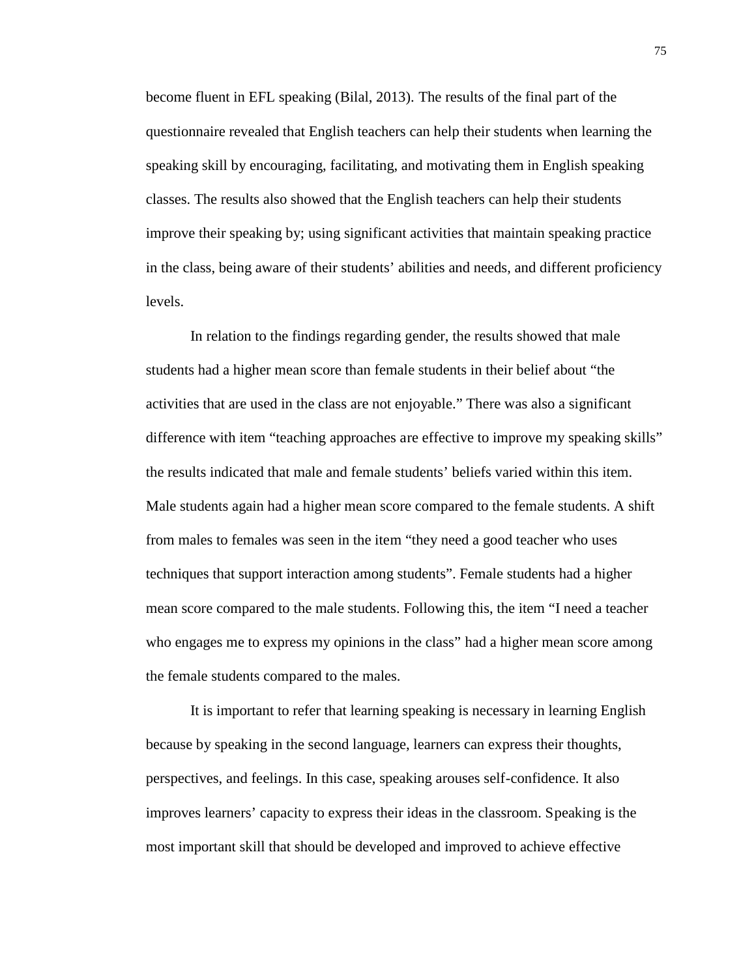become fluent in EFL speaking (Bilal, 2013). The results of the final part of the questionnaire revealed that English teachers can help their students when learning the speaking skill by encouraging, facilitating, and motivating them in English speaking classes. The results also showed that the English teachers can help their students improve their speaking by; using significant activities that maintain speaking practice in the class, being aware of their students' abilities and needs, and different proficiency levels.

In relation to the findings regarding gender, the results showed that male students had a higher mean score than female students in their belief about "the activities that are used in the class are not enjoyable." There was also a significant difference with item "teaching approaches are effective to improve my speaking skills" the results indicated that male and female students' beliefs varied within this item. Male students again had a higher mean score compared to the female students. A shift from males to females was seen in the item "they need a good teacher who uses techniques that support interaction among students". Female students had a higher mean score compared to the male students. Following this, the item "I need a teacher who engages me to express my opinions in the class" had a higher mean score among the female students compared to the males.

It is important to refer that learning speaking is necessary in learning English because by speaking in the second language, learners can express their thoughts, perspectives, and feelings. In this case, speaking arouses self-confidence. It also improves learners' capacity to express their ideas in the classroom. Speaking is the most important skill that should be developed and improved to achieve effective

75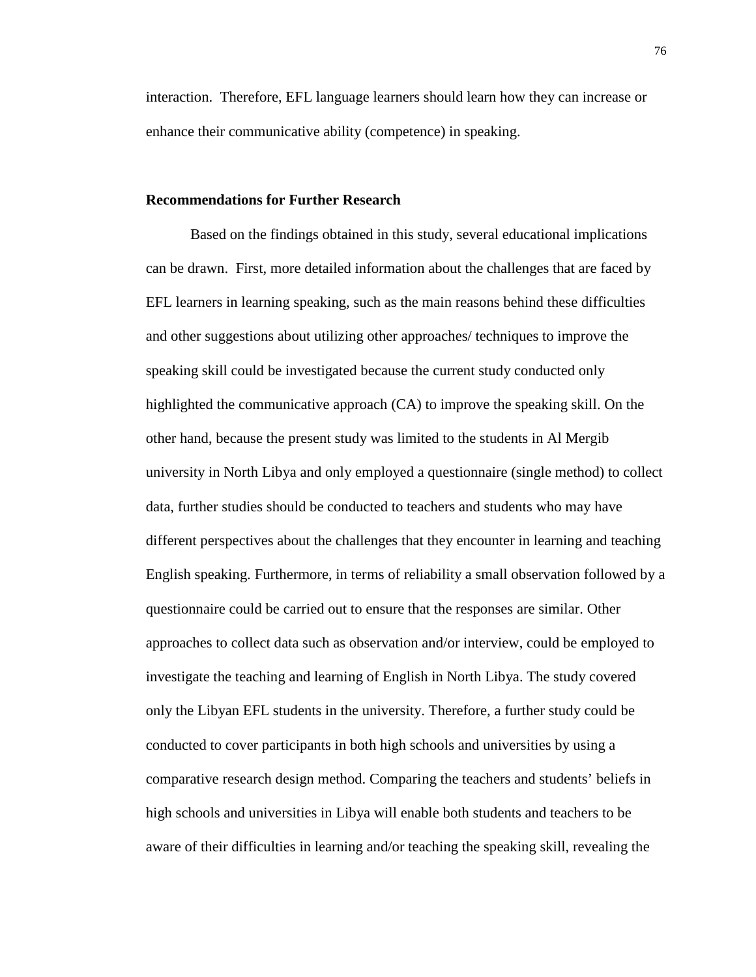interaction. Therefore, EFL language learners should learn how they can increase or enhance their communicative ability (competence) in speaking.

#### **Recommendations for Further Research**

Based on the findings obtained in this study, several educational implications can be drawn. First, more detailed information about the challenges that are faced by EFL learners in learning speaking, such as the main reasons behind these difficulties and other suggestions about utilizing other approaches/ techniques to improve the speaking skill could be investigated because the current study conducted only highlighted the communicative approach (CA) to improve the speaking skill. On the other hand, because the present study was limited to the students in Al Mergib university in North Libya and only employed a questionnaire (single method) to collect data, further studies should be conducted to teachers and students who may have different perspectives about the challenges that they encounter in learning and teaching English speaking. Furthermore, in terms of reliability a small observation followed by a questionnaire could be carried out to ensure that the responses are similar. Other approaches to collect data such as observation and/or interview, could be employed to investigate the teaching and learning of English in North Libya. The study covered only the Libyan EFL students in the university. Therefore, a further study could be conducted to cover participants in both high schools and universities by using a comparative research design method. Comparing the teachers and students' beliefs in high schools and universities in Libya will enable both students and teachers to be aware of their difficulties in learning and/or teaching the speaking skill, revealing the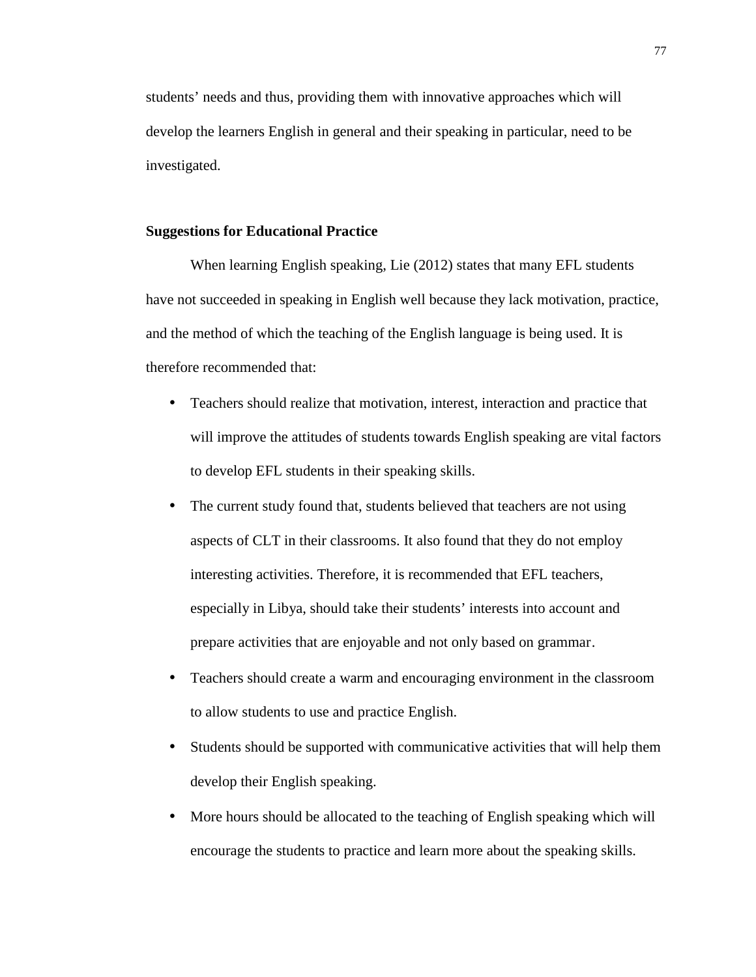students' needs and thus, providing them with innovative approaches which will develop the learners English in general and their speaking in particular, need to be investigated.

#### **Suggestions for Educational Practice**

When learning English speaking, Lie (2012) states that many EFL students have not succeeded in speaking in English well because they lack motivation, practice, and the method of which the teaching of the English language is being used. It is therefore recommended that:

- Teachers should realize that motivation, interest, interaction and practice that will improve the attitudes of students towards English speaking are vital factors to develop EFL students in their speaking skills.
- The current study found that, students believed that teachers are not using aspects of CLT in their classrooms. It also found that they do not employ interesting activities. Therefore, it is recommended that EFL teachers, especially in Libya, should take their students' interests into account and prepare activities that are enjoyable and not only based on grammar.
- Teachers should create a warm and encouraging environment in the classroom to allow students to use and practice English.
- Students should be supported with communicative activities that will help them develop their English speaking.
- More hours should be allocated to the teaching of English speaking which will encourage the students to practice and learn more about the speaking skills.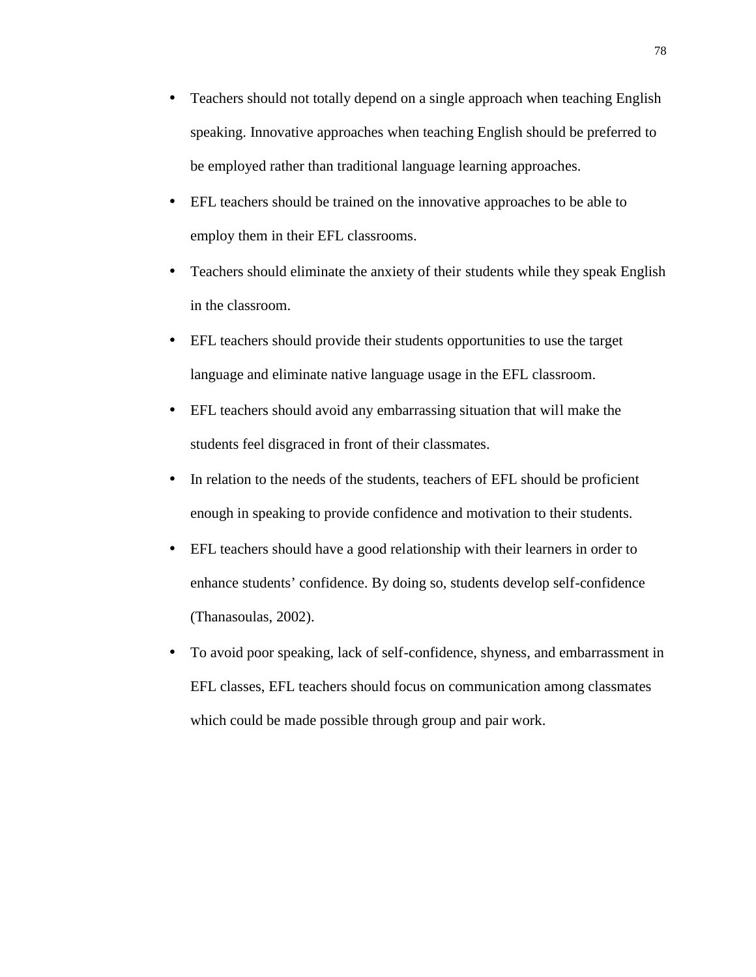- Teachers should not totally depend on a single approach when teaching English speaking. Innovative approaches when teaching English should be preferred to be employed rather than traditional language learning approaches.
- EFL teachers should be trained on the innovative approaches to be able to employ them in their EFL classrooms.
- Teachers should eliminate the anxiety of their students while they speak English in the classroom.
- EFL teachers should provide their students opportunities to use the target language and eliminate native language usage in the EFL classroom.
- EFL teachers should avoid any embarrassing situation that will make the students feel disgraced in front of their classmates.
- In relation to the needs of the students, teachers of EFL should be proficient enough in speaking to provide confidence and motivation to their students.
- EFL teachers should have a good relationship with their learners in order to enhance students' confidence. By doing so, students develop self-confidence (Thanasoulas, 2002).
- To avoid poor speaking, lack of self-confidence, shyness, and embarrassment in EFL classes, EFL teachers should focus on communication among classmates which could be made possible through group and pair work.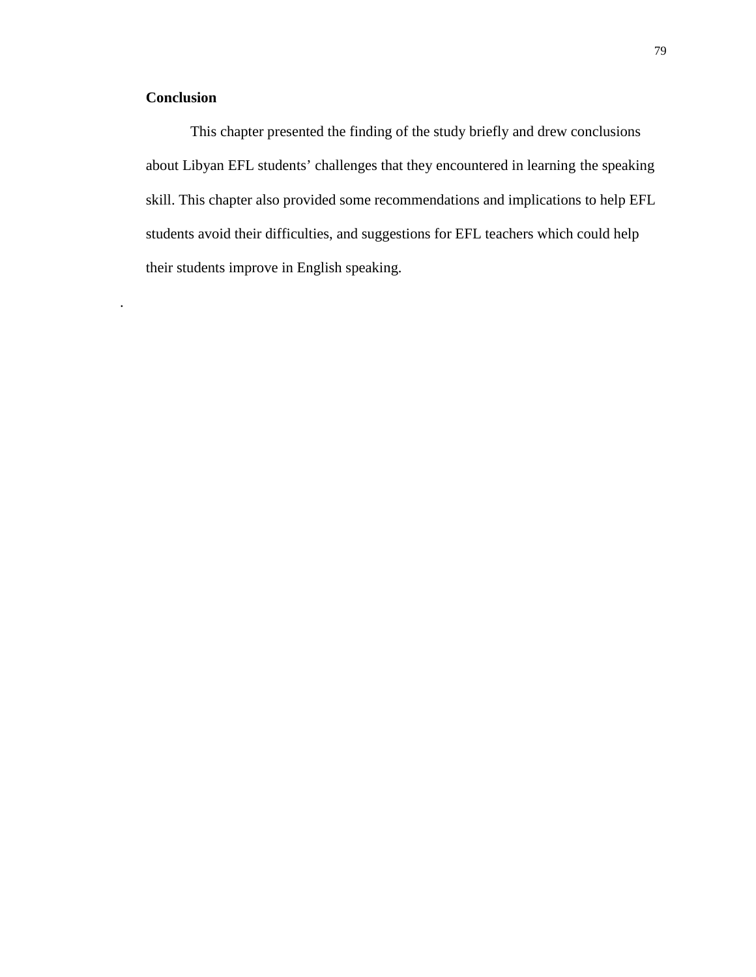### **Conclusion**

.

This chapter presented the finding of the study briefly and drew conclusions about Libyan EFL students' challenges that they encountered in learning the speaking skill. This chapter also provided some recommendations and implications to help EFL students avoid their difficulties, and suggestions for EFL teachers which could help their students improve in English speaking.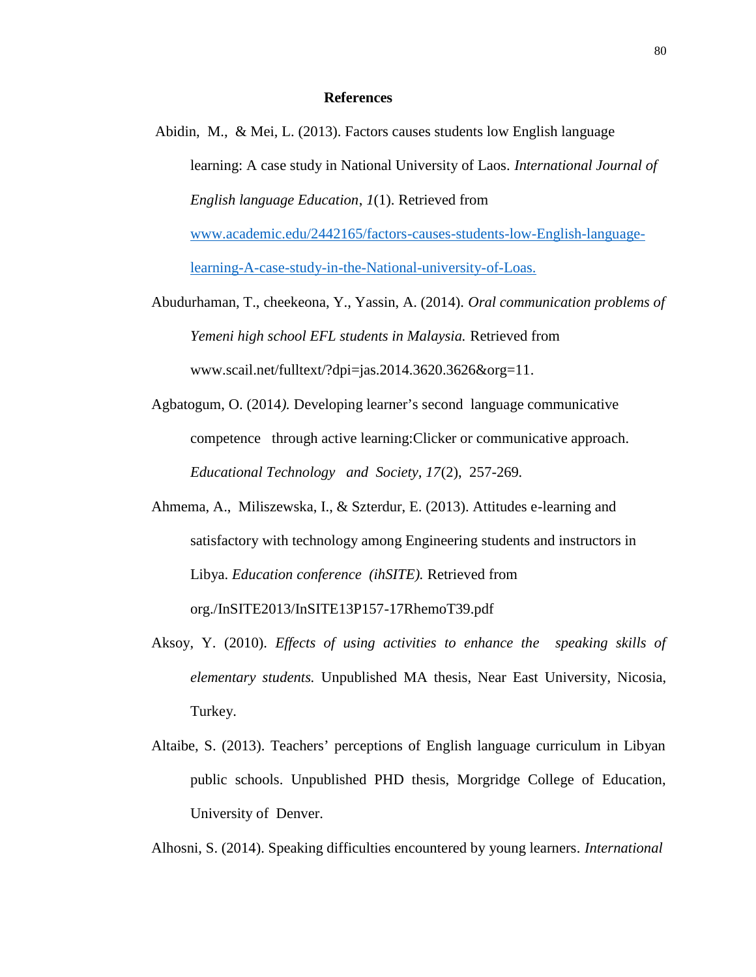#### **References**

Abidin, M., & Mei, L. (2013). Factors causes students low English language learning: A case study in National University of Laos. *International Journal of English language Education*, *1*(1). Retrieved from www.academic.edu/2442165/factors-causes-students-low-English-language-

learning-A-case-study-in-the-National-university-of-Loas.

- Abudurhaman, T., cheekeona, Y., Yassin, A. (2014). *Oral communication problems of Yemeni high school EFL students in Malaysia.* Retrieved from www.scail.net/fulltext/?dpi=jas.2014.3620.3626&org=11*.*
- Agbatogum, O. (2014*).* Developing learner's second language communicative competence through active learning:Clicker or communicative approach. *Educational Technology and Society, 17*(2), 257-269*.*
- Ahmema, A., Miliszewska, I., & Szterdur, E. (2013). Attitudes e-learning and satisfactory with technology among Engineering students and instructors in Libya. *Education conference (ihSITE).* Retrieved from org./InSITE2013/InSITE13P157-17RhemoT39.pdf
- Aksoy, Y. (2010). *Effects of using activities to enhance the speaking skills of elementary students.* Unpublished MA thesis, Near East University, Nicosia, Turkey.
- Altaibe, S. (2013). Teachers' perceptions of English language curriculum in Libyan public schools. Unpublished PHD thesis, Morgridge College of Education, University of Denver.

Alhosni, S. (2014). Speaking difficulties encountered by young learners*. International*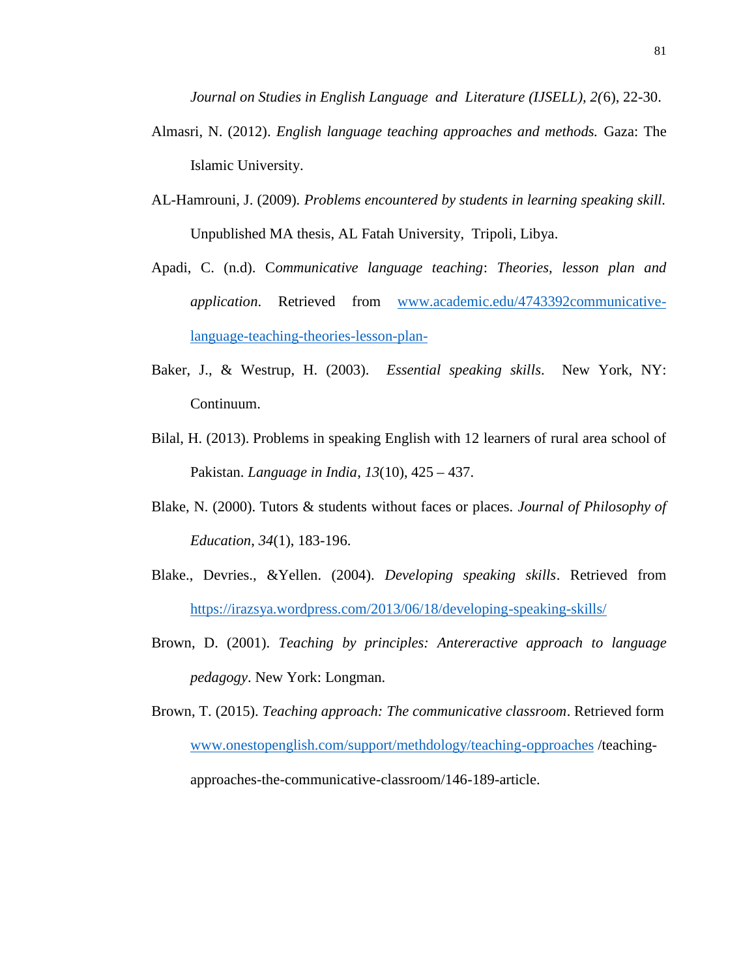*Journal on Studies in English Language and Literature (IJSELL), 2(*6), 22-30.

- Almasri, N. (2012). *English language teaching approaches and methods.* Gaza: The Islamic University.
- AL-Hamrouni, J. (2009)*. Problems encountered by students in learning speaking skill.* Unpublished MA thesis, AL Fatah University, Tripoli, Libya.
- Apadi, C. (n.d). C*ommunicative language teaching*: *Theories, lesson plan and application*. Retrieved from www.academic.edu/4743392communicativelanguage-teaching-theories-lesson-plan-
- Baker, J., & Westrup, H. (2003). *Essential speaking skills*. New York, NY: Continuum.
- Bilal, H. (2013). Problems in speaking English with 12 learners of rural area school of Pakistan. *Language in India*, *13*(10), 425 – 437.
- Blake, N. (2000). Tutors & students without faces or places. *Journal of Philosophy of Education*, *34*(1), 183-196.
- Blake., Devries., &Yellen. (2004). *Developing speaking skills*. Retrieved from https://irazsya.wordpress.com/2013/06/18/developing-speaking-skills/
- Brown, D. (2001). *Teaching by principles: Antereractive approach to language pedagogy*. New York: Longman.

Brown, T. (2015). *Teaching approach: The communicative classroom*. Retrieved form www.onestopenglish.com/support/methdology/teaching-opproaches /teaching approaches-the-communicative-classroom/146-189-article.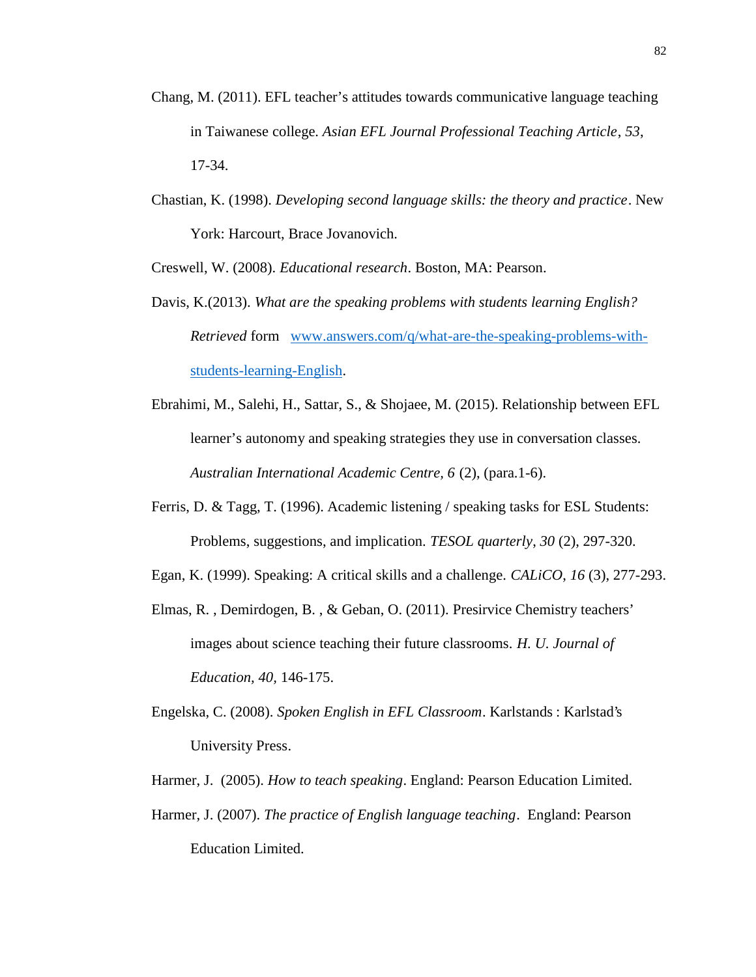- Chang, M. (2011). EFL teacher's attitudes towards communicative language teaching in Taiwanese college. *Asian EFL Journal Professional Teaching Article*, *53*, 17-34.
- Chastian, K. (1998). *Developing second language skills: the theory and practice*. New York: Harcourt, Brace Jovanovich.

Creswell, W. (2008). *Educational research*. Boston, MA: Pearson.

- Davis, K.(2013). *What are the speaking problems with students learning English? Retrieved* form www.answers.com/q/what-are-the-speaking-problems-with students-learning-English.
- Ebrahimi, M., Salehi, H., Sattar, S., & Shojaee, M. (2015). Relationship between EFL learner's autonomy and speaking strategies they use in conversation classes. *Australian International Academic Centre, 6* (2), (para.1-6).
- Ferris, D. & Tagg, T. (1996). Academic listening / speaking tasks for ESL Students: Problems, suggestions, and implication. *TESOL quarterly*, *30* (2), 297-320.
- Egan, K. (1999). Speaking: A critical skills and a challenge. *CALiCO*, *16* (3), 277-293.
- Elmas, R. , Demirdogen, B. , & Geban, O. (2011). Presirvice Chemistry teachers' images about science teaching their future classrooms. *H. U. Journal of Education, 40,* 146-175.
- Engelska, C. (2008). *Spoken English in EFL Classroom*. Karlstands : Karlstad's University Press.
- Harmer, J. (2005). *How to teach speaking*. England: Pearson Education Limited.
- Harmer, J. (2007). *The practice of English language teaching*. England: Pearson Education Limited.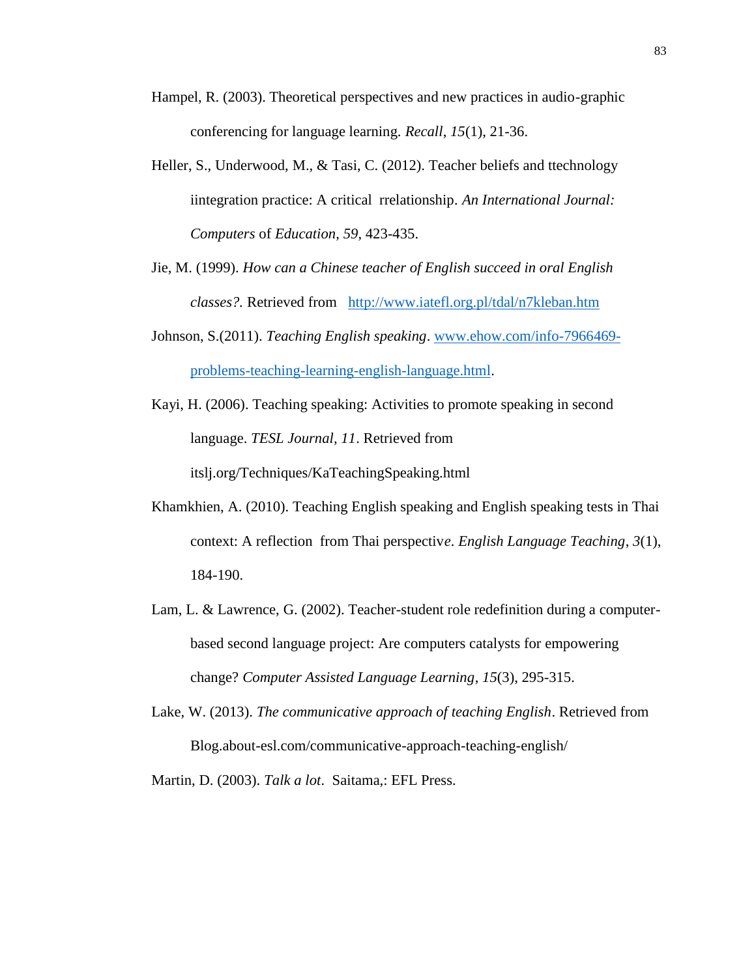- Hampel, R. (2003). Theoretical perspectives and new practices in audio-graphic conferencing for language learning. *Recall*, *15*(1), 21-36.
- Heller, S., Underwood, M., & Tasi, C. (2012). Teacher beliefs and ttechnology iintegration practice: A critical rrelationship*. An International Journal: Computers* of *Education*, *59*, 423-435.
- Jie, M. (1999). *How can a Chinese teacher of English succeed in oral English classes?.* Retrieved from http://www.iatefl.org.pl/tdal/n7kleban.htm
- Johnson, S.(2011). *Teaching English speaking*. www.ehow.com/info-7966469 problems-teaching-learning-english-language.html.
- Kayi, H. (2006). Teaching speaking: Activities to promote speaking in second language. *TESL Journal, 11*. Retrieved from itslj.org/Techniques/KaTeachingSpeaking.html
- Khamkhien, A. (2010). Teaching English speaking and English speaking tests in Thai context: A reflection from Thai perspectiv*e*. *English Language Teaching*, *3*(1), 184-190.
- Lam, L. & Lawrence, G. (2002). Teacher-student role redefinition during a computer based second language project: Are computers catalysts for empowering change? *Computer Assisted Language Learning*, *15*(3), 295-315.
- Lake, W. (2013). *The communicative approach of teaching English*. Retrieved from Blog.about-esl.com/communicative-approach-teaching-english/

Martin, D. (2003). *Talk a lot*. Saitama,: EFL Press.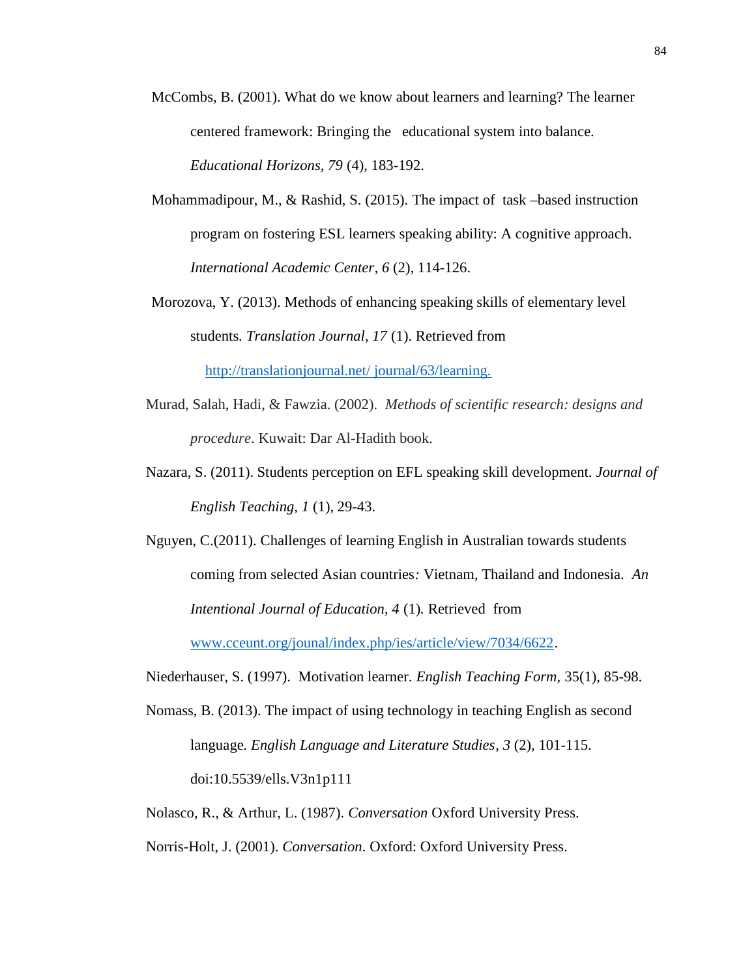- McCombs, B. (2001). What do we know about learners and learning? The learner centered framework: Bringing the educational system into balance. *Educational Horizons, 79* (4), 183-192.
- Mohammadipour, M., & Rashid, S. (2015). The impact of task –based instruction program on fostering ESL learners speaking ability: A cognitive approach. *International Academic Center*, *6* (2)*,* 114-126.
- Morozova, Y. (2013). Methods of enhancing speaking skills of elementary level students*. Translation Journal, 17* (1). Retrieved from http://translationjournal.net/ journal/63/learning.
- Murad, Salah, Hadi, & Fawzia. (2002). *Methods of scientific research: designs and procedure*. Kuwait: Dar Al-Hadith book.
- Nazara, S. (2011). Students perception on EFL speaking skill development. *Journal of English Teaching, 1* (1), 29-43.
- Nguyen, C.(2011). Challenges of learning English in Australian towards students coming from selected Asian countries*:* Vietnam, Thailand and Indonesia. *An Intentional Journal of Education, 4* (1)*.* Retrieved from

www.cceunt.org/jounal/index.php/ies/article/view/7034/6622.

- Niederhauser, S. (1997). Motivation learner. *English Teaching Form,* 35(1), 85-98.
- Nomass, B. (2013). The impact of using technology in teaching English as second language*. English Language and Literature Studies*, *3* (2), 101-115. doi:10.5539/ells.V3n1p111

Nolasco, R., & Arthur, L. (1987). *Conversation* Oxford University Press.

Norris-Holt, J. (2001). *Conversation*. Oxford: Oxford University Press.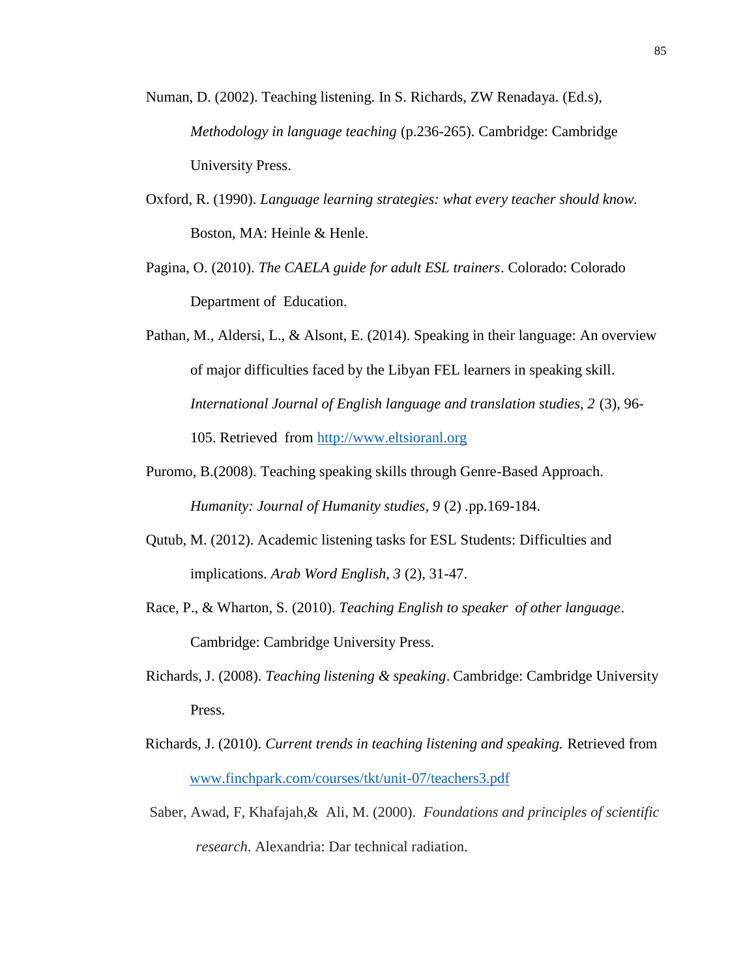- Numan, D. (2002). Teaching listening. In S. Richards, ZW Renadaya. (Ed.s), *Methodology in language teaching* (p.236-265). Cambridge: Cambridge University Press.
- Oxford, R. (1990). *Language learning strategies: what every teacher should know.* Boston, MA: Heinle & Henle.
- Pagina, O. (2010). *The CAELA guide for adult ESL trainers*. Colorado: Colorado Department of Education.
- Pathan, M., Aldersi, L., & Alsont, E. (2014). Speaking in their language: An overview of major difficulties faced by the Libyan FEL learners in speaking skill*. International Journal of English language and translation studies, 2* (3), 96- 105. Retrieved from http://www.eltsioranl.org
- Puromo, B.(2008). Teaching speaking skills through Genre-Based Approach. *Humanity: Journal of Humanity studies, 9* (2) *.*pp.169-184.
- Qutub, M. (2012). Academic listening tasks for ESL Students: Difficulties and implications. *Arab Word English, 3* (2), 31-47.
- Race, P., & Wharton, S. (2010). *Teaching English to speaker of other language*. Cambridge: Cambridge University Press.
- Richards, J. (2008). *Teaching listening & speaking*. Cambridge: Cambridge University Press.
- Richards, J. (2010). *Current trends in teaching listening and speaking.* Retrieved from www.finchpark.com/courses/tkt/unit-07/teachers3.pdf
- Saber, Awad, F, Khafajah,& Ali, M. (2000). *Foundations and principles of scientific research*. Alexandria: Dar technical radiation.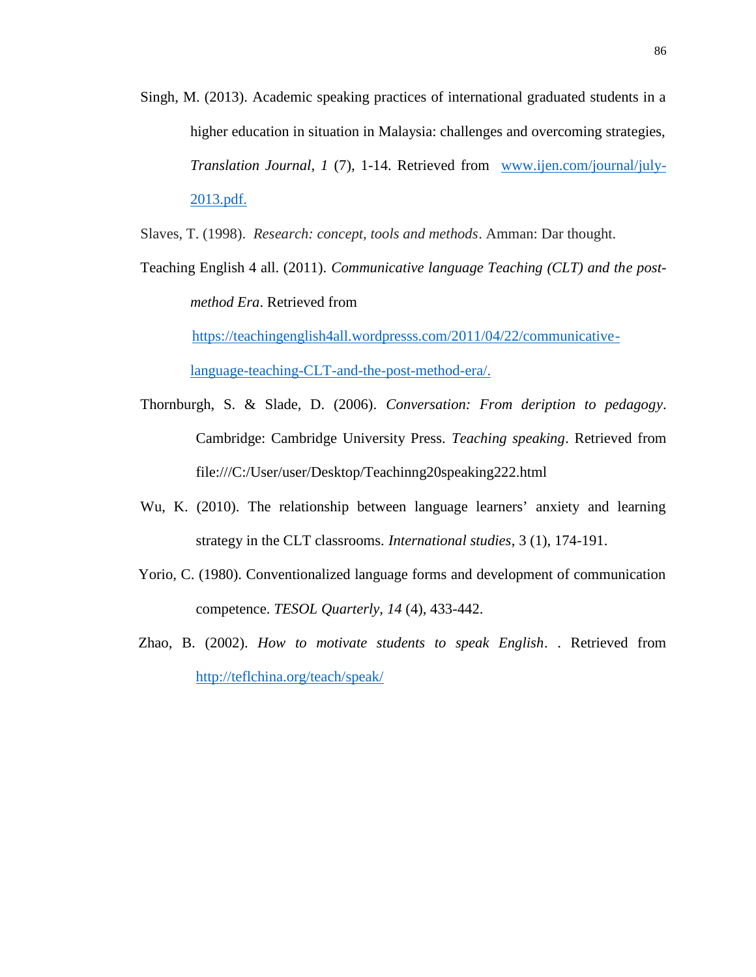Singh, M. (2013). Academic speaking practices of international graduated students in a higher education in situation in Malaysia: challenges and overcoming strategies, *Translation Journal, 1* (7)*,*1-14. Retrieved from www.ijen.com/journal/july- 2013.pdf.

Slaves, T. (1998). *Research: concept, tools and methods*. Amman: Dar thought.

Teaching English 4 all. (2011). *Communicative language Teaching (CLT) and the post method Era*. Retrieved from

https://teachingenglish4all.wordpresss.com/2011/04/22/communicativelanguage-teaching-CLT-and-the-post-method-era/.

- Thornburgh, S. & Slade, D. (2006). *Conversation: From deription to pedagogy*. Cambridge: Cambridge University Press. *Teaching speaking*. Retrieved from file:///C:/User/user/Desktop/Teachinng20speaking222.html
- Wu, K. (2010). The relationship between language learners' anxiety and learning strategy in the CLT classrooms. *International studies*, 3 (1), 174-191.
- Yorio, C. (1980). Conventionalized language forms and development of communication competence. *TESOL Quarterly, 14* (4), 433-442.
- Zhao, B. (2002). *How to motivate students to speak English*. . Retrieved from http://teflchina.org/teach/speak/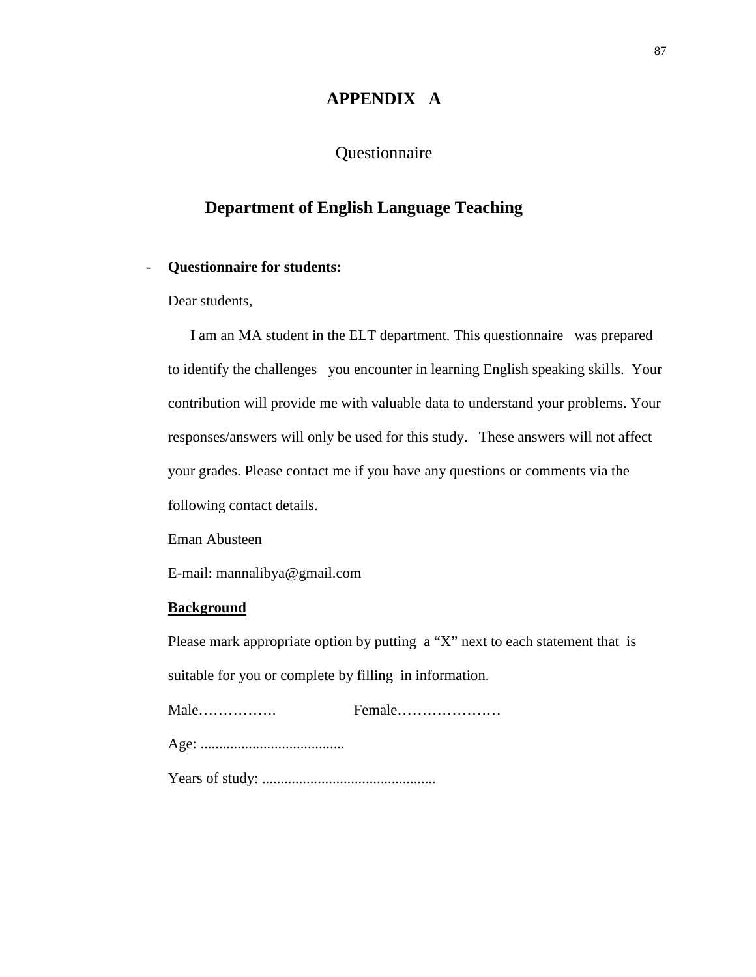### **APPENDIX A**

### Questionnaire

# **Department of English Language Teaching**

#### - **Questionnaire for students:**

Dear students,

I am an MA student in the ELT department. This questionnaire was prepared to identify the challenges you encounter in learning English speaking skills. Your contribution will provide me with valuable data to understand your problems. Your responses/answers will only be used for this study. These answers will not affect your grades. Please contact me if you have any questions or comments via the following contact details.

Eman Abusteen

E-mail: mannalibya@gmail.com

#### **Background**

Please mark appropriate option by putting a "X" next to each statement that is suitable for you or complete by filling in information.

Male……………. Female………………… Age: .......................................

Years of study: ...............................................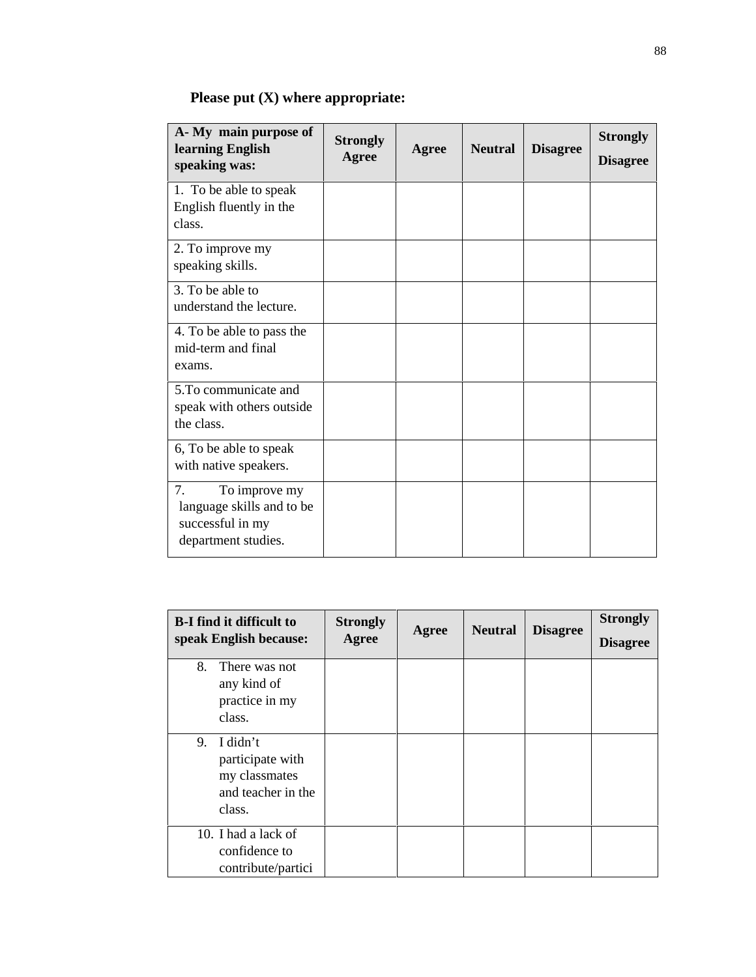|  |  | <b>Please put <math>(X)</math> where appropriate:</b> |  |
|--|--|-------------------------------------------------------|--|
|--|--|-------------------------------------------------------|--|

| A- My main purpose of<br>learning English<br>speaking was:                                  | <b>Strongly</b><br>Agree | Agree | <b>Neutral</b> | <b>Disagree</b> | <b>Strongly</b><br><b>Disagree</b> |
|---------------------------------------------------------------------------------------------|--------------------------|-------|----------------|-----------------|------------------------------------|
| 1. To be able to speak<br>English fluently in the<br>class.                                 |                          |       |                |                 |                                    |
| 2. To improve my<br>speaking skills.                                                        |                          |       |                |                 |                                    |
| 3. To be able to<br>understand the lecture.                                                 |                          |       |                |                 |                                    |
| 4. To be able to pass the<br>mid-term and final<br>exams.                                   |                          |       |                |                 |                                    |
| 5. To communicate and<br>speak with others outside<br>the class.                            |                          |       |                |                 |                                    |
| 6, To be able to speak<br>with native speakers.                                             |                          |       |                |                 |                                    |
| 7.<br>To improve my<br>language skills and to be<br>successful in my<br>department studies. |                          |       |                |                 |                                    |

| <b>B-I find it difficult to</b><br>speak English because:                           | <b>Strongly</b><br>Agree | Agree | <b>Neutral</b> | <b>Disagree</b> | <b>Strongly</b><br><b>Disagree</b> |
|-------------------------------------------------------------------------------------|--------------------------|-------|----------------|-----------------|------------------------------------|
| 8.<br>There was not<br>any kind of<br>practice in my<br>class.                      |                          |       |                |                 |                                    |
| I didn't<br>9.<br>participate with<br>my classmates<br>and teacher in the<br>class. |                          |       |                |                 |                                    |
| 10. I had a lack of<br>confidence to<br>contribute/partici                          |                          |       |                |                 |                                    |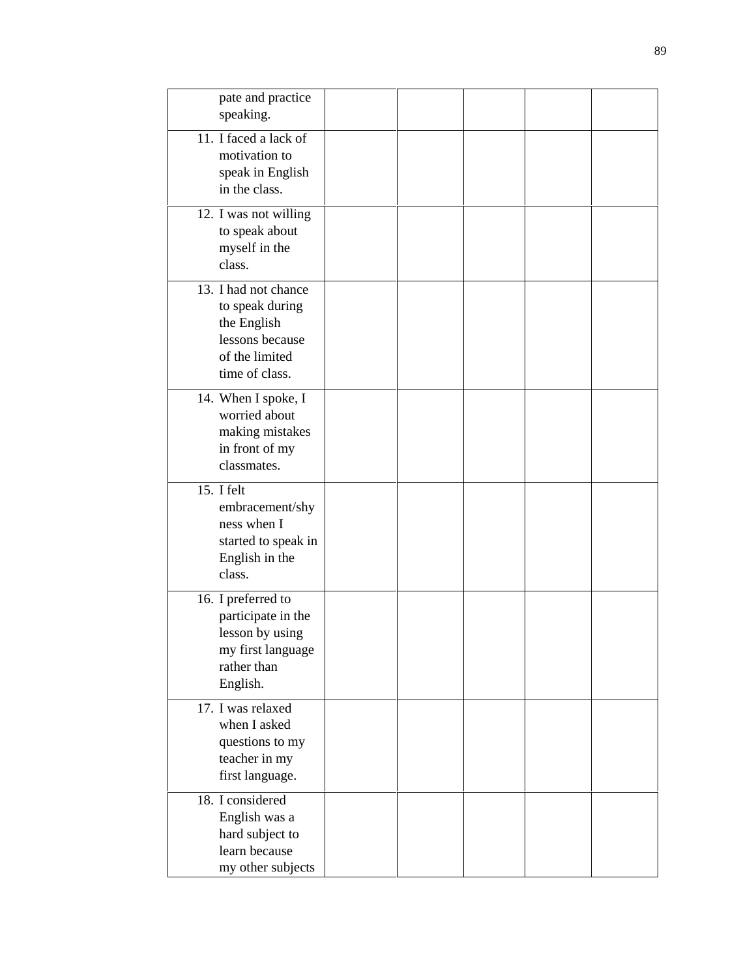| pate and practice<br>speaking.                                                                                |  |  |  |
|---------------------------------------------------------------------------------------------------------------|--|--|--|
| 11. I faced a lack of<br>motivation to<br>speak in English<br>in the class.                                   |  |  |  |
| 12. I was not willing<br>to speak about<br>myself in the<br>class.                                            |  |  |  |
| 13. I had not chance<br>to speak during<br>the English<br>lessons because<br>of the limited<br>time of class. |  |  |  |
| 14. When I spoke, I<br>worried about<br>making mistakes<br>in front of my<br>classmates.                      |  |  |  |
| 15. I felt<br>embracement/shy<br>ness when I<br>started to speak in<br>English in the<br>class.               |  |  |  |
| 16. I preferred to<br>participate in the<br>lesson by using<br>my first language<br>rather than<br>English.   |  |  |  |
| 17. I was relaxed<br>when I asked<br>questions to my<br>teacher in my<br>first language.                      |  |  |  |
| 18. I considered<br>English was a<br>hard subject to<br>learn because<br>my other subjects                    |  |  |  |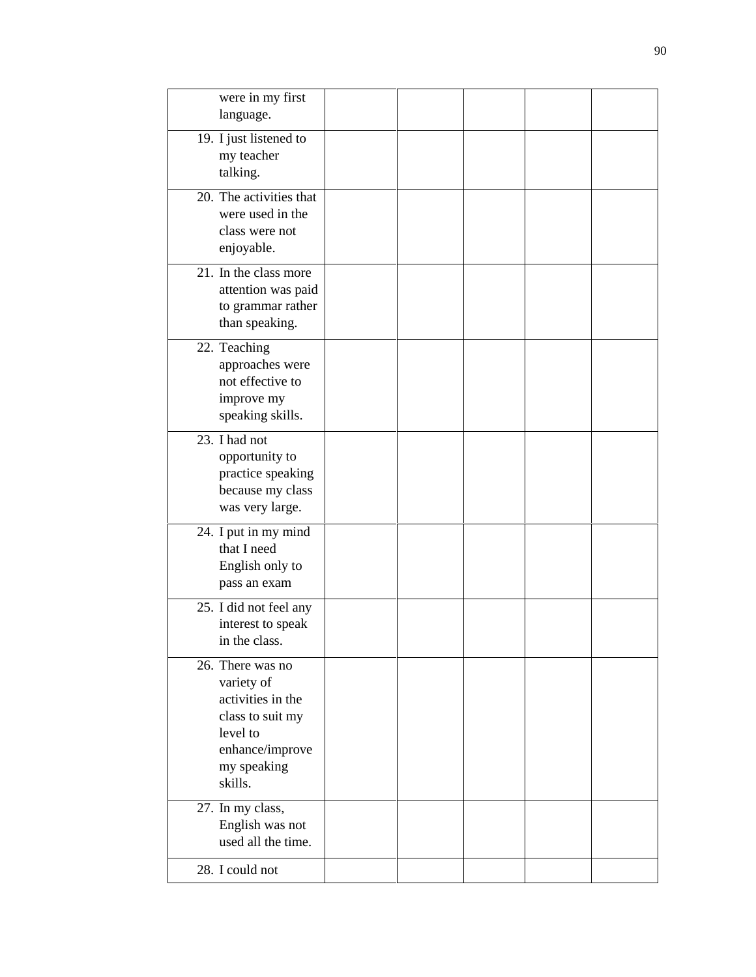| were in my first<br>language.                                                                                                    |  |  |  |
|----------------------------------------------------------------------------------------------------------------------------------|--|--|--|
| 19. I just listened to<br>my teacher<br>talking.                                                                                 |  |  |  |
| 20. The activities that<br>were used in the<br>class were not<br>enjoyable.                                                      |  |  |  |
| 21. In the class more<br>attention was paid<br>to grammar rather<br>than speaking.                                               |  |  |  |
| 22. Teaching<br>approaches were<br>not effective to<br>improve my<br>speaking skills.                                            |  |  |  |
| 23. I had not<br>opportunity to<br>practice speaking<br>because my class<br>was very large.                                      |  |  |  |
| 24. I put in my mind<br>that I need<br>English only to<br>pass an exam                                                           |  |  |  |
| 25. I did not feel any<br>interest to speak<br>in the class.                                                                     |  |  |  |
| 26. There was no<br>variety of<br>activities in the<br>class to suit my<br>level to<br>enhance/improve<br>my speaking<br>skills. |  |  |  |
| 27. In my class,<br>English was not<br>used all the time.                                                                        |  |  |  |
| 28. I could not                                                                                                                  |  |  |  |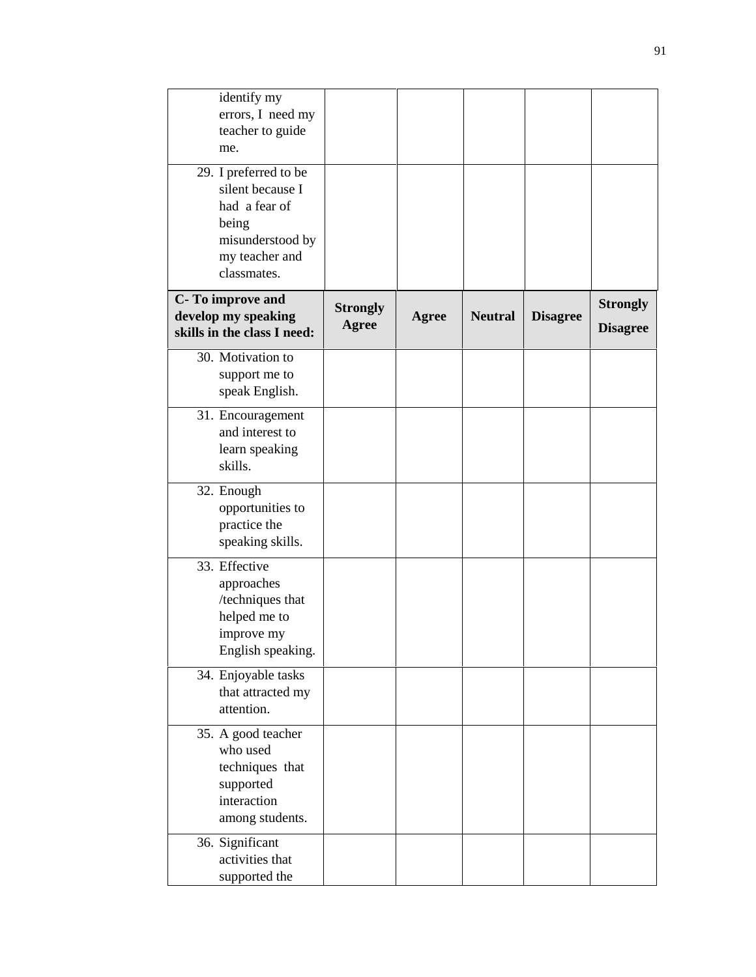| identify my<br>errors, I need my<br>teacher to guide<br>me.                                                              |                          |              |                |                 |                                    |
|--------------------------------------------------------------------------------------------------------------------------|--------------------------|--------------|----------------|-----------------|------------------------------------|
| 29. I preferred to be<br>silent because I<br>had a fear of<br>being<br>misunderstood by<br>my teacher and<br>classmates. |                          |              |                |                 |                                    |
| C-To improve and<br>develop my speaking<br>skills in the class I need:                                                   | <b>Strongly</b><br>Agree | <b>Agree</b> | <b>Neutral</b> | <b>Disagree</b> | <b>Strongly</b><br><b>Disagree</b> |
| 30. Motivation to<br>support me to<br>speak English.                                                                     |                          |              |                |                 |                                    |
| 31. Encouragement<br>and interest to<br>learn speaking<br>skills.                                                        |                          |              |                |                 |                                    |
| 32. Enough<br>opportunities to<br>practice the<br>speaking skills.                                                       |                          |              |                |                 |                                    |
| 33. Effective<br>approaches<br>/techniques that<br>helped me to<br>improve my<br>English speaking.                       |                          |              |                |                 |                                    |
| 34. Enjoyable tasks<br>that attracted my<br>attention.                                                                   |                          |              |                |                 |                                    |
| 35. A good teacher<br>who used<br>techniques that<br>supported<br>interaction<br>among students.                         |                          |              |                |                 |                                    |
| 36. Significant<br>activities that<br>supported the                                                                      |                          |              |                |                 |                                    |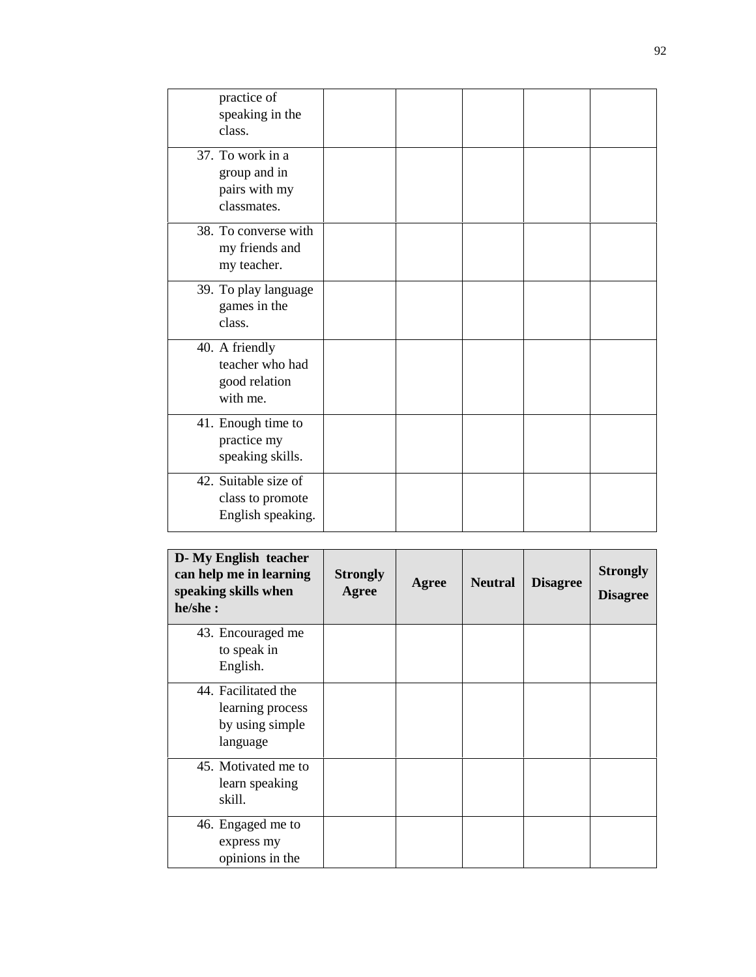| practice of<br>speaking in the<br>class.                         |  |  |  |
|------------------------------------------------------------------|--|--|--|
| 37. To work in a<br>group and in<br>pairs with my<br>classmates. |  |  |  |
| 38. To converse with<br>my friends and<br>my teacher.            |  |  |  |
| 39. To play language<br>games in the<br>class.                   |  |  |  |
| 40. A friendly<br>teacher who had<br>good relation<br>with me.   |  |  |  |
| 41. Enough time to<br>practice my<br>speaking skills.            |  |  |  |
| 42. Suitable size of<br>class to promote<br>English speaking.    |  |  |  |
|                                                                  |  |  |  |

| D-My English teacher<br>can help me in learning<br>speaking skills when<br>he/she: | <b>Strongly</b><br>Agree | Agree | <b>Neutral</b> | <b>Disagree</b> | <b>Strongly</b><br><b>Disagree</b> |
|------------------------------------------------------------------------------------|--------------------------|-------|----------------|-----------------|------------------------------------|
| 43. Encouraged me<br>to speak in<br>English.                                       |                          |       |                |                 |                                    |
| 44. Facilitated the<br>learning process<br>by using simple<br>language             |                          |       |                |                 |                                    |
| 45. Motivated me to<br>learn speaking<br>skill.                                    |                          |       |                |                 |                                    |
| 46. Engaged me to<br>express my<br>opinions in the                                 |                          |       |                |                 |                                    |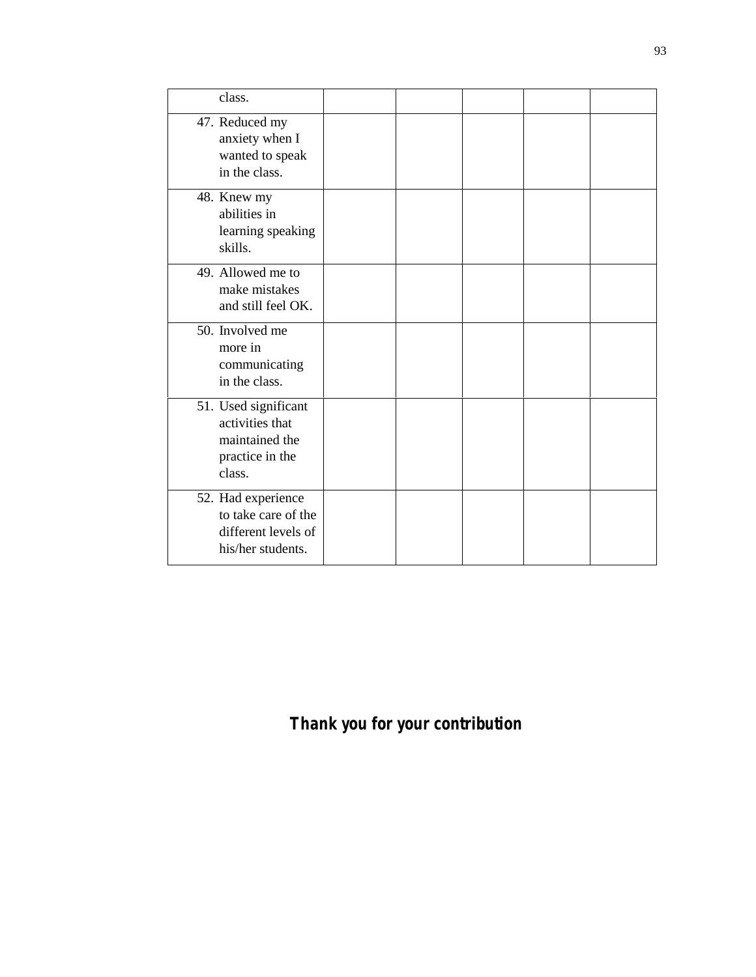| class.                                                                                 |  |  |  |
|----------------------------------------------------------------------------------------|--|--|--|
| 47. Reduced my<br>anxiety when I<br>wanted to speak<br>in the class.                   |  |  |  |
| 48. Knew my<br>abilities in<br>learning speaking<br>skills.                            |  |  |  |
| 49. Allowed me to<br>make mistakes<br>and still feel OK.                               |  |  |  |
| 50. Involved me<br>more in<br>communicating<br>in the class.                           |  |  |  |
| 51. Used significant<br>activities that<br>maintained the<br>practice in the<br>class. |  |  |  |
| 52. Had experience<br>to take care of the<br>different levels of<br>his/her students.  |  |  |  |

# *Thank you for your contribution*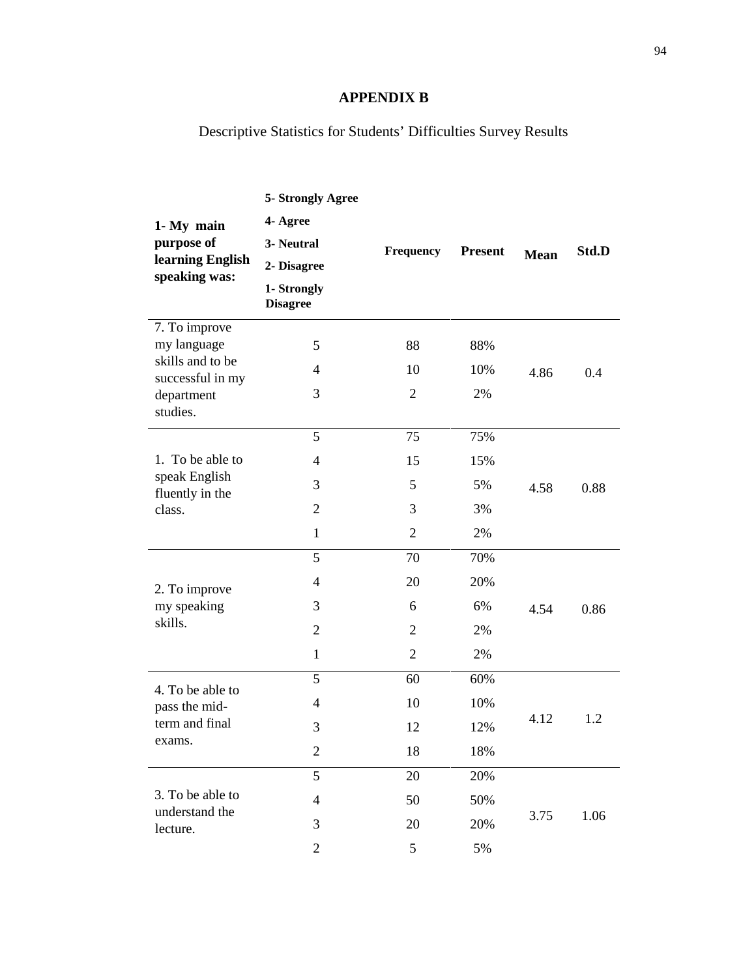### **APPENDIX B**

Descriptive Statistics for Students' Difficulties Survey Results

| 1- My main<br>purpose of<br>learning English<br>speaking was:<br>7. To improve<br>my language | 5- Strongly Agree<br>4- Agree<br>3- Neutral<br>2- Disagree<br>1- Strongly<br><b>Disagree</b><br>5 | Frequency<br>88                                   | <b>Present</b><br>88%        | <b>Mean</b> | Std.D |
|-----------------------------------------------------------------------------------------------|---------------------------------------------------------------------------------------------------|---------------------------------------------------|------------------------------|-------------|-------|
| skills and to be<br>successful in my<br>department<br>studies.                                | $\overline{4}$<br>3                                                                               | 10<br>$\overline{2}$                              | 10%<br>2%                    | 4.86        | 0.4   |
| 1. To be able to<br>speak English<br>fluently in the<br>class.                                | 5<br>$\overline{4}$<br>3                                                                          | 75<br>15<br>5                                     | 75%<br>15%<br>5%             | 4.58        | 0.88  |
|                                                                                               | $\overline{2}$<br>$\mathbf{1}$                                                                    | 3<br>$\overline{2}$                               | 3%<br>2%                     |             |       |
| 2. To improve<br>my speaking<br>skills.                                                       | 5<br>$\overline{4}$<br>3<br>$\overline{2}$<br>$\mathbf{1}$                                        | 70<br>20<br>6<br>$\overline{2}$<br>$\overline{c}$ | 70%<br>20%<br>6%<br>2%<br>2% | 4.54        | 0.86  |
| 4. To be able to<br>pass the mid-<br>term and final<br>exams.                                 | 5<br>$\overline{4}$<br>3<br>$\mathbf{2}$                                                          | 60<br>10<br>12<br>18                              | 60%<br>10%<br>12%<br>18%     | 4.12        | 1.2   |
| 3. To be able to<br>understand the<br>lecture.                                                | 5<br>$\overline{4}$<br>3<br>$\mathbf{2}$                                                          | 20<br>50<br>20<br>5                               | 20%<br>50%<br>20%<br>5%      | 3.75        | 1.06  |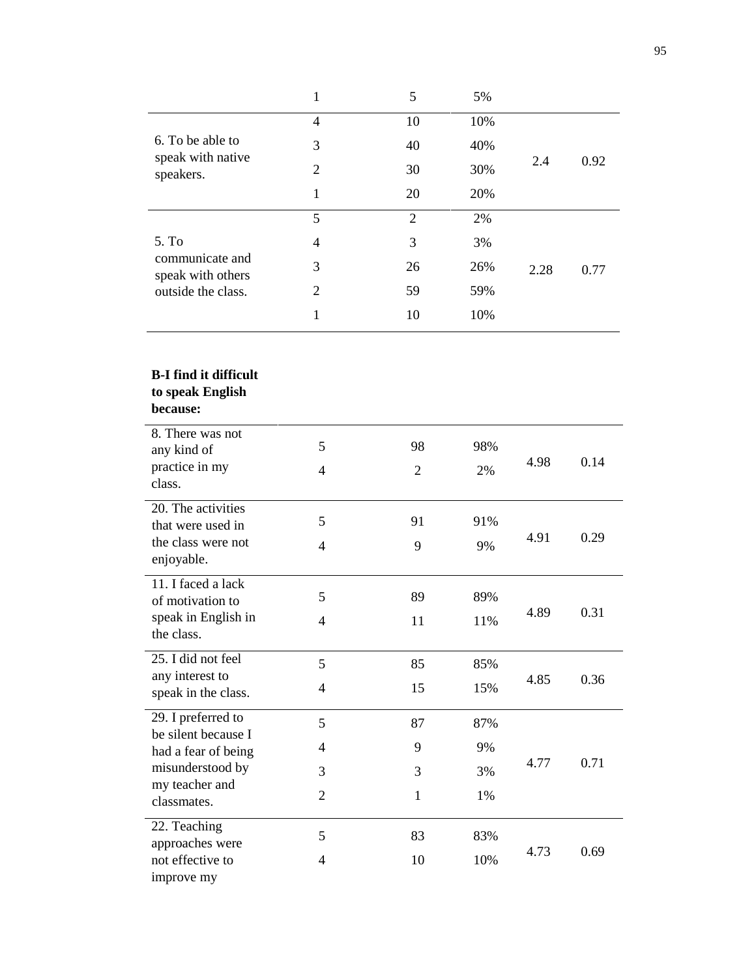|                                                            |                | 5  | 5%  |      |      |
|------------------------------------------------------------|----------------|----|-----|------|------|
| 6. To be able to<br>speak with native<br>speakers.         | 4              | 10 | 10% |      |      |
|                                                            | 3              | 40 | 40% |      |      |
|                                                            | 2              | 30 | 30% | 2.4  | 0.92 |
|                                                            | 1              | 20 | 20% |      |      |
|                                                            | 5              | 2  | 2%  |      |      |
| 5. To                                                      | 4              | 3  | 3%  |      |      |
| communicate and<br>speak with others<br>outside the class. | 3              | 26 | 26% | 2.28 | 0.77 |
|                                                            | $\overline{2}$ | 59 | 59% |      |      |
|                                                            |                | 10 | 10% |      |      |

### **B-I find it difficult**

### **to speak English**

| 8. There was not<br>any kind of         | 5              | 98             | 98% |      |      |
|-----------------------------------------|----------------|----------------|-----|------|------|
| practice in my                          | $\overline{4}$ | $\overline{2}$ | 2%  | 4.98 | 0.14 |
| class.                                  |                |                |     |      |      |
| 20. The activities                      |                |                |     |      |      |
| that were used in                       | 5              | 91             | 91% |      |      |
| the class were not<br>enjoyable.        | $\overline{4}$ | 9              | 9%  | 4.91 | 0.29 |
| 11. I faced a lack                      |                |                |     |      |      |
| of motivation to                        | 5              | 89             | 89% |      |      |
| speak in English in                     | $\overline{4}$ | 11             | 11% | 4.89 | 0.31 |
| the class.                              |                |                |     |      |      |
| 25. I did not feel                      | 5              | 85             | 85% |      |      |
| any interest to                         | $\overline{4}$ | 15             | 15% | 4.85 | 0.36 |
| speak in the class.                     |                |                |     |      |      |
| 29. I preferred to                      | 5              | 87             | 87% |      |      |
| be silent because I                     | 4              | 9              | 9%  |      |      |
| had a fear of being<br>misunderstood by |                |                |     | 4.77 | 0.71 |
| my teacher and                          | 3              | 3              | 3%  |      |      |
| classmates.                             | $\overline{2}$ | 1              | 1%  |      |      |
| 22. Teaching                            |                |                |     |      |      |
| approaches were                         | 5              | 83             | 83% |      |      |
| not effective to                        | $\overline{4}$ | 10             | 10% | 4.73 | 0.69 |
| improve my                              |                |                |     |      |      |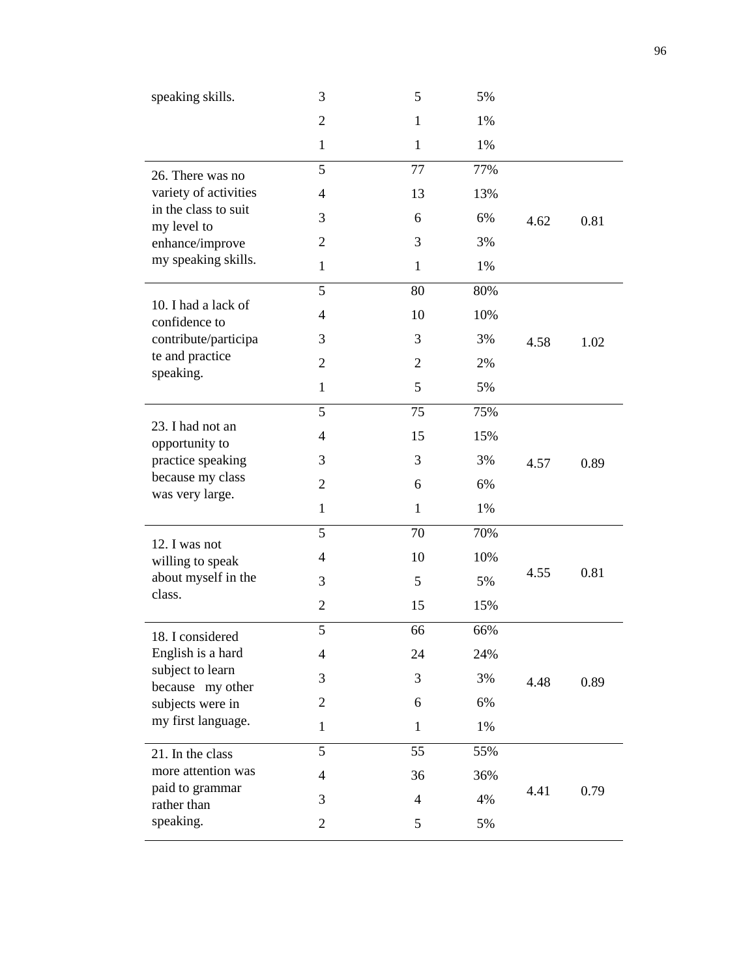| speaking skills.                      | 3                        | 5              | 5%    |      |      |
|---------------------------------------|--------------------------|----------------|-------|------|------|
|                                       | $\overline{2}$           | $\mathbf{1}$   | 1%    |      |      |
|                                       | $\mathbf{1}$             | $\mathbf{1}$   | 1%    |      |      |
| 26. There was no                      | 5                        | 77             | 77%   |      |      |
| variety of activities                 | $\overline{4}$           | 13             | 13%   |      |      |
| in the class to suit<br>my level to   | 3                        | 6              | 6%    | 4.62 | 0.81 |
| enhance/improve                       | $\overline{2}$           | 3              | 3%    |      |      |
| my speaking skills.                   | $\mathbf{1}$             | $\mathbf{1}$   | 1%    |      |      |
|                                       | 5                        | 80             | 80%   |      |      |
| 10. I had a lack of<br>confidence to  | $\overline{4}$           | 10             | 10%   |      |      |
| contribute/participa                  | 3                        | 3              | 3%    | 4.58 | 1.02 |
| te and practice<br>speaking.          | $\overline{2}$           | $\overline{2}$ | 2%    |      |      |
|                                       | $\mathbf{1}$             | 5              | 5%    |      |      |
|                                       | 5                        | 75             | 75%   |      |      |
| 23. I had not an<br>opportunity to    | $\overline{4}$           | 15             | 15%   |      |      |
| practice speaking                     | 3                        | 3              | 3%    | 4.57 | 0.89 |
| because my class<br>was very large.   | $\overline{2}$           | 6              | 6%    |      |      |
|                                       | $\mathbf{1}$             | $\mathbf{1}$   | 1%    |      |      |
|                                       | 5                        | 70             | 70%   |      |      |
| 12. I was not<br>willing to speak     | $\overline{\mathcal{A}}$ | 10             | 10%   |      |      |
| about myself in the                   | 3                        | 5              | 5%    | 4.55 | 0.81 |
| class.                                | $\overline{2}$           | 15             | 15%   |      |      |
| 18. I considered                      | 5                        | 66             | 66%   |      |      |
| English is a hard                     | $\overline{4}$           | 24             | 24%   |      |      |
| subject to learn<br>because my other  | 3                        | 3              | 3%    | 4.48 | 0.89 |
| subjects were in                      | $\overline{c}$           | 6              | 6%    |      |      |
| my first language.                    | $\mathbf{1}$             | $\mathbf{1}$   | $1\%$ |      |      |
| 21. In the class                      | 5                        | 55             | 55%   |      |      |
| more attention was<br>paid to grammar | $\overline{4}$           | 36             | 36%   |      |      |
| rather than                           | 3                        | $\overline{4}$ | 4%    | 4.41 | 0.79 |
| speaking.                             | $\mathbf{2}$             | 5              | 5%    |      |      |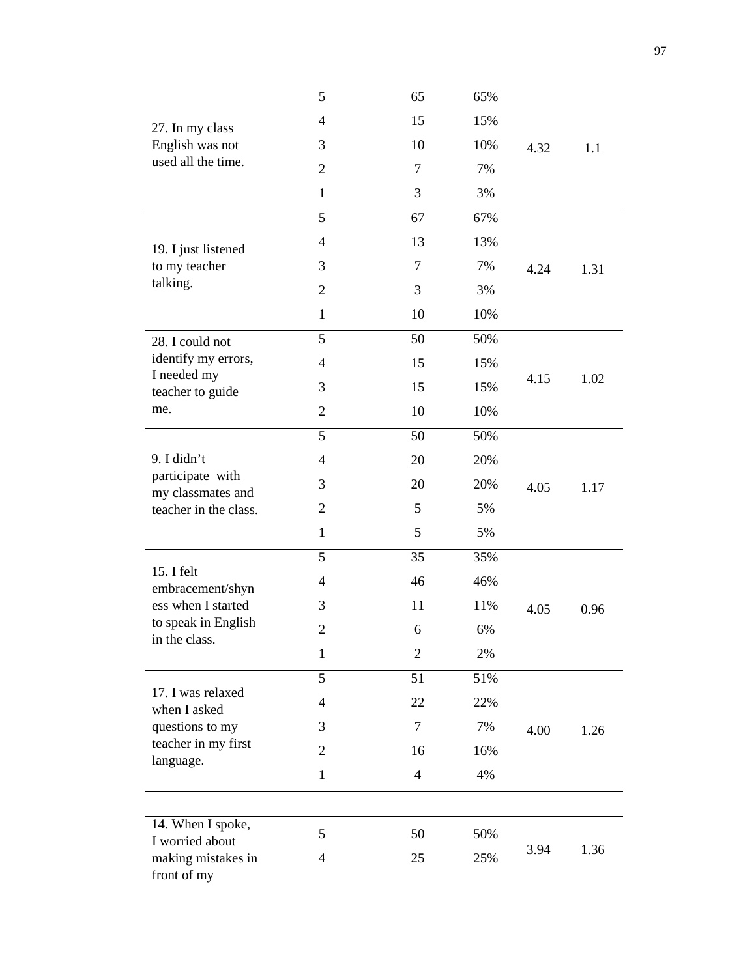|                                       | 5              | 65             | 65% |      |      |
|---------------------------------------|----------------|----------------|-----|------|------|
| 27. In my class                       | $\overline{4}$ | 15             | 15% |      |      |
| English was not                       | 3              | 10             | 10% | 4.32 | 1.1  |
| used all the time.                    | $\overline{2}$ | 7              | 7%  |      |      |
|                                       | $\mathbf{1}$   | 3              | 3%  |      |      |
|                                       | 5              | 67             | 67% |      |      |
| 19. I just listened                   | $\overline{4}$ | 13             | 13% |      |      |
| to my teacher                         | 3              | $\tau$         | 7%  | 4.24 | 1.31 |
| talking.                              | $\overline{2}$ | 3              | 3%  |      |      |
|                                       | $\mathbf{1}$   | 10             | 10% |      |      |
| 28. I could not                       | 5              | 50             | 50% |      |      |
| identify my errors,                   | $\overline{4}$ | 15             | 15% | 4.15 |      |
| I needed my<br>teacher to guide       | 3              | 15             | 15% |      | 1.02 |
| me.                                   | $\overline{2}$ | 10             | 10% |      |      |
|                                       | 5              | 50             | 50% |      |      |
| 9. I didn't                           | $\overline{4}$ | 20             | 20% |      |      |
| participate with<br>my classmates and | 3              | 20             | 20% | 4.05 | 1.17 |
| teacher in the class.                 | $\mathbf{2}$   | 5              | 5%  |      |      |
|                                       | $\mathbf{1}$   | 5              | 5%  |      |      |
|                                       | 5              | 35             | 35% |      |      |
| 15. I felt<br>embracement/shyn        | $\overline{4}$ | 46             | 46% |      |      |
| ess when I started                    | 3              | 11             | 11% | 4.05 | 0.96 |
| to speak in English<br>in the class.  | $\overline{2}$ | 6              | 6%  |      |      |
|                                       | $\mathbf{1}$   | $\overline{2}$ | 2%  |      |      |
|                                       | 5              | 51             | 51% |      |      |
| 17. I was relaxed<br>when I asked     | $\overline{4}$ | 22             | 22% |      |      |
| questions to my                       | 3              | 7              | 7%  | 4.00 | 1.26 |
| teacher in my first<br>language.      | $\overline{2}$ | 16             | 16% |      |      |
|                                       | $\mathbf{1}$   | $\overline{4}$ | 4%  |      |      |
|                                       |                |                |     |      |      |
| 14. When I spoke,<br>I worried about  | 5              | 50             | 50% |      |      |
| making mistakes in<br>front of my     | 4              | 25             | 25% | 3.94 | 1.36 |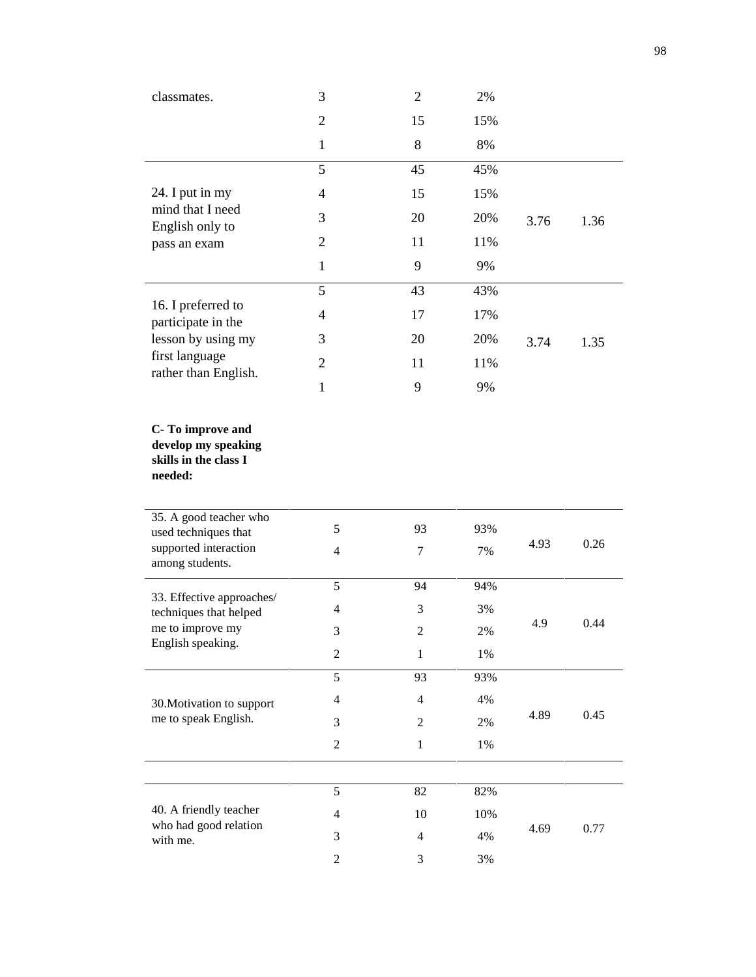| classmates.                                                                 | 3                       | $\overline{2}$           | 2%    |      |      |  |
|-----------------------------------------------------------------------------|-------------------------|--------------------------|-------|------|------|--|
|                                                                             | $\overline{2}$          | 15                       | 15%   |      |      |  |
|                                                                             | $\mathbf{1}$            | 8                        | 8%    |      |      |  |
|                                                                             | 5                       | 45                       | 45%   |      |      |  |
| 24. I put in my                                                             | $\overline{4}$          | 15                       | 15%   |      |      |  |
| mind that I need                                                            | 3                       | 20                       | 20%   | 3.76 | 1.36 |  |
| English only to<br>pass an exam                                             | $\overline{2}$          | 11                       | 11%   |      |      |  |
|                                                                             | $\mathbf{1}$            | 9                        | 9%    |      |      |  |
|                                                                             | 5                       | 43                       | 43%   |      |      |  |
| 16. I preferred to                                                          | $\overline{4}$          | 17                       | 17%   |      |      |  |
| participate in the<br>lesson by using my                                    | 3                       | 20                       | 20%   | 3.74 | 1.35 |  |
| first language                                                              | $\overline{2}$          | 11                       | 11%   |      |      |  |
| rather than English.                                                        | $\mathbf{1}$            | 9                        | 9%    |      |      |  |
|                                                                             |                         |                          |       |      |      |  |
| C-To improve and<br>develop my speaking<br>skills in the class I<br>needed: |                         |                          |       |      |      |  |
| 35. A good teacher who                                                      |                         |                          |       |      |      |  |
| used techniques that<br>supported interaction                               | 5                       | 93                       | 93%   | 4.93 | 0.26 |  |
| among students.                                                             | $\overline{\mathbf{4}}$ | $\tau$                   | 7%    |      |      |  |
|                                                                             | 5                       | 94                       | 94%   |      |      |  |
| 33. Effective approaches/<br>techniques that helped                         | $\overline{\mathbf{4}}$ | $\mathfrak{Z}$           | 3%    |      |      |  |
| me to improve my<br>English speaking.                                       | 3                       | $\sqrt{2}$               | $2\%$ | 4.9  | 0.44 |  |
|                                                                             | $\overline{2}$          | $\mathbf{1}$             | 1%    |      |      |  |
|                                                                             | 5                       | 93                       | 93%   |      |      |  |
| 30. Motivation to support                                                   | $\overline{\mathbf{4}}$ | $\overline{4}$           | 4%    | 4.89 | 0.45 |  |
| me to speak English.                                                        | 3                       | $\boldsymbol{2}$         | 2%    |      |      |  |
|                                                                             | $\overline{2}$          | $\mathbf{1}$             | 1%    |      |      |  |
|                                                                             |                         |                          |       |      |      |  |
| 40. A friendly teacher                                                      | 5                       | 82                       | 82%   |      |      |  |
| who had good relation                                                       | $\overline{4}$          | 10                       | 10%   | 4.69 | 0.77 |  |
| with me.                                                                    | 3                       | $\overline{\mathcal{A}}$ | 4%    |      |      |  |
|                                                                             | $\overline{c}$          | $\mathfrak{Z}$           | 3%    |      |      |  |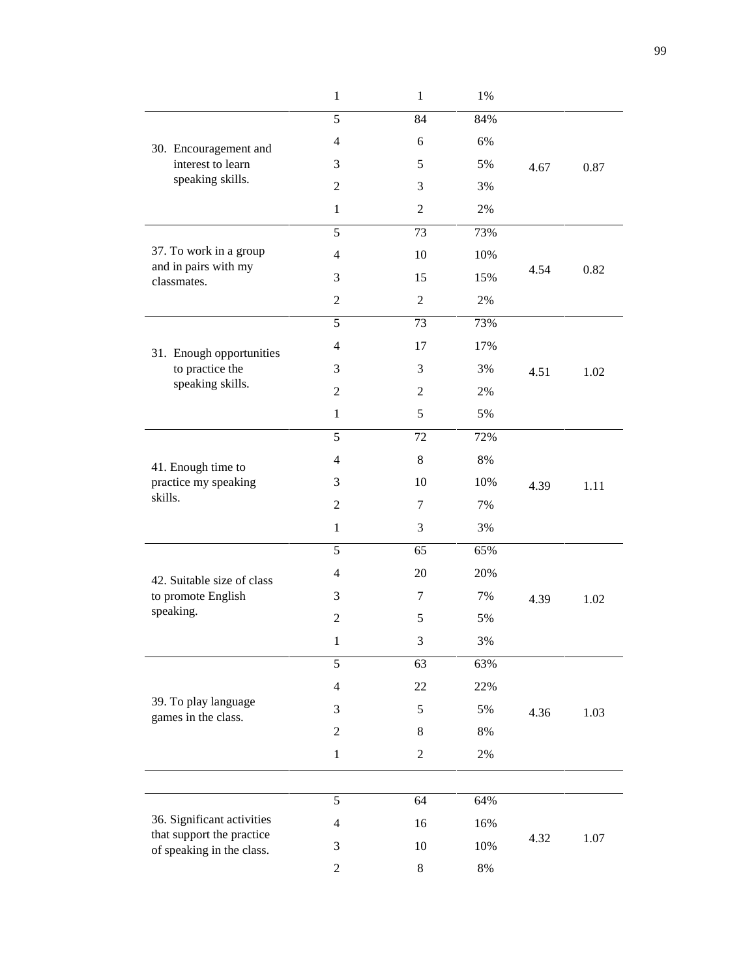|                                                        | $\mathbf 1$    | $\mathbf{1}$   | 1%    |      |      |
|--------------------------------------------------------|----------------|----------------|-------|------|------|
|                                                        | 5              | 84             | 84%   |      |      |
| 30. Encouragement and                                  | $\overline{4}$ | 6              | 6%    |      |      |
| interest to learn                                      | 3              | 5              | 5%    | 4.67 | 0.87 |
| speaking skills.                                       | $\overline{2}$ | 3              | 3%    |      |      |
|                                                        | $\mathbf{1}$   | $\overline{2}$ | 2%    |      |      |
|                                                        | 5              | 73             | 73%   |      |      |
| 37. To work in a group                                 | $\overline{4}$ | 10             | 10%   |      |      |
| and in pairs with my<br>classmates.                    | 3              | 15             | 15%   | 4.54 | 0.82 |
|                                                        | $\mathfrak{2}$ | $\overline{2}$ | 2%    |      |      |
|                                                        | 5              | 73             | 73%   |      |      |
|                                                        | $\overline{4}$ | 17             | 17%   |      |      |
| 31. Enough opportunities<br>to practice the            | 3              | 3              | 3%    | 4.51 | 1.02 |
| speaking skills.                                       | $\overline{2}$ | $\overline{2}$ | 2%    |      |      |
|                                                        | $\mathbf{1}$   | 5              | 5%    |      |      |
|                                                        | 5              | 72             | 72%   |      |      |
|                                                        | $\overline{4}$ | 8              | 8%    |      |      |
| 41. Enough time to<br>practice my speaking             | 3              | 10             | 10%   | 4.39 | 1.11 |
| skills.                                                | $\overline{2}$ | 7              | 7%    |      |      |
|                                                        | $\mathbf{1}$   | 3              | 3%    |      |      |
|                                                        | 5              | 65             | 65%   |      |      |
|                                                        | $\overline{4}$ | 20             | 20%   |      |      |
| 42. Suitable size of class<br>to promote English       | 3              | $\tau$         | 7%    | 4.39 | 1.02 |
| speaking.                                              | $\mathfrak{2}$ | 5              | 5%    |      |      |
|                                                        | $\mathbf{1}$   | 3              | $3\%$ |      |      |
|                                                        | 5              | 63             | 63%   |      |      |
|                                                        | $\overline{4}$ | 22             | 22%   |      |      |
| 39. To play language                                   | $\mathfrak{Z}$ | $\sqrt{5}$     | 5%    | 4.36 | 1.03 |
| games in the class.                                    | $\sqrt{2}$     | $\,8\,$        | $8\%$ |      |      |
|                                                        | $\,1$          | $\overline{2}$ | $2\%$ |      |      |
|                                                        |                |                |       |      |      |
|                                                        | $\sqrt{5}$     | 64             | 64%   |      |      |
| 36. Significant activities                             | $\overline{4}$ | 16             | 16%   |      |      |
| that support the practice<br>of speaking in the class. | 3              | 10             | 10%   | 4.32 | 1.07 |
|                                                        | $\mathfrak{2}$ | $8\,$          | $8\%$ |      |      |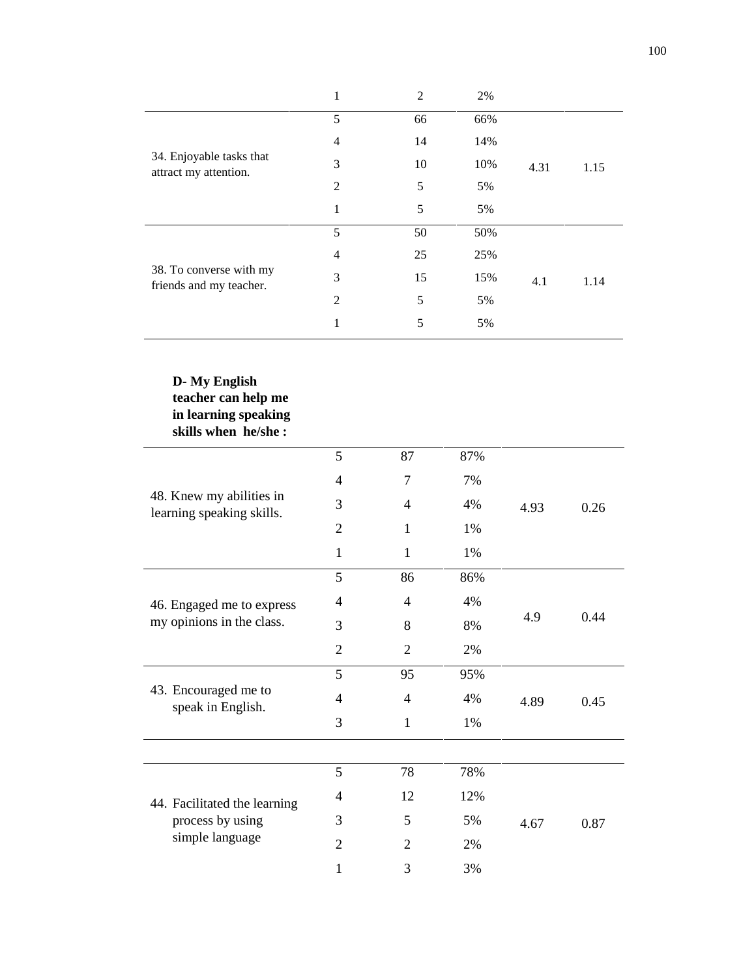|                                                    | 1              | 2  | 2%  |      |      |
|----------------------------------------------------|----------------|----|-----|------|------|
|                                                    | 5              | 66 | 66% |      |      |
|                                                    | $\overline{4}$ | 14 | 14% |      |      |
| 34. Enjoyable tasks that<br>attract my attention.  | 3              | 10 | 10% | 4.31 | 1.15 |
|                                                    | $\overline{2}$ | 5  | 5%  |      |      |
|                                                    | 1              | 5  | 5%  |      |      |
|                                                    | 5              | 50 | 50% |      |      |
|                                                    | $\overline{4}$ | 25 | 25% |      |      |
| 38. To converse with my<br>friends and my teacher. | 3              | 15 | 15% | 4.1  | 1.14 |
|                                                    | $\overline{2}$ | 5  | 5%  |      |      |
|                                                    | 1              | 5  | 5%  |      |      |

### **D- My English teacher can help me in learning speaking skills when he/she :**

|                                                       | 5              | 87             | 87% |      |      |
|-------------------------------------------------------|----------------|----------------|-----|------|------|
|                                                       | $\overline{4}$ | 7              | 7%  |      |      |
| 48. Knew my abilities in<br>learning speaking skills. | 3              | 4              | 4%  | 4.93 | 0.26 |
|                                                       | $\overline{2}$ | 1              | 1%  |      |      |
|                                                       | 1              | 1              | 1%  |      |      |
|                                                       | 5              | 86             | 86% |      |      |
| 46. Engaged me to express                             | 4              | 4              | 4%  | 4.9  |      |
| my opinions in the class.                             | 3              | 8              | 8%  |      | 0.44 |
|                                                       | $\overline{2}$ | $\overline{2}$ | 2%  |      |      |
|                                                       | 5              | 95             | 95% |      |      |
| 43. Encouraged me to<br>speak in English.             | $\overline{4}$ | $\overline{4}$ | 4%  | 4.89 | 0.45 |
|                                                       | 3              | $\mathbf{1}$   | 1%  |      |      |
|                                                       |                |                |     |      |      |
|                                                       | 5              | 78             | 78% |      |      |
| 44. Facilitated the learning                          | 4              | 12             | 12% |      |      |
| process by using                                      | 3              | 5              | 5%  | 4.67 | 0.87 |
| simple language                                       | $\overline{2}$ | $\overline{2}$ | 2%  |      |      |
|                                                       | $\mathbf{1}$   | 3              | 3%  |      |      |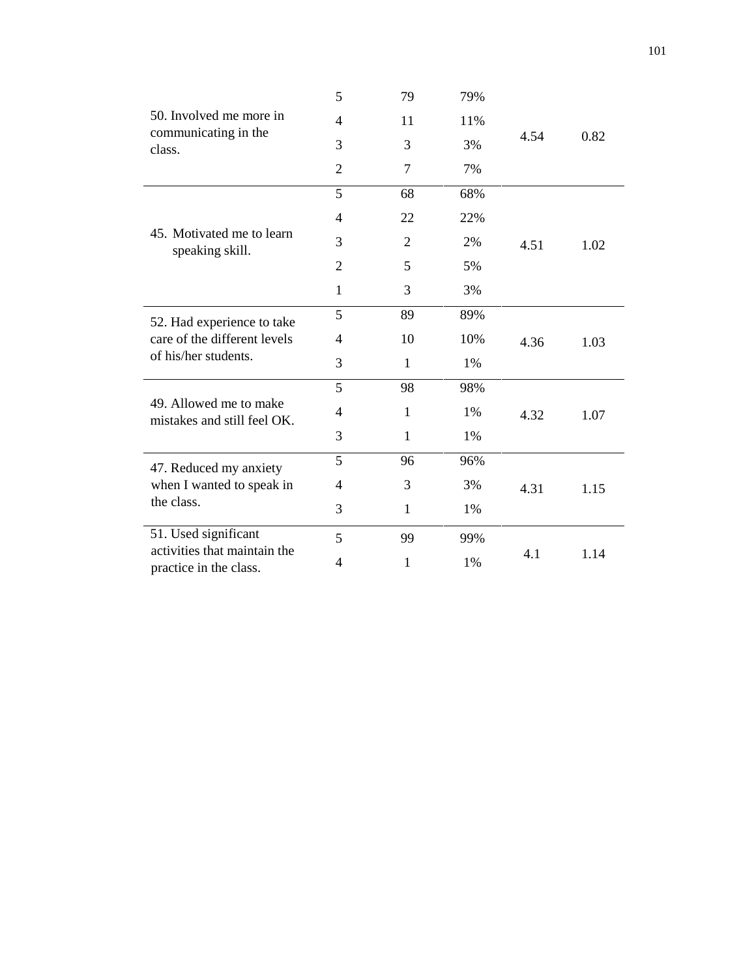|                                                        | 5              | 79             | 79% |      |      |
|--------------------------------------------------------|----------------|----------------|-----|------|------|
| 50. Involved me more in                                | 4              | 11             | 11% |      |      |
| communicating in the<br>class.                         | 3              | 3              | 3%  | 4.54 | 0.82 |
|                                                        | $\overline{2}$ | $\overline{7}$ | 7%  |      |      |
|                                                        | 5              | 68             | 68% |      |      |
| 45. Motivated me to learn<br>speaking skill.           | $\overline{4}$ | 22             | 22% |      |      |
|                                                        | 3              | 2              | 2%  | 4.51 | 1.02 |
|                                                        | $\overline{2}$ | 5              | 5%  |      |      |
|                                                        | $\mathbf{1}$   | 3              | 3%  |      |      |
| 52. Had experience to take                             | 5              | 89             | 89% |      |      |
| care of the different levels                           | 4              | 10             | 10% | 4.36 | 1.03 |
| of his/her students.                                   | 3              | $\mathbf{1}$   | 1%  |      |      |
|                                                        | 5              | 98             | 98% |      |      |
| 49. Allowed me to make<br>mistakes and still feel OK.  | $\overline{4}$ | $\mathbf{1}$   | 1%  | 4.32 | 1.07 |
|                                                        | 3              | $\mathbf{1}$   | 1%  |      |      |
| 47. Reduced my anxiety                                 | 5              | 96             | 96% |      |      |
| when I wanted to speak in                              | $\overline{4}$ | 3              | 3%  | 4.31 | 1.15 |
| the class.                                             | 3              | 1              | 1%  |      |      |
| 51. Used significant                                   | 5              | 99             | 99% |      |      |
| activities that maintain the<br>practice in the class. | 4              | 1              | 1%  | 4.1  | 1.14 |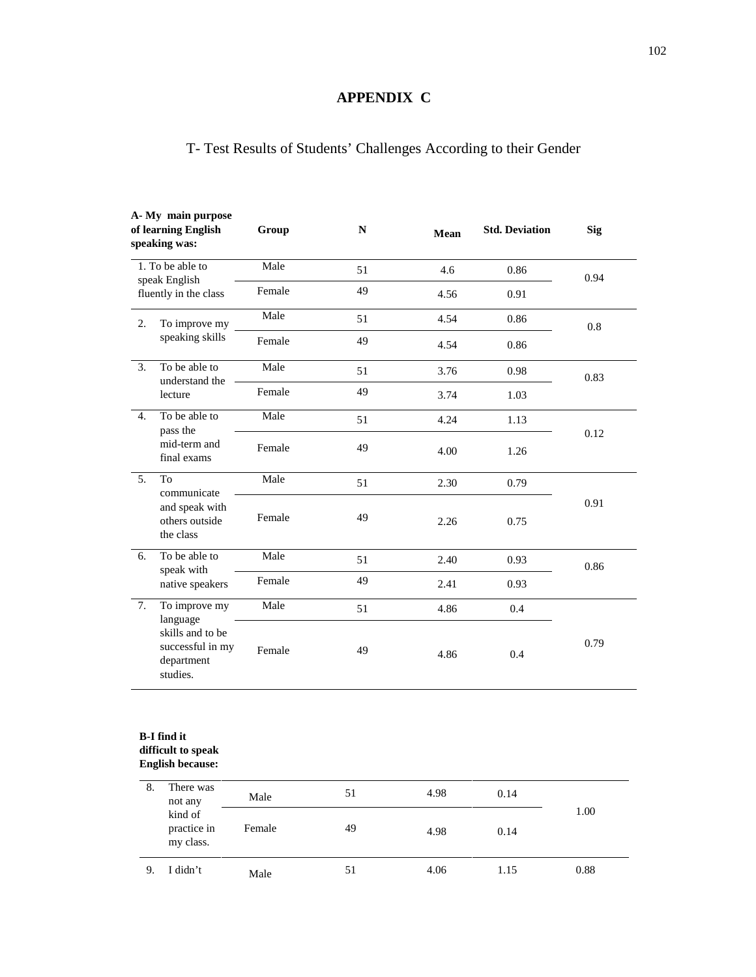## **APPENDIX C**

# T- Test Results of Students' Challenges According to their Gender

|                  | A-My main purpose<br>of learning English<br><b>Std. Deviation</b><br>Group<br>${\bf N}$<br>Mean<br>speaking was: |                           |    |      |      |      |
|------------------|------------------------------------------------------------------------------------------------------------------|---------------------------|----|------|------|------|
|                  | 1. To be able to                                                                                                 | Male<br>4.6<br>51<br>0.86 |    |      | 0.94 |      |
|                  | speak English<br>fluently in the class                                                                           | Female                    | 49 | 4.56 | 0.91 |      |
| 2.               | To improve my                                                                                                    | Male                      | 51 | 4.54 | 0.86 | 0.8  |
|                  | speaking skills                                                                                                  | Female                    | 49 | 4.54 | 0.86 |      |
| 3.               | To be able to<br>understand the                                                                                  | Male                      | 51 | 3.76 | 0.98 | 0.83 |
|                  | lecture                                                                                                          | Female                    | 49 | 3.74 | 1.03 |      |
| 4.               | To be able to<br>pass the<br>mid-term and<br>final exams                                                         | Male                      | 51 | 4.24 | 1.13 |      |
|                  |                                                                                                                  | Female                    | 49 | 4.00 | 1.26 | 0.12 |
| 5.               | To<br>communicate                                                                                                | Male                      | 51 | 2.30 | 0.79 |      |
|                  | and speak with<br>others outside<br>the class                                                                    | Female                    | 49 | 2.26 | 0.75 | 0.91 |
| 6.               | To be able to<br>speak with                                                                                      | Male                      | 51 | 2.40 | 0.93 | 0.86 |
|                  | native speakers                                                                                                  | Female                    | 49 | 2.41 | 0.93 |      |
| $\overline{7}$ . | To improve my<br>language                                                                                        | Male                      | 51 | 4.86 | 0.4  |      |
|                  | skills and to be<br>successful in my<br>department<br>studies.                                                   | Female                    | 49 | 4.86 | 0.4  | 0.79 |

### **difficult to speak English because:**

| 8. | There was<br>not any                | Male   | 51 | 4.98 | 0.14 |      |
|----|-------------------------------------|--------|----|------|------|------|
|    | kind of<br>practice in<br>my class. | Female | 49 | 4.98 | 0.14 | 1.00 |
| 9. | I didn't                            | Male   | 51 | 4.06 | 1.15 | 0.88 |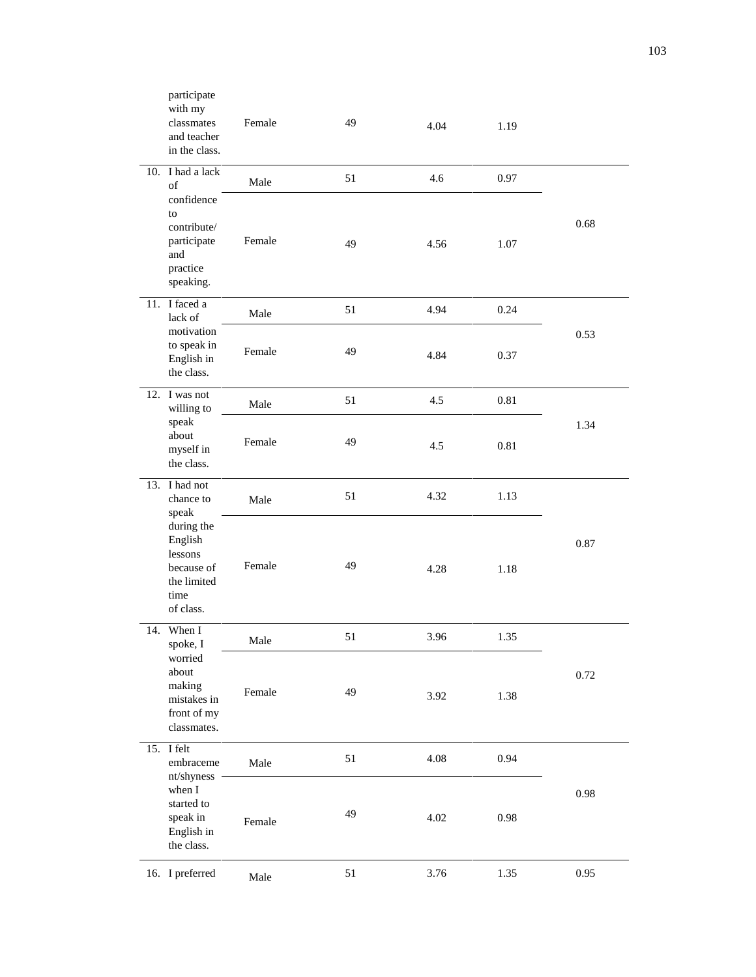|     | participate<br>with my<br>classmates<br>and teacher<br>in the class.       | Female | 49 | 4.04 | 1.19 |      |
|-----|----------------------------------------------------------------------------|--------|----|------|------|------|
|     | 10. I had a lack<br>of<br>confidence                                       | Male   | 51 | 4.6  | 0.97 |      |
|     | to<br>contribute/<br>participate<br>and<br>practice<br>speaking.           | Female | 49 | 4.56 | 1.07 | 0.68 |
|     | 11. I faced a<br>lack of                                                   | Male   | 51 | 4.94 | 0.24 |      |
|     | motivation<br>to speak in<br>English in<br>the class.                      | Female | 49 | 4.84 | 0.37 | 0.53 |
|     | 12. I was not<br>willing to                                                | Male   | 51 | 4.5  | 0.81 |      |
|     | speak<br>about<br>myself in<br>the class.                                  | Female | 49 | 4.5  | 0.81 | 1.34 |
|     | 13. I had not<br>chance to<br>speak<br>during the                          | Male   | 51 | 4.32 | 1.13 |      |
|     | English<br>lessons<br>because of<br>the limited<br>time<br>of class.       | Female | 49 | 4.28 | 1.18 | 0.87 |
| 14. | When I<br>spoke, I                                                         | Male   | 51 | 3.96 | 1.35 |      |
|     | worried<br>about<br>making<br>mistakes in<br>front of my<br>classmates.    | Female | 49 | 3.92 | 1.38 | 0.72 |
|     | 15. I felt<br>embraceme                                                    | Male   | 51 | 4.08 | 0.94 |      |
|     | nt/shyness<br>when I<br>started to<br>speak in<br>English in<br>the class. | Female | 49 | 4.02 | 0.98 | 0.98 |
|     | 16. I preferred                                                            | Male   | 51 | 3.76 | 1.35 | 0.95 |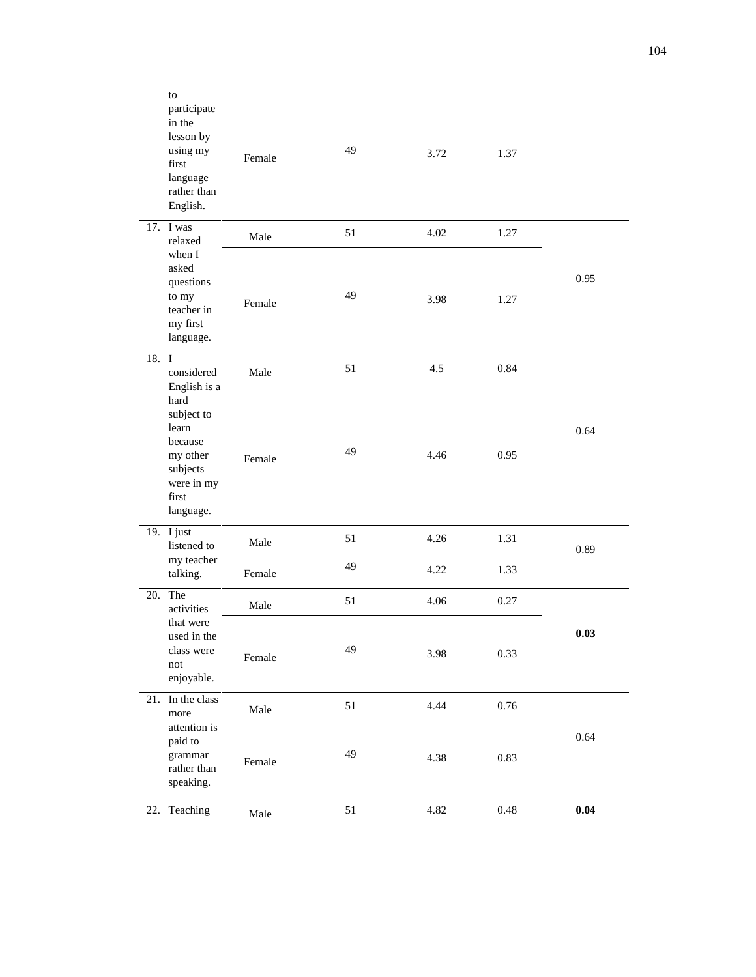|       | to<br>participate<br>in the<br>lesson by<br>using my<br>first<br>language<br>rather than<br>English.                | Female | 49 | 3.72 | 1.37     |      |
|-------|---------------------------------------------------------------------------------------------------------------------|--------|----|------|----------|------|
|       | 17. I was<br>relaxed                                                                                                | Male   | 51 | 4.02 | 1.27     |      |
|       | when I<br>asked<br>questions<br>to my<br>teacher in<br>my first<br>language.                                        | Female | 49 | 3.98 | 1.27     | 0.95 |
| 18. I | considered                                                                                                          | Male   | 51 | 4.5  | 0.84     |      |
|       | English is a-<br>hard<br>subject to<br>learn<br>because<br>my other<br>subjects<br>were in my<br>first<br>language. | Female | 49 | 4.46 | 0.95     | 0.64 |
|       | 19. I just<br>listened to                                                                                           | Male   | 51 | 4.26 | 1.31     | 0.89 |
|       | my teacher<br>talking.                                                                                              | Female | 49 | 4.22 | 1.33     |      |
| 20.   | The<br>activities                                                                                                   | Male   | 51 | 4.06 | 0.27     |      |
|       | that were<br>used in the<br>class were<br>not<br>enjoyable.                                                         | Female | 49 | 3.98 | 0.33     | 0.03 |
| 21.   | In the class<br>more                                                                                                | Male   | 51 | 4.44 | $0.76\,$ |      |
|       | attention is<br>paid to<br>grammar<br>rather than<br>speaking.                                                      | Female | 49 | 4.38 | 0.83     | 0.64 |
|       | 22. Teaching                                                                                                        | Male   | 51 | 4.82 | $0.48\,$ | 0.04 |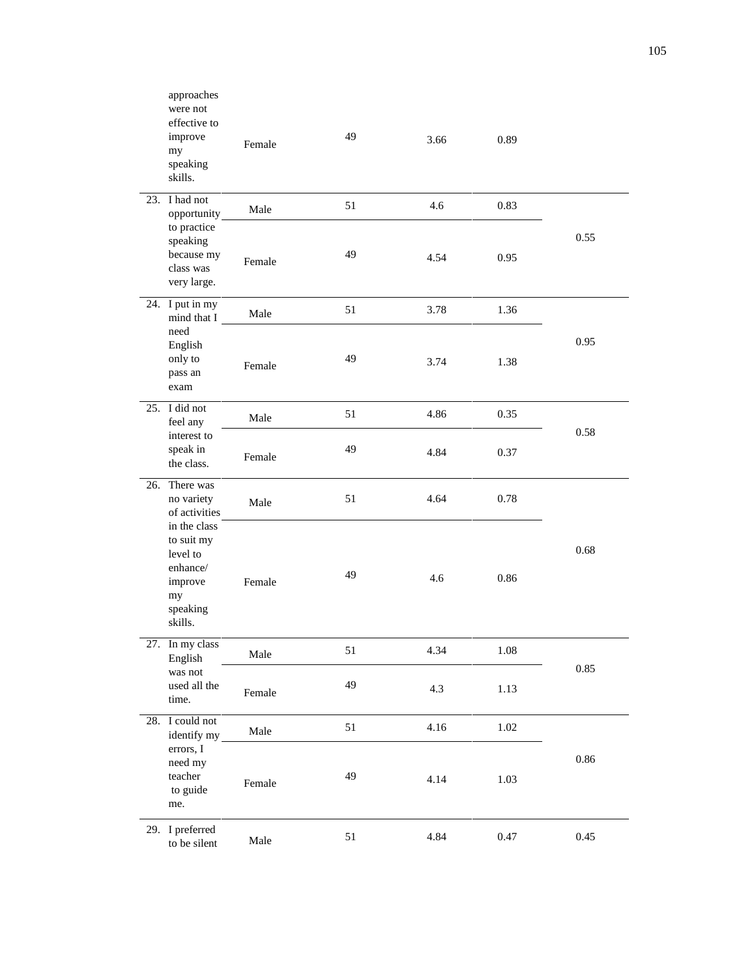|     | approaches<br>were not<br>effective to<br>improve<br>my<br>speaking<br>skills.                                                         | Female | 49 | 3.66 | 0.89     |      |
|-----|----------------------------------------------------------------------------------------------------------------------------------------|--------|----|------|----------|------|
|     | 23. I had not<br>opportunity                                                                                                           | Male   | 51 | 4.6  | 0.83     |      |
|     | to practice<br>speaking<br>because my<br>class was<br>very large.                                                                      | Female | 49 | 4.54 | 0.95     | 0.55 |
|     | 24. I put in my<br>mind that I<br>need<br>English<br>only to<br>pass an<br>exam                                                        | Male   | 51 | 3.78 | 1.36     |      |
|     |                                                                                                                                        | Female | 49 | 3.74 | 1.38     | 0.95 |
|     | 25. I did not<br>feel any<br>interest to<br>speak in<br>the class.                                                                     | Male   | 51 | 4.86 | 0.35     | 0.58 |
|     |                                                                                                                                        | Female | 49 | 4.84 | 0.37     |      |
| 26. | There was<br>no variety<br>of activities<br>in the class<br>to suit my<br>level to<br>enhance/<br>improve<br>my<br>speaking<br>skills. | Male   | 51 | 4.64 | 0.78     |      |
|     |                                                                                                                                        | Female | 49 | 4.6  | 0.86     | 0.68 |
|     | 27. In my class<br>English<br>was not<br>used all the<br>time.                                                                         | Male   | 51 | 4.34 | $1.08\,$ | 0.85 |
|     |                                                                                                                                        | Female | 49 | 4.3  | 1.13     |      |
|     | 28. I could not<br>identify my<br>errors, I<br>need my<br>teacher<br>to guide<br>me.                                                   | Male   | 51 | 4.16 | $1.02\,$ |      |
|     |                                                                                                                                        | Female | 49 | 4.14 | 1.03     | 0.86 |
|     | 29. I preferred<br>to be silent                                                                                                        | Male   | 51 | 4.84 | 0.47     | 0.45 |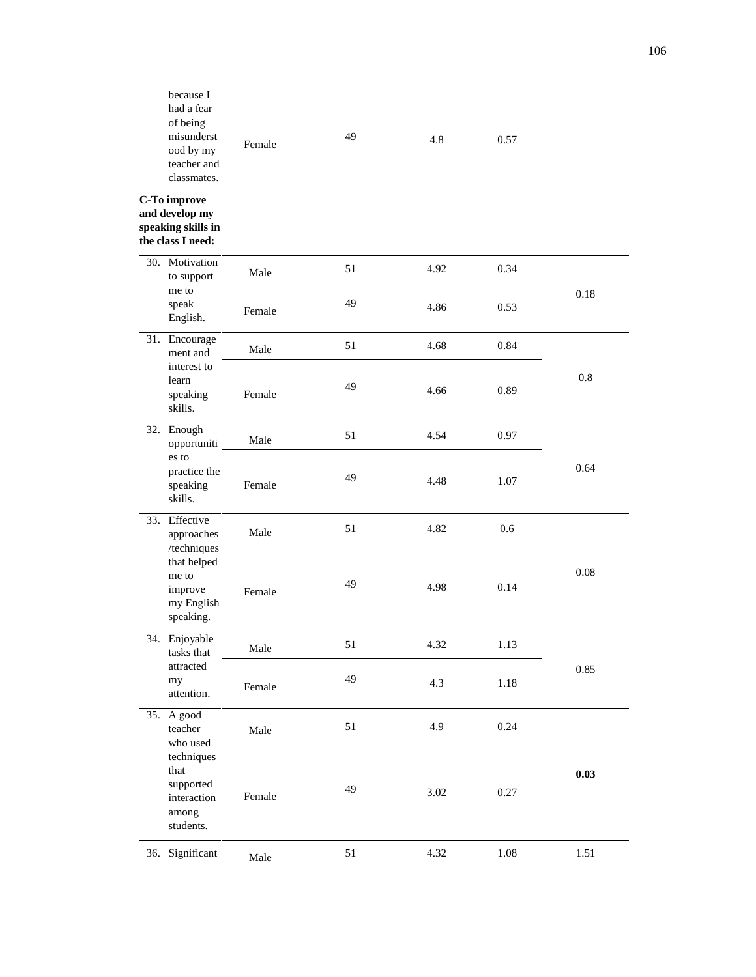|     | because I<br>had a fear<br>of being<br>misunderst<br>ood by my<br>teacher and<br>classmates.              | Female | 49 | 4.8      | 0.57     |      |
|-----|-----------------------------------------------------------------------------------------------------------|--------|----|----------|----------|------|
|     | C-To improve<br>and develop my<br>speaking skills in<br>the class I need:                                 |        |    |          |          |      |
| 30. | Motivation<br>to support                                                                                  | Male   | 51 | 4.92     | 0.34     |      |
|     | me to<br>speak<br>English.                                                                                | Female | 49 | 4.86     | 0.53     | 0.18 |
|     | 31. Encourage<br>ment and<br>interest to<br>learn<br>speaking<br>skills.                                  | Male   | 51 | 4.68     | 0.84     |      |
|     |                                                                                                           | Female | 49 | 4.66     | 0.89     | 0.8  |
|     | 32. Enough<br>opportuniti<br>es to<br>practice the<br>speaking<br>skills.                                 | Male   | 51 | 4.54     | 0.97     | 0.64 |
|     |                                                                                                           | Female | 49 | 4.48     | 1.07     |      |
| 33. | Effective<br>approaches                                                                                   | Male   | 51 | 4.82     | 0.6      |      |
|     | /techniques<br>that helped<br>me to<br>improve<br>my English<br>speaking.                                 | Female | 49 | 4.98     | 0.14     | 0.08 |
|     | 34. Enjoyable<br>tasks that<br>attracted<br>my<br>attention.                                              | Male   | 51 | 4.32     | 1.13     |      |
|     |                                                                                                           | Female | 49 | 4.3      | 1.18     | 0.85 |
|     | 35. A good<br>teacher<br>who used<br>techniques<br>that<br>supported<br>interaction<br>among<br>students. | Male   | 51 | 4.9      | 0.24     |      |
|     |                                                                                                           | Female | 49 | $3.02\,$ | 0.27     | 0.03 |
|     | 36. Significant                                                                                           | Male   | 51 | 4.32     | $1.08\,$ | 1.51 |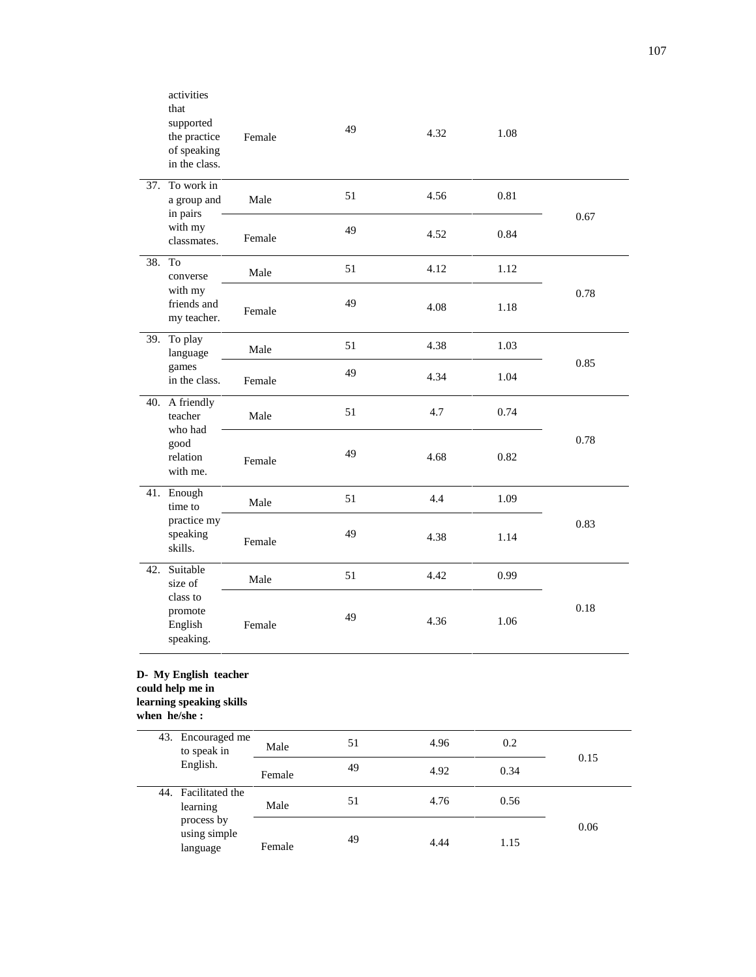|     | activities<br>that<br>supported<br>the practice<br>of speaking<br>in the class.       | Female | 49 | 4.32 | 1.08 |      |  |
|-----|---------------------------------------------------------------------------------------|--------|----|------|------|------|--|
|     | 37. To work in<br>a group and<br>in pairs                                             | Male   | 51 | 4.56 | 0.81 |      |  |
|     | with my<br>classmates.                                                                | Female | 49 | 4.52 | 0.84 | 0.67 |  |
| 38. | To<br>converse<br>with my<br>friends and<br>my teacher.                               | Male   | 51 | 4.12 | 1.12 | 0.78 |  |
|     |                                                                                       | Female | 49 | 4.08 | 1.18 |      |  |
|     | 39. To play<br>language<br>games<br>in the class.                                     | Male   | 51 | 4.38 | 1.03 | 0.85 |  |
|     |                                                                                       | Female | 49 | 4.34 | 1.04 |      |  |
|     | 40. A friendly<br>teacher<br>who had<br>good<br>relation<br>with me.                  | Male   | 51 | 4.7  | 0.74 |      |  |
|     |                                                                                       | Female | 49 | 4.68 | 0.82 | 0.78 |  |
|     | 41. Enough<br>time to                                                                 | Male   | 51 | 4.4  | 1.09 |      |  |
|     | practice my<br>speaking<br>skills.                                                    | Female | 49 | 4.38 | 1.14 | 0.83 |  |
|     | 42. Suitable<br>size of                                                               | Male   | 51 | 4.42 | 0.99 |      |  |
|     | class to<br>promote<br>English<br>speaking.                                           | Female | 49 | 4.36 | 1.06 | 0.18 |  |
|     | D- My English teacher<br>could help me in<br>learning speaking skills<br>when he/she: |        |    |      |      |      |  |
|     | 43. Encouraged me<br>to speak in                                                      | Male   | 51 | 4.96 | 0.2  | 0.15 |  |
|     | English.                                                                              | Female | 49 | 4.92 | 0.34 |      |  |
|     | 44. Facilitated the<br>learning<br>process by<br>using simple<br>language             | Male   | 51 | 4.76 | 0.56 |      |  |
|     |                                                                                       | Female | 49 | 4.44 | 1.15 | 0.06 |  |